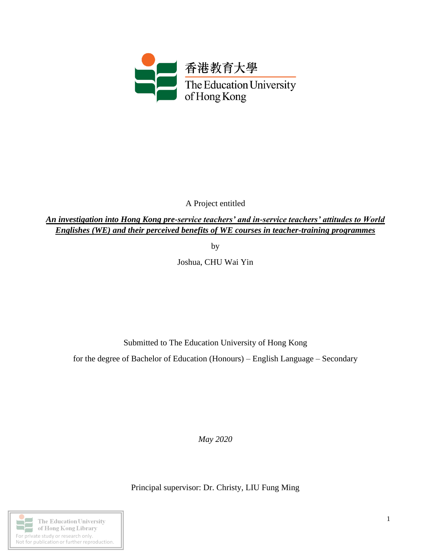

A Project entitled

*An investigation into Hong Kong pre-service teachers' and in-service teachers' attitudes to World Englishes (WE) and their perceived benefits of WE courses in teacher-training programmes*

by

Joshua, CHU Wai Yin

Submitted to The Education University of Hong Kong

for the degree of Bachelor of Education (Honours) – English Language – Secondary

*May 2020*

Principal supervisor: Dr. Christy, LIU Fung Ming

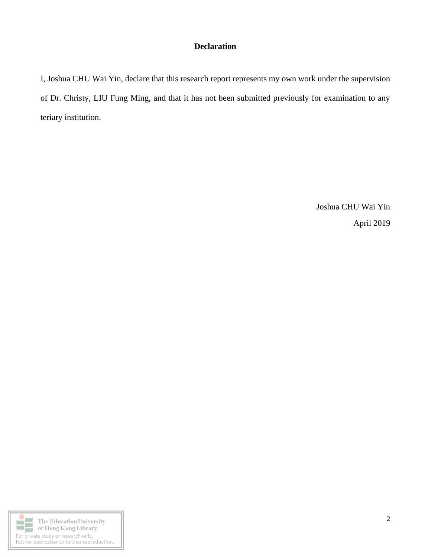## **Declaration**

I, Joshua CHU Wai Yin, declare that this research report represents my own work under the supervision of Dr. Christy, LIU Fung Ming, and that it has not been submitted previously for examination to any teriary institution.

> Joshua CHU Wai Yin April 2019

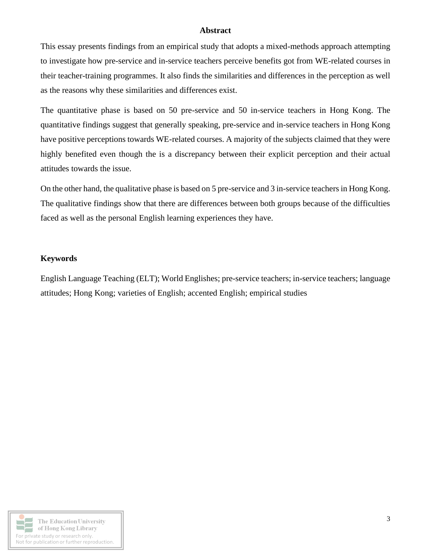#### **Abstract**

This essay presents findings from an empirical study that adopts a mixed-methods approach attempting to investigate how pre-service and in-service teachers perceive benefits got from WE-related courses in their teacher-training programmes. It also finds the similarities and differences in the perception as well as the reasons why these similarities and differences exist.

The quantitative phase is based on 50 pre-service and 50 in-service teachers in Hong Kong. The quantitative findings suggest that generally speaking, pre-service and in-service teachers in Hong Kong have positive perceptions towards WE-related courses. A majority of the subjects claimed that they were highly benefited even though the is a discrepancy between their explicit perception and their actual attitudes towards the issue.

On the other hand, the qualitative phase is based on 5 pre-service and 3 in-service teachers in Hong Kong. The qualitative findings show that there are differences between both groups because of the difficulties faced as well as the personal English learning experiences they have.

#### **Keywords**

English Language Teaching (ELT); World Englishes; pre-service teachers; in-service teachers; language attitudes; Hong Kong; varieties of English; accented English; empirical studies

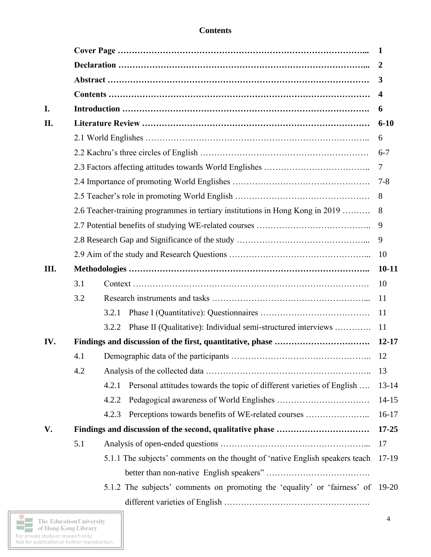## **Contents**

|      |     |                                                                                 | -1                      |
|------|-----|---------------------------------------------------------------------------------|-------------------------|
|      |     |                                                                                 | $\boldsymbol{2}$        |
|      |     |                                                                                 | 3                       |
|      |     |                                                                                 | $\overline{\mathbf{4}}$ |
| I.   |     |                                                                                 | 6                       |
| II.  |     |                                                                                 | $6 - 10$                |
|      |     |                                                                                 | 6                       |
|      |     |                                                                                 | $6 - 7$                 |
|      |     |                                                                                 | $\overline{7}$          |
|      |     |                                                                                 | $7 - 8$                 |
|      |     |                                                                                 | 8                       |
|      |     | 2.6 Teacher-training programmes in tertiary institutions in Hong Kong in 2019   | 8                       |
|      |     |                                                                                 | 9                       |
|      |     |                                                                                 | 9                       |
|      |     |                                                                                 | 10                      |
| III. |     |                                                                                 | $10 - 11$               |
|      | 3.1 |                                                                                 | 10                      |
|      | 3.2 |                                                                                 | 11                      |
|      |     | 3.2.1                                                                           | 11                      |
|      |     | Phase II (Qualitative): Individual semi-structured interviews<br>3.2.2          | 11                      |
| IV.  |     |                                                                                 | $12 - 17$               |
|      | 4.1 |                                                                                 | <sup>12</sup>           |
|      | 4.2 |                                                                                 | 13                      |
|      |     | Personal attitudes towards the topic of different varieties of English<br>4.2.1 | $13 - 14$               |
|      |     | 4.2.2                                                                           | $14 - 15$               |
|      |     | 4.2.3<br>Perceptions towards benefits of WE-related courses                     | $16-17$                 |
| V.   |     |                                                                                 | $17 - 25$               |
|      | 5.1 |                                                                                 | 17                      |
|      |     | 5.1.1 The subjects' comments on the thought of 'native English speakers teach   | $17-19$                 |
|      |     |                                                                                 |                         |
|      |     | 5.1.2 The subjects' comments on promoting the 'equality' or 'fairness' of 19-20 |                         |
|      |     |                                                                                 |                         |

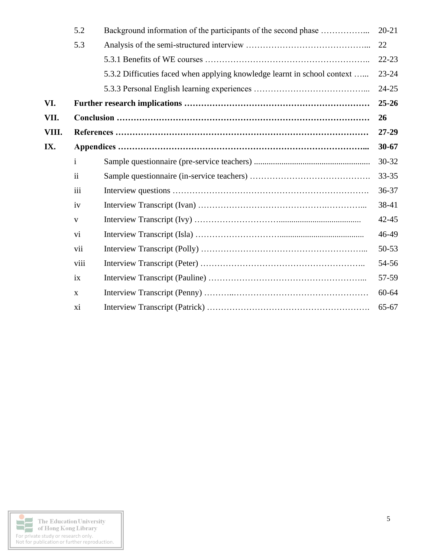|       | 5.2           | Background information of the participants of the second phase           | $20 - 21$ |
|-------|---------------|--------------------------------------------------------------------------|-----------|
|       | 5.3           |                                                                          | 22        |
|       |               |                                                                          | $22 - 23$ |
|       |               | 5.3.2 Difficuties faced when applying knowledge learnt in school context | $23 - 24$ |
|       |               |                                                                          | $24 - 25$ |
| VI.   |               |                                                                          | $25 - 26$ |
| VII.  |               |                                                                          | 26        |
| VIII. |               |                                                                          | $27-29$   |
| IX.   |               |                                                                          | $30 - 67$ |
|       | $\mathbf{i}$  |                                                                          | 30-32     |
|       | $\mathbf{ii}$ |                                                                          | $33 - 35$ |
|       | iii           |                                                                          | 36-37     |
|       | iv            |                                                                          | 38-41     |
|       | V             |                                                                          | $42 - 45$ |
|       | vi            |                                                                          | 46-49     |
|       | vii           |                                                                          | 50-53     |
|       | viii          |                                                                          | 54-56     |
|       | ix            |                                                                          | 57-59     |
|       | $\mathbf{X}$  |                                                                          | 60-64     |
|       | xi            |                                                                          | 65-67     |

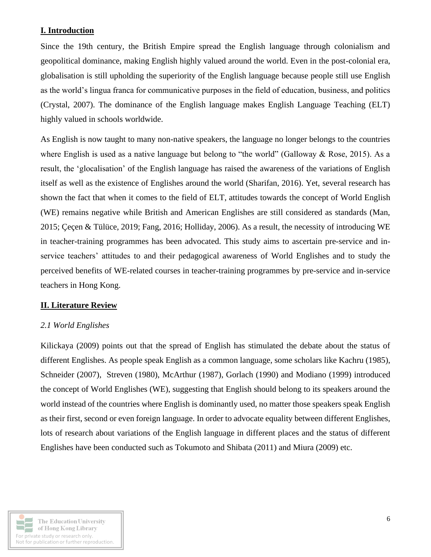## **I. Introduction**

Since the 19th century, the British Empire spread the English language through colonialism and geopolitical dominance, making English highly valued around the world. Even in the post-colonial era, globalisation is still upholding the superiority of the English language because people still use English as the world's lingua franca for communicative purposes in the field of education, business, and politics (Crystal, 2007). The dominance of the English language makes English Language Teaching (ELT) highly valued in schools worldwide.

As English is now taught to many non-native speakers, the language no longer belongs to the countries where English is used as a native language but belong to "the world" (Galloway & Rose, 2015). As a result, the 'glocalisation' of the English language has raised the awareness of the variations of English itself as well as the existence of Englishes around the world (Sharifan, 2016). Yet, several research has shown the fact that when it comes to the field of ELT, attitudes towards the concept of World English (WE) remains negative while British and American Englishes are still considered as standards (Man, 2015; Çeçen & Tülüce, 2019; Fang, 2016; Holliday, 2006). As a result, the necessity of introducing WE in teacher-training programmes has been advocated. This study aims to ascertain pre-service and inservice teachers' attitudes to and their pedagogical awareness of World Englishes and to study the perceived benefits of WE-related courses in teacher-training programmes by pre-service and in-service teachers in Hong Kong.

## **II. Literature Review**

## *2.1 World Englishes*

Kilickaya (2009) points out that the spread of English has stimulated the debate about the status of different Englishes. As people speak English as a common language, some scholars like Kachru (1985), Schneider (2007), Streven (1980), McArthur (1987), Gorlach (1990) and Modiano (1999) introduced the concept of World Englishes (WE), suggesting that English should belong to its speakers around the world instead of the countries where English is dominantly used, no matter those speakers speak English as their first, second or even foreign language. In order to advocate equality between different Englishes, lots of research about variations of the English language in different places and the status of different Englishes have been conducted such as Tokumoto and Shibata (2011) and Miura (2009) etc.

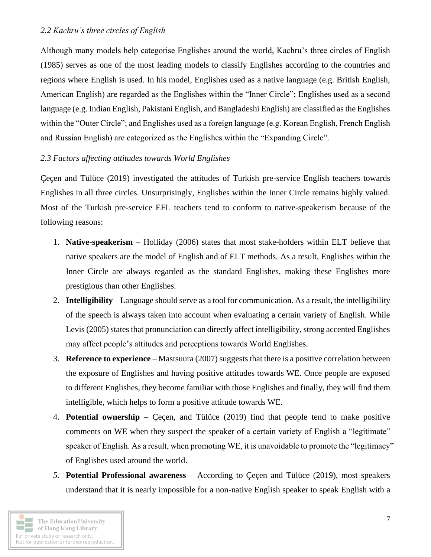### *2.2 Kachru's three circles of English*

Although many models help categorise Englishes around the world, Kachru's three circles of English (1985) serves as one of the most leading models to classify Englishes according to the countries and regions where English is used. In his model, Englishes used as a native language (e.g. British English, American English) are regarded as the Englishes within the "Inner Circle"; Englishes used as a second language (e.g. Indian English, Pakistani English, and Bangladeshi English) are classified as the Englishes within the "Outer Circle"; and Englishes used as a foreign language (e.g. Korean English, French English and Russian English) are categorized as the Englishes within the "Expanding Circle".

### *2.3 Factors affecting attitudes towards World Englishes*

Çeçen and Tülüce (2019) investigated the attitudes of Turkish pre-service English teachers towards Englishes in all three circles. Unsurprisingly, Englishes within the Inner Circle remains highly valued. Most of the Turkish pre-service EFL teachers tend to conform to native-speakerism because of the following reasons:

- 1. **Native-speakerism** Holliday (2006) states that most stake-holders within ELT believe that native speakers are the model of English and of ELT methods. As a result, Englishes within the Inner Circle are always regarded as the standard Englishes, making these Englishes more prestigious than other Englishes.
- 2. **Intelligibility** Language should serve as a tool for communication. As a result, the intelligibility of the speech is always taken into account when evaluating a certain variety of English. While Levis (2005) states that pronunciation can directly affect intelligibility, strong accented Englishes may affect people's attitudes and perceptions towards World Englishes.
- 3. **Reference to experience** Mastsuura (2007) suggests that there is a positive correlation between the exposure of Englishes and having positive attitudes towards WE. Once people are exposed to different Englishes, they become familiar with those Englishes and finally, they will find them intelligible, which helps to form a positive attitude towards WE.
- 4. **Potential ownership** Çeçen, and Tülüce (2019) find that people tend to make positive comments on WE when they suspect the speaker of a certain variety of English a "legitimate" speaker of English. As a result, when promoting WE, it is unavoidable to promote the "legitimacy" of Englishes used around the world.
- *5.* **Potential Professional awareness** According to Çeçen and Tülüce (2019), most speakers understand that it is nearly impossible for a non-native English speaker to speak English with a

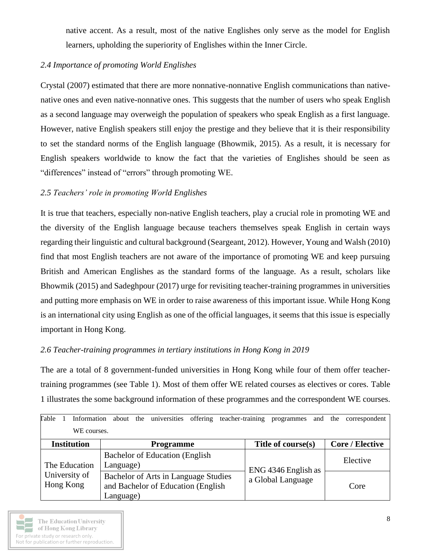native accent. As a result, most of the native Englishes only serve as the model for English learners, upholding the superiority of Englishes within the Inner Circle.

## *2.4 Importance of promoting World Englishes*

Crystal (2007) estimated that there are more nonnative-nonnative English communications than nativenative ones and even native-nonnative ones. This suggests that the number of users who speak English as a second language may overweigh the population of speakers who speak English as a first language. However, native English speakers still enjoy the prestige and they believe that it is their responsibility to set the standard norms of the English language (Bhowmik, 2015). As a result, it is necessary for English speakers worldwide to know the fact that the varieties of Englishes should be seen as "differences" instead of "errors" through promoting WE.

## *2.5 Teachers' role in promoting World Englishes*

It is true that teachers, especially non-native English teachers, play a crucial role in promoting WE and the diversity of the English language because teachers themselves speak English in certain ways regarding their linguistic and cultural background (Seargeant, 2012). However, Young and Walsh (2010) find that most English teachers are not aware of the importance of promoting WE and keep pursuing British and American Englishes as the standard forms of the language. As a result, scholars like Bhowmik (2015) and Sadeghpour (2017) urge for revisiting teacher-training programmes in universities and putting more emphasis on WE in order to raise awareness of this important issue. While Hong Kong is an international city using English as one of the official languages, it seems that this issue is especially important in Hong Kong.

## *2.6 Teacher-training programmes in tertiary institutions in Hong Kong in 2019*

The are a total of 8 government-funded universities in Hong Kong while four of them offer teachertraining programmes (see Table 1). Most of them offer WE related courses as electives or cores. Table 1 illustrates the some background information of these programmes and the correspondent WE courses.

| Table                      | universities<br>teacher-training<br>Information about<br>offering<br>the                 | and<br>programmes                        | the<br>correspondent   |
|----------------------------|------------------------------------------------------------------------------------------|------------------------------------------|------------------------|
| WE courses.                |                                                                                          |                                          |                        |
| <b>Institution</b>         | <b>Programme</b>                                                                         | Title of course(s)                       | <b>Core / Elective</b> |
| The Education              | <b>Bachelor of Education (English)</b><br>Language)                                      |                                          | Elective               |
| University of<br>Hong Kong | Bachelor of Arts in Language Studies<br>and Bachelor of Education (English)<br>Language) | ENG 4346 English as<br>a Global Language | Core                   |

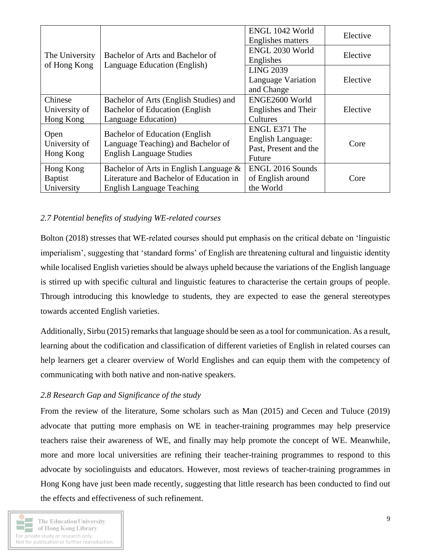|                                                     |                                         | ENGL 1042 World<br><b>Englishes matters</b> | Elective |
|-----------------------------------------------------|-----------------------------------------|---------------------------------------------|----------|
|                                                     | Bachelor of Arts and Bachelor of        | ENGL 2030 World                             |          |
| The University<br>of Hong Kong                      | Language Education (English)            | Englishes                                   | Elective |
|                                                     |                                         | <b>LING 2039</b>                            |          |
|                                                     |                                         | <b>Language Variation</b>                   | Elective |
|                                                     |                                         | and Change                                  |          |
| Chinese                                             | Bachelor of Arts (English Studies) and  | ENGE2600 World                              |          |
| University of                                       | <b>Bachelor of Education (English)</b>  | Englishes and Their                         | Elective |
| Language Education)<br>Hong Kong                    |                                         | Cultures                                    |          |
|                                                     | <b>Bachelor of Education (English)</b>  | ENGL E371 The                               |          |
| Open                                                |                                         | English Language:                           | Core     |
| Language Teaching) and Bachelor of<br>University of |                                         | Past, Present and the                       |          |
| Hong Kong                                           | <b>English Language Studies</b>         | Future                                      |          |
| Hong Kong                                           | Bachelor of Arts in English Language &  | ENGL 2016 Sounds                            |          |
| <b>B</b> aptist                                     | Literature and Bachelor of Education in | of English around                           | Core     |
| University                                          | <b>English Language Teaching</b>        | the World                                   |          |

### *2.7 Potential benefits of studying WE-related courses*

Bolton (2018) stresses that WE-related courses should put emphasis on the critical debate on 'linguistic imperialism', suggesting that 'standard forms' of English are threatening cultural and linguistic identity while localised English varieties should be always upheld because the variations of the English language is stirred up with specific cultural and linguistic features to characterise the certain groups of people. Through introducing this knowledge to students, they are expected to ease the general stereotypes towards accented English varieties.

Additionally, Sirbu (2015) remarks that language should be seen as a tool for communication. As a result, learning about the codification and classification of different varieties of English in related courses can help learners get a clearer overview of World Englishes and can equip them with the competency of communicating with both native and non-native speakers.

#### *2.8 Research Gap and Significance of the study*

From the review of the literature, Some scholars such as Man (2015) and Cecen and Tuluce (2019) advocate that putting more emphasis on WE in teacher-training programmes may help preservice teachers raise their awareness of WE, and finally may help promote the concept of WE. Meanwhile, more and more local universities are refining their teacher-training programmes to respond to this advocate by sociolinguists and educators. However, most reviews of teacher-training programmes in Hong Kong have just been made recently, suggesting that little research has been conducted to find out the effects and effectiveness of such refinement.

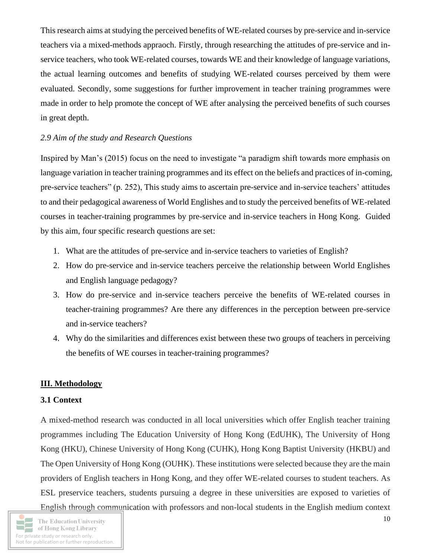This research aims at studying the perceived benefits of WE-related courses by pre-service and in-service teachers via a mixed-methods appraoch. Firstly, through researching the attitudes of pre-service and inservice teachers, who took WE-related courses, towards WE and their knowledge of language variations, the actual learning outcomes and benefits of studying WE-related courses perceived by them were evaluated. Secondly, some suggestions for further improvement in teacher training programmes were made in order to help promote the concept of WE after analysing the perceived benefits of such courses in great depth.

### *2.9 Aim of the study and Research Questions*

Inspired by Man's (2015) focus on the need to investigate "a paradigm shift towards more emphasis on language variation in teacher training programmes and its effect on the beliefs and practices of in-coming, pre-service teachers" (p. 252), This study aims to ascertain pre-service and in-service teachers' attitudes to and their pedagogical awareness of World Englishes and to study the perceived benefits of WE-related courses in teacher-training programmes by pre-service and in-service teachers in Hong Kong. Guided by this aim, four specific research questions are set:

- 1. What are the attitudes of pre-service and in-service teachers to varieties of English?
- 2. How do pre-service and in-service teachers perceive the relationship between World Englishes and English language pedagogy?
- 3. How do pre-service and in-service teachers perceive the benefits of WE-related courses in teacher-training programmes? Are there any differences in the perception between pre-service and in-service teachers?
- 4. Why do the similarities and differences exist between these two groups of teachers in perceiving the benefits of WE courses in teacher-training programmes?

## **III. Methodology**

#### **3.1 Context**

A mixed-method research was conducted in all local universities which offer English teacher training programmes including The Education University of Hong Kong (EdUHK), The University of Hong Kong (HKU), Chinese University of Hong Kong (CUHK), Hong Kong Baptist University (HKBU) and The Open University of Hong Kong (OUHK). These institutions were selected because they are the main providers of English teachers in Hong Kong, and they offer WE-related courses to student teachers. As ESL preservice teachers, students pursuing a degree in these universities are exposed to varieties of English through communication with professors and non-local students in the English medium context

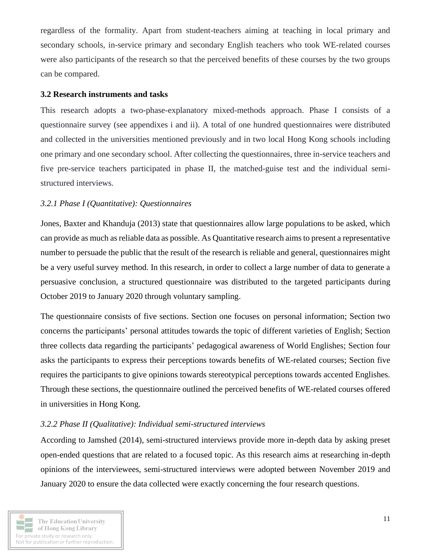regardless of the formality. Apart from student-teachers aiming at teaching in local primary and secondary schools, in-service primary and secondary English teachers who took WE-related courses were also participants of the research so that the perceived benefits of these courses by the two groups can be compared.

#### **3.2 Research instruments and tasks**

This research adopts a two-phase-explanatory mixed-methods approach. Phase I consists of a questionnaire survey (see appendixes i and ii). A total of one hundred questionnaires were distributed and collected in the universities mentioned previously and in two local Hong Kong schools including one primary and one secondary school. After collecting the questionnaires, three in-service teachers and five pre-service teachers participated in phase II, the matched-guise test and the individual semistructured interviews.

## *3.2.1 Phase I (Quantitative): Questionnaires*

Jones, Baxter and Khanduja (2013) state that questionnaires allow large populations to be asked, which can provide as much as reliable data as possible. As Quantitative research aims to present a representative number to persuade the public that the result of the research is reliable and general, questionnaires might be a very useful survey method. In this research, in order to collect a large number of data to generate a persuasive conclusion, a structured questionnaire was distributed to the targeted participants during October 2019 to January 2020 through voluntary sampling.

The questionnaire consists of five sections. Section one focuses on personal information; Section two concerns the participants' personal attitudes towards the topic of different varieties of English; Section three collects data regarding the participants' pedagogical awareness of World Englishes; Section four asks the participants to express their perceptions towards benefits of WE-related courses; Section five requires the participants to give opinions towards stereotypical perceptions towards accented Englishes. Through these sections, the questionnaire outlined the perceived benefits of WE-related courses offered in universities in Hong Kong.

## *3.2.2 Phase II (Qualitative): Individual semi-structured interviews*

According to Jamshed (2014), semi-structured interviews provide more in-depth data by asking preset open-ended questions that are related to a focused topic. As this research aims at researching in-depth opinions of the interviewees, semi-structured interviews were adopted between November 2019 and January 2020 to ensure the data collected were exactly concerning the four research questions.

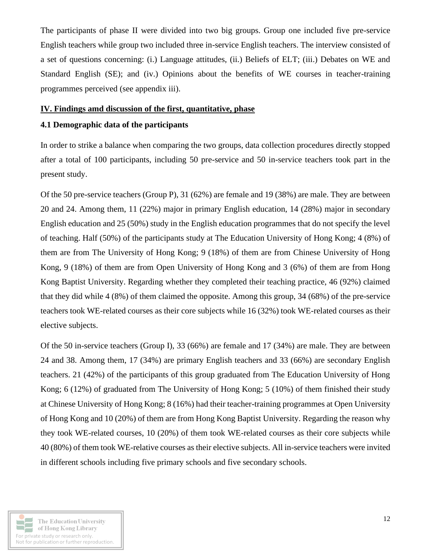The participants of phase II were divided into two big groups. Group one included five pre-service English teachers while group two included three in-service English teachers. The interview consisted of a set of questions concerning: (i.) Language attitudes, (ii.) Beliefs of ELT; (iii.) Debates on WE and Standard English (SE); and (iv.) Opinions about the benefits of WE courses in teacher-training programmes perceived (see appendix iii).

#### **IV. Findings amd discussion of the first, quantitative, phase**

#### **4.1 Demographic data of the participants**

In order to strike a balance when comparing the two groups, data collection procedures directly stopped after a total of 100 participants, including 50 pre-service and 50 in-service teachers took part in the present study.

Of the 50 pre-service teachers (Group P), 31 (62%) are female and 19 (38%) are male. They are between 20 and 24. Among them, 11 (22%) major in primary English education, 14 (28%) major in secondary English education and 25 (50%) study in the English education programmes that do not specify the level of teaching. Half (50%) of the participants study at The Education University of Hong Kong; 4 (8%) of them are from The University of Hong Kong; 9 (18%) of them are from Chinese University of Hong Kong, 9 (18%) of them are from Open University of Hong Kong and 3 (6%) of them are from Hong Kong Baptist University. Regarding whether they completed their teaching practice, 46 (92%) claimed that they did while 4 (8%) of them claimed the opposite. Among this group, 34 (68%) of the pre-service teachers took WE-related courses as their core subjects while 16 (32%) took WE-related courses as their elective subjects.

Of the 50 in-service teachers (Group I), 33 (66%) are female and 17 (34%) are male. They are between 24 and 38. Among them, 17 (34%) are primary English teachers and 33 (66%) are secondary English teachers. 21 (42%) of the participants of this group graduated from The Education University of Hong Kong; 6 (12%) of graduated from The University of Hong Kong; 5 (10%) of them finished their study at Chinese University of Hong Kong; 8 (16%) had their teacher-training programmes at Open University of Hong Kong and 10 (20%) of them are from Hong Kong Baptist University. Regarding the reason why they took WE-related courses, 10 (20%) of them took WE-related courses as their core subjects while 40 (80%) of them took WE-relative courses as their elective subjects. All in-service teachers were invited in different schools including five primary schools and five secondary schools.

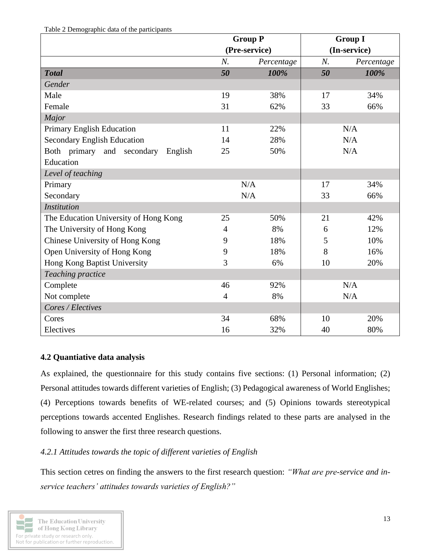|  |  | Table 2 Demographic data of the participants |
|--|--|----------------------------------------------|
|  |  |                                              |

|                                       | <b>Group P</b> |            | <b>Group I</b> |              |
|---------------------------------------|----------------|------------|----------------|--------------|
|                                       | (Pre-service)  |            |                | (In-service) |
|                                       | N.             | Percentage | N.             | Percentage   |
| <b>Total</b>                          | 50             | 100%       | 50             | 100%         |
| Gender                                |                |            |                |              |
| Male                                  | 19             | 38%        | 17             | 34%          |
| Female                                | 31             | 62%        | 33             | 66%          |
| Major                                 |                |            |                |              |
| Primary English Education             | 11             | 22%        |                | N/A          |
| Secondary English Education           | 14             | 28%        |                | N/A          |
| Both primary and secondary<br>English | 25             | 50%        |                | N/A          |
| Education                             |                |            |                |              |
| Level of teaching                     |                |            |                |              |
| Primary                               |                | N/A        | 17             | 34%          |
| Secondary                             |                | N/A        | 33             | 66%          |
| <b>Institution</b>                    |                |            |                |              |
| The Education University of Hong Kong | 25             | 50%        | 21             | 42%          |
| The University of Hong Kong           | $\overline{4}$ | 8%         | 6              | 12%          |
| Chinese University of Hong Kong       | 9              | 18%        | 5              | 10%          |
| Open University of Hong Kong          | 9              | 18%        | 8              | 16%          |
| Hong Kong Baptist University          | 3              | 6%         | 10             | 20%          |
| Teaching practice                     |                |            |                |              |
| Complete                              | 46             | 92%        |                | N/A          |
| Not complete                          | $\overline{4}$ | 8%         |                | N/A          |
| Cores / Electives                     |                |            |                |              |
| Cores                                 | 34             | 68%        | 10             | 20%          |
| Electives                             | 16             | 32%        | 40             | 80%          |

# **4.2 Quantiative data analysis**

As explained, the questionnaire for this study contains five sections: (1) Personal information; (2) Personal attitudes towards different varieties of English; (3) Pedagogical awareness of World Englishes; (4) Perceptions towards benefits of WE-related courses; and (5) Opinions towards stereotypical perceptions towards accented Englishes. Research findings related to these parts are analysed in the following to answer the first three research questions.

# *4.2.1 Attitudes towards the topic of different varieties of English*

This section cetres on finding the answers to the first research question: *"What are pre-service and inservice teachers' attitudes towards varieties of English?"*

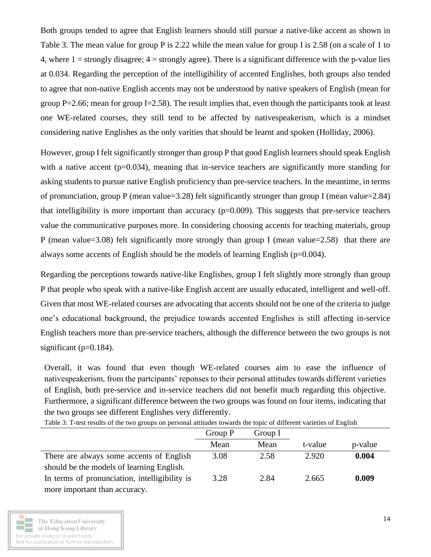Both groups tended to agree that English learners should still pursue a native-like accent as shown in Table 3. The mean value for group P is 2.22 while the mean value for group I is 2.58 (on a scale of 1 to 4, where  $1 =$  strongly disagree;  $4 =$  strongly agree). There is a significant difference with the p-value lies at 0.034. Regarding the perception of the intelligibility of accented Englishes, both groups also tended to agree that non-native English accents may not be understood by native speakers of English (mean for group  $P=2.66$ ; mean for group I $=2.58$ ). The result implies that, even though the participants took at least one WE-related courses, they still tend to be affected by nativespeakerism, which is a mindset considering native Englishes as the only varities that should be learnt and spoken (Holliday, 2006).

However, group I felt significantly stronger than group P that good English learners should speak English with a native accent  $(p=0.034)$ , meaning that in-service teachers are significantly more standing for asking students to pursue native English proficiency than pre-service teachers. In the meantime, in terms of pronunciation, group P (mean value=3.28) felt significantly stronger than group I (mean value=2.84) that intelligibility is more important than accuracy  $(p=0.009)$ . This suggests that pre-service teachers value the communicative purposes more. In considering choosing accents for teaching materials, group P (mean value=3.08) felt significantly more strongly than group I (mean value=2.58) that there are always some accents of English should be the models of learning English ( $p=0.004$ ).

Regarding the perceptions towards native-like Englishes, group I felt slightly more strongly than group P that people who speak with a native-like English accent are usually educated, intelligent and well-off. Given that most WE-related courses are advocating that accents should not be one of the criteria to judge one's educational background, the prejudice towards accented Englishes is still affecting in-service English teachers more than pre-service teachers, although the difference between the two groups is not significant ( $p=0.184$ ).

Overall, it was found that even though WE-related courses aim to ease the influence of nativespeakerism, from the partcipants' reponses to their personal attitudes towards different varieties of English, both pre-service and in-service teachers did not benefit much regarding this objective. Furthermore, a significant difference between the two groups was found on four items, indicating that the two groups see different Englishes very differently.

|                                               | Group P | Group I |         |         |
|-----------------------------------------------|---------|---------|---------|---------|
|                                               | Mean    | Mean    | t-value | p-value |
| There are always some accents of English      | 3.08    | 2.58    | 2.920   | 0.004   |
| should be the models of learning English.     |         |         |         |         |
| In terms of pronunciation, intelligibility is | 3.28    | 2.84    | 2.665   | 0.009   |
| more important than accuracy.                 |         |         |         |         |

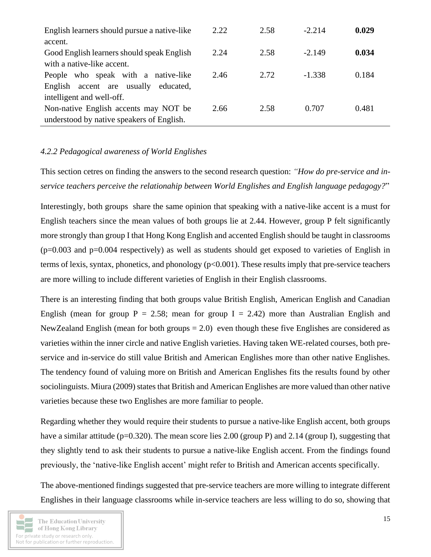| English learners should pursue a native-like | 2.22 | 2.58 | $-2.214$ | 0.029 |
|----------------------------------------------|------|------|----------|-------|
| accent.                                      |      |      |          |       |
| Good English learners should speak English   | 2.24 | 2.58 | $-2.149$ | 0.034 |
| with a native-like accent.                   |      |      |          |       |
| People who speak with a native-like          | 2.46 | 2.72 | $-1.338$ | 0.184 |
| English accent are usually educated,         |      |      |          |       |
| intelligent and well-off.                    |      |      |          |       |
| Non-native English accents may NOT be        | 2.66 | 2.58 | 0.707    | 0.481 |
| understood by native speakers of English.    |      |      |          |       |

### *4.2.2 Pedagogical awareness of World Englishes*

This section cetres on finding the answers to the second research question: *"How do pre-service and inservice teachers perceive the relationahip between World Englishes and English language pedagogy?*"

Interestingly, both groups share the same opinion that speaking with a native-like accent is a must for English teachers since the mean values of both groups lie at 2.44. However, group P felt significantly more strongly than group I that Hong Kong English and accented English should be taught in classrooms  $(p=0.003$  and  $p=0.004$  respectively) as well as students should get exposed to varieties of English in terms of lexis, syntax, phonetics, and phonology (p<0.001). These results imply that pre-service teachers are more willing to include different varieties of English in their English classrooms.

There is an interesting finding that both groups value British English, American English and Canadian English (mean for group  $P = 2.58$ ; mean for group  $I = 2.42$ ) more than Australian English and NewZealand English (mean for both groups = 2.0) even though these five Englishes are considered as varieties within the inner circle and native English varieties. Having taken WE-related courses, both preservice and in-service do still value British and American Englishes more than other native Englishes. The tendency found of valuing more on British and American Englishes fits the results found by other sociolinguists. Miura (2009) states that British and American Englishes are more valued than other native varieties because these two Englishes are more familiar to people.

Regarding whether they would require their students to pursue a native-like English accent, both groups have a similar attitude (p=0.320). The mean score lies 2.00 (group P) and 2.14 (group I), suggesting that they slightly tend to ask their students to pursue a native-like English accent. From the findings found previously, the 'native-like English accent' might refer to British and American accents specifically.

The above-mentioned findings suggested that pre-service teachers are more willing to integrate different Englishes in their language classrooms while in-service teachers are less willing to do so, showing that

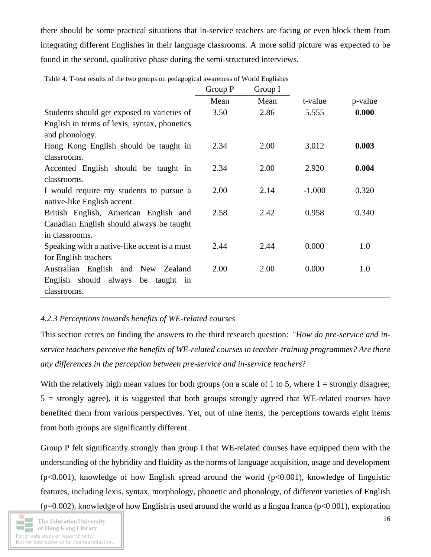there should be some practical situations that in-service teachers are facing or even block them from integrating different Englishes in their language classrooms. A more solid picture was expected to be found in the second, qualitative phase during the semi-structured interviews.

|                                              | Group P | Group I |          |         |
|----------------------------------------------|---------|---------|----------|---------|
|                                              | Mean    | Mean    | t-value  | p-value |
| Students should get exposed to varieties of  | 3.50    | 2.86    | 5.555    | 0.000   |
| English in terms of lexis, syntax, phonetics |         |         |          |         |
| and phonology.                               |         |         |          |         |
| Hong Kong English should be taught in        | 2.34    | 2.00    | 3.012    | 0.003   |
| classrooms.                                  |         |         |          |         |
| Accented English should be taught in         | 2.34    | 2.00    | 2.920    | 0.004   |
| classrooms.                                  |         |         |          |         |
| I would require my students to pursue a      | 2.00    | 2.14    | $-1.000$ | 0.320   |
| native-like English accent.                  |         |         |          |         |
| British English, American English and        | 2.58    | 2.42    | 0.958    | 0.340   |
| Canadian English should always be taught     |         |         |          |         |
| in classrooms.                               |         |         |          |         |
| Speaking with a native-like accent is a must | 2.44    | 2.44    | 0.000    | 1.0     |
| for English teachers                         |         |         |          |         |
| Australian English and New<br>Zealand        | 2.00    | 2.00    | 0.000    | 1.0     |
| English should always<br>be<br>taught in     |         |         |          |         |
| classrooms.                                  |         |         |          |         |

Table 4: T-test results of the two groups on pedagogical awareness of World Englishes

#### *4.2.3 Perceptions towards benefits of WE-related courses*

This section cetres on finding the answers to the third research question: *"How do pre-service and inservice teachers perceive the benefits of WE-related courses in teacher-training programmes? Are there any differences in the perception between pre-service and in-service teachers*?

With the relatively high mean values for both groups (on a scale of 1 to 5, where  $1 =$  strongly disagree;  $5 =$  strongly agree), it is suggested that both groups strongly agreed that WE-related courses have benefited them from various perspectives. Yet, out of nine items, the perceptions towards eight items from both groups are significantly different.

Group P felt significantly strongly than group I that WE-related courses have equipped them with the understanding of the hybridity and fluidity as the norms of language acquisition, usage and development  $(p<0.001)$ , knowledge of how English spread around the world  $(p<0.001)$ , knowledge of linguistic features, including lexis, syntax, morphology, phonetic and phonology, of different varieties of English  $(p=0.002)$ , knowledge of how English is used around the world as a lingua franca  $(p<0.001)$ , exploration

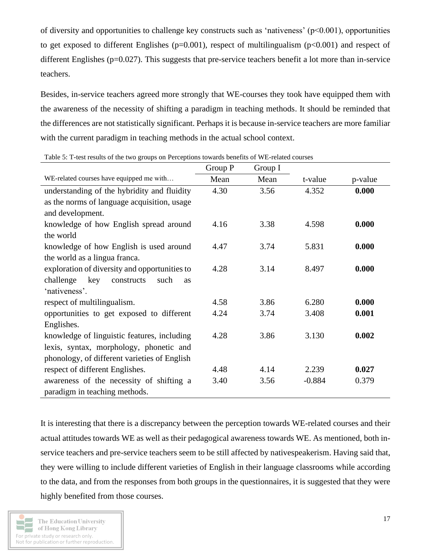of diversity and opportunities to challenge key constructs such as 'nativeness' ( $p<0.001$ ), opportunities to get exposed to different Englishes ( $p=0.001$ ), respect of multilingualism ( $p<0.001$ ) and respect of different Englishes ( $p=0.027$ ). This suggests that pre-service teachers benefit a lot more than in-service teachers.

Besides, in-service teachers agreed more strongly that WE-courses they took have equipped them with the awareness of the necessity of shifting a paradigm in teaching methods. It should be reminded that the differences are not statistically significant. Perhaps it is because in-service teachers are more familiar with the current paradigm in teaching methods in the actual school context.

|                                                     | Group P | Group I |          |         |
|-----------------------------------------------------|---------|---------|----------|---------|
| WE-related courses have equipped me with            | Mean    | Mean    | t-value  | p-value |
| understanding of the hybridity and fluidity         | 4.30    | 3.56    | 4.352    | 0.000   |
| as the norms of language acquisition, usage         |         |         |          |         |
| and development.                                    |         |         |          |         |
| knowledge of how English spread around              | 4.16    | 3.38    | 4.598    | 0.000   |
| the world                                           |         |         |          |         |
| knowledge of how English is used around             | 4.47    | 3.74    | 5.831    | 0.000   |
| the world as a lingua franca.                       |         |         |          |         |
| exploration of diversity and opportunities to       | 4.28    | 3.14    | 8.497    | 0.000   |
| challenge<br>key<br>constructs<br>such<br><b>as</b> |         |         |          |         |
| 'nativeness'.                                       |         |         |          |         |
| respect of multilingualism.                         | 4.58    | 3.86    | 6.280    | 0.000   |
| opportunities to get exposed to different           | 4.24    | 3.74    | 3.408    | 0.001   |
| Englishes.                                          |         |         |          |         |
| knowledge of linguistic features, including         | 4.28    | 3.86    | 3.130    | 0.002   |
| lexis, syntax, morphology, phonetic and             |         |         |          |         |
| phonology, of different varieties of English        |         |         |          |         |
| respect of different Englishes.                     | 4.48    | 4.14    | 2.239    | 0.027   |
| awareness of the necessity of shifting a            | 3.40    | 3.56    | $-0.884$ | 0.379   |
| paradigm in teaching methods.                       |         |         |          |         |

Table 5: T-test results of the two groups on Perceptions towards benefits of WE-related courses

It is interesting that there is a discrepancy between the perception towards WE-related courses and their actual attitudes towards WE as well as their pedagogical awareness towards WE. As mentioned, both inservice teachers and pre-service teachers seem to be still affected by nativespeakerism. Having said that, they were willing to include different varieties of English in their language classrooms while according to the data, and from the responses from both groups in the questionnaires, it is suggested that they were highly benefited from those courses.

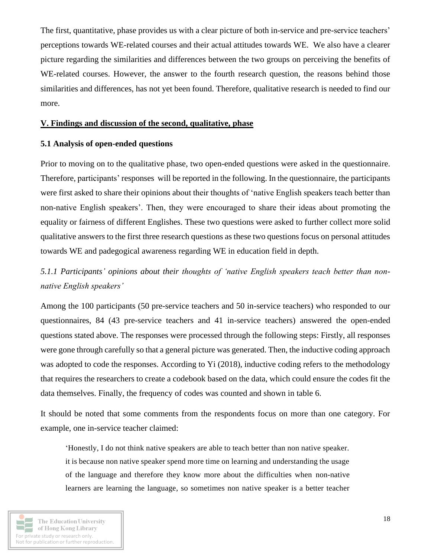The first, quantitative, phase provides us with a clear picture of both in-service and pre-service teachers' perceptions towards WE-related courses and their actual attitudes towards WE. We also have a clearer picture regarding the similarities and differences between the two groups on perceiving the benefits of WE-related courses. However, the answer to the fourth research question, the reasons behind those similarities and differences, has not yet been found. Therefore, qualitative research is needed to find our more.

#### **V. Findings and discussion of the second, qualitative, phase**

#### **5.1 Analysis of open-ended questions**

Prior to moving on to the qualitative phase, two open-ended questions were asked in the questionnaire. Therefore, participants' responses will be reported in the following. In the questionnaire, the participants were first asked to share their opinions about their thoughts of 'native English speakers teach better than non-native English speakers'. Then, they were encouraged to share their ideas about promoting the equality or fairness of different Englishes. These two questions were asked to further collect more solid qualitative answers to the first three research questions as these two questions focus on personal attitudes towards WE and padegogical awareness regarding WE in education field in depth.

*5.1.1 Participants' opinions about their thoughts of 'native English speakers teach better than nonnative English speakers'*

Among the 100 participants (50 pre-service teachers and 50 in-service teachers) who responded to our questionnaires, 84 (43 pre-service teachers and 41 in-service teachers) answered the open-ended questions stated above. The responses were processed through the following steps: Firstly, all responses were gone through carefully so that a general picture was generated. Then, the inductive coding approach was adopted to code the responses. According to Yi (2018), inductive coding refers to the methodology that requires the researchers to create a codebook based on the data, which could ensure the codes fit the data themselves. Finally, the frequency of codes was counted and shown in table 6.

It should be noted that some comments from the respondents focus on more than one category. For example, one in-service teacher claimed:

'Honestly, I do not think native speakers are able to teach better than non native speaker. it is because non native speaker spend more time on learning and understanding the usage of the language and therefore they know more about the difficulties when non-native learners are learning the language, so sometimes non native speaker is a better teacher

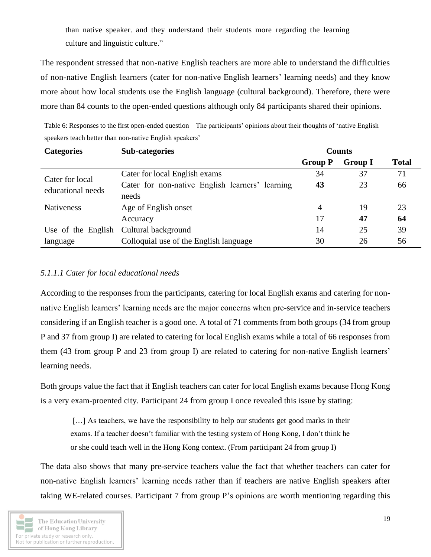than native speaker. and they understand their students more regarding the learning culture and linguistic culture."

The respondent stressed that non-native English teachers are more able to understand the difficulties of non-native English learners (cater for non-native English learners' learning needs) and they know more about how local students use the English language (cultural background). Therefore, there were more than 84 counts to the open-ended questions although only 84 participants shared their opinions.

Table 6: Responses to the first open-ended question – The participants' opinions about their thoughts of 'native English speakers teach better than non-native English speakers'

| <b>Sub-categories</b><br><b>Categories</b> |                                                 |                | <b>Counts</b>  |              |
|--------------------------------------------|-------------------------------------------------|----------------|----------------|--------------|
|                                            |                                                 | <b>Group P</b> | <b>Group I</b> | <b>Total</b> |
| Cater for local                            | Cater for local English exams                   | 34             | 37             | 71           |
| educational needs                          | Cater for non-native English learners' learning | 43             | 23             | 66           |
|                                            | needs                                           |                |                |              |
| <b>Nativeness</b>                          | Age of English onset                            | 4              | 19             | 23           |
|                                            | Accuracy                                        | 17             | 47             | 64           |
| Use of the English                         | Cultural background                             | 14             | 25             | 39           |
| language                                   | Colloquial use of the English language          | 30             | 26             | 56           |

### *5.1.1.1 Cater for local educational needs*

According to the responses from the participants, catering for local English exams and catering for nonnative English learners' learning needs are the major concerns when pre-service and in-service teachers considering if an English teacher is a good one. A total of 71 comments from both groups (34 from group P and 37 from group I) are related to catering for local English exams while a total of 66 responses from them (43 from group P and 23 from group I) are related to catering for non-native English learners' learning needs.

Both groups value the fact that if English teachers can cater for local English exams because Hong Kong is a very exam-proented city. Participant 24 from group I once revealed this issue by stating:

[...] As teachers, we have the responsibility to help our students get good marks in their exams. If a teacher doesn't familiar with the testing system of Hong Kong, I don't think he or she could teach well in the Hong Kong context. (From participant 24 from group I)

The data also shows that many pre-service teachers value the fact that whether teachers can cater for non-native English learners' learning needs rather than if teachers are native English speakers after taking WE-related courses. Participant 7 from group P's opinions are worth mentioning regarding this

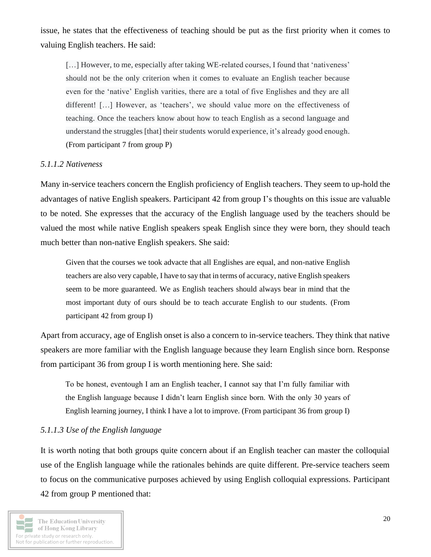issue, he states that the effectiveness of teaching should be put as the first priority when it comes to valuing English teachers. He said:

[...] However, to me, especially after taking WE-related courses, I found that 'nativeness' should not be the only criterion when it comes to evaluate an English teacher because even for the 'native' English varities, there are a total of five Englishes and they are all different! […] However, as 'teachers', we should value more on the effectiveness of teaching. Once the teachers know about how to teach English as a second language and understand the struggles [that] their students woruld experience, it's already good enough. (From participant 7 from group P)

#### *5.1.1.2 Nativeness*

Many in-service teachers concern the English proficiency of English teachers. They seem to up-hold the advantages of native English speakers. Participant 42 from group I's thoughts on this issue are valuable to be noted. She expresses that the accuracy of the English language used by the teachers should be valued the most while native English speakers speak English since they were born, they should teach much better than non-native English speakers. She said:

Given that the courses we took advacte that all Englishes are equal, and non-native English teachers are also very capable, I have to say that in terms of accuracy, native English speakers seem to be more guaranteed. We as English teachers should always bear in mind that the most important duty of ours should be to teach accurate English to our students. (From participant 42 from group I)

Apart from accuracy, age of English onset is also a concern to in-service teachers. They think that native speakers are more familiar with the English language because they learn English since born. Response from participant 36 from group I is worth mentioning here. She said:

To be honest, eventough I am an English teacher, I cannot say that I'm fully familiar with the English language because I didn't learn English since born. With the only 30 years of English learning journey, I think I have a lot to improve. (From participant 36 from group I)

#### *5.1.1.3 Use of the English language*

It is worth noting that both groups quite concern about if an English teacher can master the colloquial use of the English language while the rationales behinds are quite different. Pre-service teachers seem to focus on the communicative purposes achieved by using English colloquial expressions. Participant 42 from group P mentioned that:

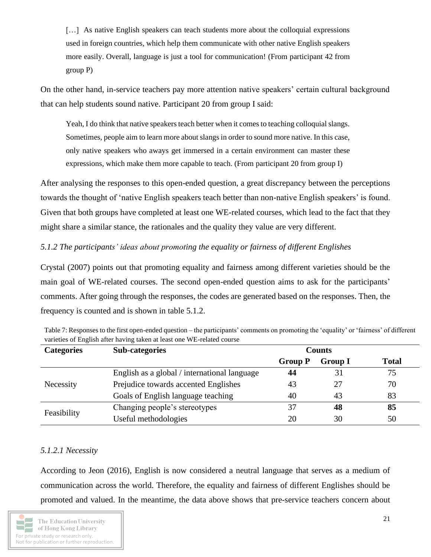[...] As native English speakers can teach students more about the colloquial expressions used in foreign countries, which help them communicate with other native English speakers more easily. Overall, language is just a tool for communication! (From participant 42 from group P)

On the other hand, in-service teachers pay more attention native speakers' certain cultural background that can help students sound native. Participant 20 from group I said:

Yeah, I do think that native speakers teach better when it comes to teaching colloquial slangs. Sometimes, people aim to learn more about slangs in order to sound more native. In this case, only native speakers who aways get immersed in a certain environment can master these expressions, which make them more capable to teach. (From participant 20 from group I)

After analysing the responses to this open-ended question, a great discrepancy between the perceptions towards the thought of 'native English speakers teach better than non-native English speakers' is found. Given that both groups have completed at least one WE-related courses, which lead to the fact that they might share a similar stance, the rationales and the quality they value are very different.

### *5.1.2 The participants' ideas about promoting the equality or fairness of different Englishes*

Crystal (2007) points out that promoting equality and fairness among different varieties should be the main goal of WE-related courses. The second open-ended question aims to ask for the participants' comments. After going through the responses, the codes are generated based on the responses. Then, the frequency is counted and is shown in table 5.1.2.

| <b>Categories</b> | Sub-categories                               |                | <b>Counts</b>  |              |
|-------------------|----------------------------------------------|----------------|----------------|--------------|
|                   |                                              | <b>Group P</b> | <b>Group I</b> | <b>Total</b> |
| Necessity         | English as a global / international language | 44             |                | 75           |
|                   | Prejudice towards accented Englishes         | 43             | 27             | 70           |
|                   | Goals of English language teaching           | 40             | 43             | 83           |
| Feasibility       | Changing people's stereotypes                | 37             | 48             | 85           |
|                   | Useful methodologies                         | 20             | 30             | 50           |

Table 7: Responses to the first open-ended question – the participants' comments on promoting the 'equality' or 'fairness' of different varieties of English after having taken at least one WE-related course

#### *5.1.2.1 Necessity*

According to Jeon (2016), English is now considered a neutral language that serves as a medium of communication across the world. Therefore, the equality and fairness of different Englishes should be promoted and valued. In the meantime, the data above shows that pre-service teachers concern about

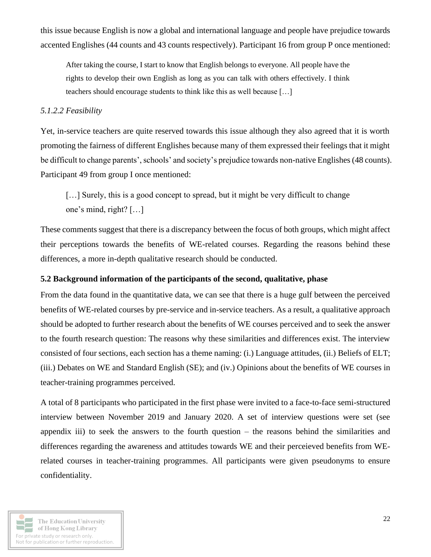this issue because English is now a global and international language and people have prejudice towards accented Englishes (44 counts and 43 counts respectively). Participant 16 from group P once mentioned:

After taking the course, I start to know that English belongs to everyone. All people have the rights to develop their own English as long as you can talk with others effectively. I think teachers should encourage students to think like this as well because […]

## *5.1.2.2 Feasibility*

Yet, in-service teachers are quite reserved towards this issue although they also agreed that it is worth promoting the fairness of different Englishes because many of them expressed their feelings that it might be difficult to change parents', schools' and society's prejudice towards non-native Englishes (48 counts). Participant 49 from group I once mentioned:

[...] Surely, this is a good concept to spread, but it might be very difficult to change one's mind, right? […]

These comments suggest that there is a discrepancy between the focus of both groups, which might affect their perceptions towards the benefits of WE-related courses. Regarding the reasons behind these differences, a more in-depth qualitative research should be conducted.

## **5.2 Background information of the participants of the second, qualitative, phase**

From the data found in the quantitative data, we can see that there is a huge gulf between the perceived benefits of WE-related courses by pre-service and in-service teachers. As a result, a qualitative approach should be adopted to further research about the benefits of WE courses perceived and to seek the answer to the fourth research question: The reasons why these similarities and differences exist. The interview consisted of four sections, each section has a theme naming: (i.) Language attitudes, (ii.) Beliefs of ELT; (iii.) Debates on WE and Standard English (SE); and (iv.) Opinions about the benefits of WE courses in teacher-training programmes perceived.

A total of 8 participants who participated in the first phase were invited to a face-to-face semi-structured interview between November 2019 and January 2020. A set of interview questions were set (see appendix iii) to seek the answers to the fourth question – the reasons behind the similarities and differences regarding the awareness and attitudes towards WE and their perceieved benefits from WErelated courses in teacher-training programmes. All participants were given pseudonyms to ensure confidentiality.

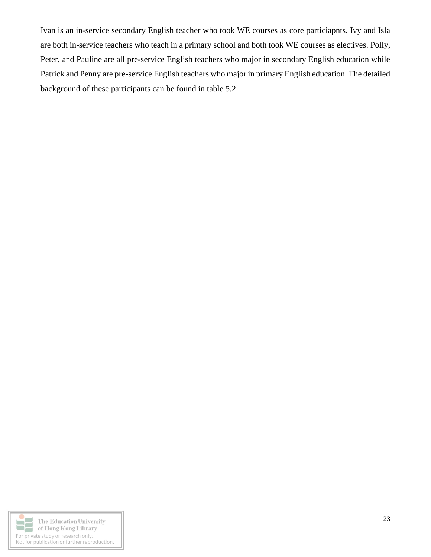Ivan is an in-service secondary English teacher who took WE courses as core particiapnts. Ivy and Isla are both in-service teachers who teach in a primary school and both took WE courses as electives. Polly, Peter, and Pauline are all pre-service English teachers who major in secondary English education while Patrick and Penny are pre-service English teachers who major in primary English education. The detailed background of these participants can be found in table 5.2.

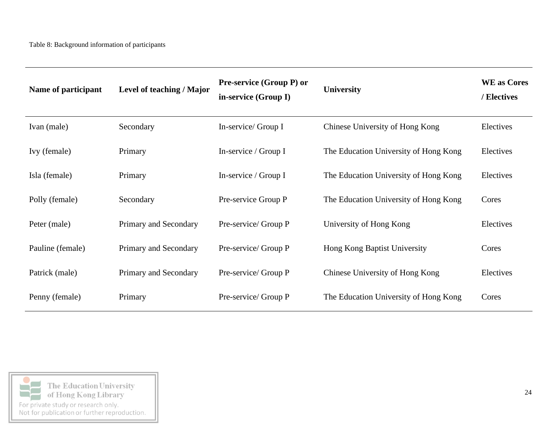| Name of participant | Level of teaching / Major | Pre-service (Group P) or<br>in-service (Group I) | <b>University</b>                     | <b>WE</b> as Cores<br>/ Electives |
|---------------------|---------------------------|--------------------------------------------------|---------------------------------------|-----------------------------------|
| Ivan (male)         | Secondary                 | In-service/ Group I                              | Chinese University of Hong Kong       | Electives                         |
| Ivy (female)        | Primary                   | In-service / Group I                             | The Education University of Hong Kong | Electives                         |
| Isla (female)       | Primary                   | In-service / Group I                             | The Education University of Hong Kong | Electives                         |
| Polly (female)      | Secondary                 | Pre-service Group P                              | The Education University of Hong Kong | Cores                             |
| Peter (male)        | Primary and Secondary     | Pre-service/ Group P                             | University of Hong Kong               | Electives                         |
| Pauline (female)    | Primary and Secondary     | Pre-service/ Group P                             | Hong Kong Baptist University          | Cores                             |
| Patrick (male)      | Primary and Secondary     | Pre-service/ Group P                             | Chinese University of Hong Kong       | Electives                         |
| Penny (female)      | Primary                   | Pre-service/ Group P                             | The Education University of Hong Kong | Cores                             |

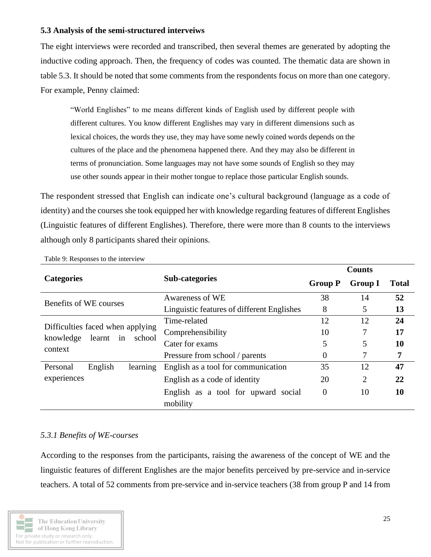### **5.3 Analysis of the semi-structured interveiws**

The eight interviews were recorded and transcribed, then several themes are generated by adopting the inductive coding approach. Then, the frequency of codes was counted. The thematic data are shown in table 5.3. It should be noted that some comments from the respondents focus on more than one category. For example, Penny claimed:

"World Englishes" to me means different kinds of English used by different people with different cultures. You know different Englishes may vary in different dimensions such as lexical choices, the words they use, they may have some newly coined words depends on the cultures of the place and the phenomena happened there. And they may also be different in terms of pronunciation. Some languages may not have some sounds of English so they may use other sounds appear in their mother tongue to replace those particular English sounds.

The respondent stressed that English can indicate one's cultural background (language as a code of identity) and the courses she took equipped her with knowledge regarding features of different Englishes (Linguistic features of different Englishes). Therefore, there were more than 8 counts to the interviews although only 8 participants shared their opinions.

|                                                                         |                                                 | <b>Counts</b>  |                |              |  |  |  |
|-------------------------------------------------------------------------|-------------------------------------------------|----------------|----------------|--------------|--|--|--|
| <b>Categories</b>                                                       | Sub-categories                                  | <b>Group P</b> | <b>Group I</b> | <b>Total</b> |  |  |  |
| Benefits of WE courses                                                  | Awareness of WE                                 | 38             | 14             | 52           |  |  |  |
|                                                                         | Linguistic features of different Englishes      | 8              | 5              | 13           |  |  |  |
|                                                                         | Time-related                                    | 12             | 12             | 24           |  |  |  |
| Difficulties faced when applying<br>knowledge<br>learnt<br>school<br>in | Comprehensibility                               | 10             | 7              | 17           |  |  |  |
| context                                                                 | Cater for exams                                 | 5              | 5              | 10           |  |  |  |
|                                                                         | Pressure from school / parents                  | 0              | 7              | 7            |  |  |  |
| English<br>Personal<br>learning                                         | English as a tool for communication             | 35             | 12             | 47           |  |  |  |
| experiences                                                             | English as a code of identity                   | 20             | 2              | 22           |  |  |  |
|                                                                         | English as a tool for upward social<br>mobility | $\overline{0}$ | 10             | 10           |  |  |  |

Table 9: Responses to the interview

## *5.3.1 Benefits of WE-courses*

According to the responses from the participants, raising the awareness of the concept of WE and the linguistic features of different Englishes are the major benefits perceived by pre-service and in-service teachers. A total of 52 comments from pre-service and in-service teachers (38 from group P and 14 from

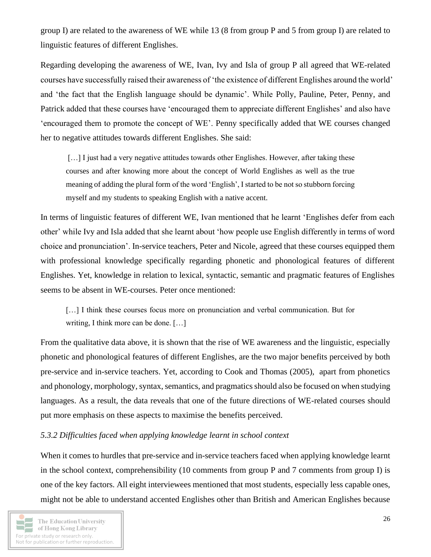group I) are related to the awareness of WE while 13 (8 from group P and 5 from group I) are related to linguistic features of different Englishes.

Regarding developing the awareness of WE, Ivan, Ivy and Isla of group P all agreed that WE-related courses have successfully raised their awareness of 'the existence of different Englishes around the world' and 'the fact that the English language should be dynamic'. While Polly, Pauline, Peter, Penny, and Patrick added that these courses have 'encouraged them to appreciate different Englishes' and also have 'encouraged them to promote the concept of WE'. Penny specifically added that WE courses changed her to negative attitudes towards different Englishes. She said:

[...] I just had a very negative attitudes towards other Englishes. However, after taking these courses and after knowing more about the concept of World Englishes as well as the true meaning of adding the plural form of the word 'English', I started to be not so stubborn forcing myself and my students to speaking English with a native accent.

In terms of linguistic features of different WE, Ivan mentioned that he learnt 'Englishes defer from each other' while Ivy and Isla added that she learnt about 'how people use English differently in terms of word choice and pronunciation'. In-service teachers, Peter and Nicole, agreed that these courses equipped them with professional knowledge specifically regarding phonetic and phonological features of different Englishes. Yet, knowledge in relation to lexical, syntactic, semantic and pragmatic features of Englishes seems to be absent in WE-courses. Peter once mentioned:

[...] I think these courses focus more on pronunciation and verbal communication. But for writing, I think more can be done. […]

From the qualitative data above, it is shown that the rise of WE awareness and the linguistic, especially phonetic and phonological features of different Englishes, are the two major benefits perceived by both pre-service and in-service teachers. Yet, according to Cook and Thomas (2005), apart from phonetics and phonology, morphology, syntax, semantics, and pragmatics should also be focused on when studying languages. As a result, the data reveals that one of the future directions of WE-related courses should put more emphasis on these aspects to maximise the benefits perceived.

#### *5.3.2 Difficulties faced when applying knowledge learnt in school context*

When it comes to hurdles that pre-service and in-service teachers faced when applying knowledge learnt in the school context, comprehensibility (10 comments from group P and 7 comments from group I) is one of the key factors. All eight interviewees mentioned that most students, especially less capable ones, might not be able to understand accented Englishes other than British and American Englishes because

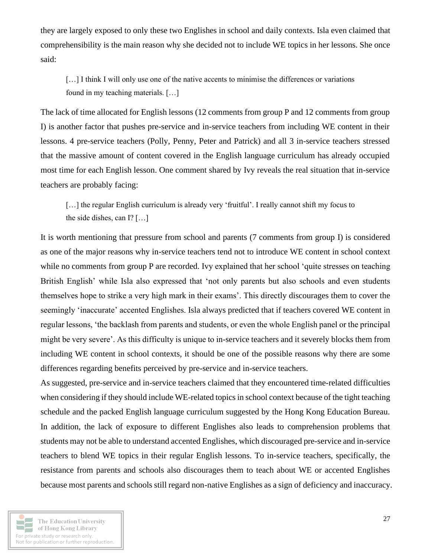they are largely exposed to only these two Englishes in school and daily contexts. Isla even claimed that comprehensibility is the main reason why she decided not to include WE topics in her lessons. She once said:

[...] I think I will only use one of the native accents to minimise the differences or variations found in my teaching materials. […]

The lack of time allocated for English lessons (12 comments from group P and 12 comments from group I) is another factor that pushes pre-service and in-service teachers from including WE content in their lessons. 4 pre-service teachers (Polly, Penny, Peter and Patrick) and all 3 in-service teachers stressed that the massive amount of content covered in the English language curriculum has already occupied most time for each English lesson. One comment shared by Ivy reveals the real situation that in-service teachers are probably facing:

[...] the regular English curriculum is already very 'fruitful'. I really cannot shift my focus to the side dishes, can I? […]

It is worth mentioning that pressure from school and parents (7 comments from group I) is considered as one of the major reasons why in-service teachers tend not to introduce WE content in school context while no comments from group P are recorded. Ivy explained that her school 'quite stresses on teaching British English' while Isla also expressed that 'not only parents but also schools and even students themselves hope to strike a very high mark in their exams'. This directly discourages them to cover the seemingly 'inaccurate' accented Englishes. Isla always predicted that if teachers covered WE content in regular lessons, 'the backlash from parents and students, or even the whole English panel or the principal might be very severe'. As this difficulty is unique to in-service teachers and it severely blocks them from including WE content in school contexts, it should be one of the possible reasons why there are some differences regarding benefits perceived by pre-service and in-service teachers.

As suggested, pre-service and in-service teachers claimed that they encountered time-related difficulties when considering if they should include WE-related topics in school context because of the tight teaching schedule and the packed English language curriculum suggested by the Hong Kong Education Bureau. In addition, the lack of exposure to different Englishes also leads to comprehension problems that students may not be able to understand accented Englishes, which discouraged pre-service and in-service teachers to blend WE topics in their regular English lessons. To in-service teachers, specifically, the resistance from parents and schools also discourages them to teach about WE or accented Englishes because most parents and schools still regard non-native Englishes as a sign of deficiency and inaccuracy.

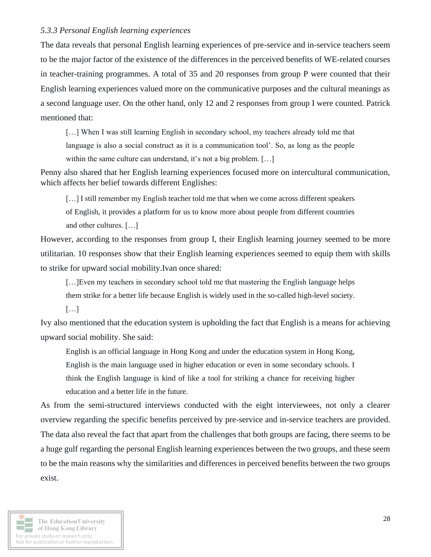#### *5.3.3 Personal English learning experiences*

The data reveals that personal English learning experiences of pre-service and in-service teachers seem to be the major factor of the existence of the differences in the perceived benefits of WE-related courses in teacher-training programmes. A total of 35 and 20 responses from group P were counted that their English learning experiences valued more on the communicative purposes and the cultural meanings as a second language user. On the other hand, only 12 and 2 responses from group I were counted. Patrick mentioned that:

[...] When I was still learning English in secondary school, my teachers already told me that language is also a social construct as it is a communication tool'. So, as long as the people within the same culture can understand, it's not a big problem. [...]

Penny also shared that her English learning experiences focused more on intercultural communication, which affects her belief towards different Englishes:

[...] I still remember my English teacher told me that when we come across different speakers of English, it provides a platform for us to know more about people from different countries and other cultures. […]

However, according to the responses from group I, their English learning journey seemed to be more utilitarian. 10 responses show that their English learning experiences seemed to equip them with skills to strike for upward social mobility.Ivan once shared:

[...] Even my teachers in secondary school told me that mastering the English language helps them strike for a better life because English is widely used in the so-called high-level society.

[…]

Ivy also mentioned that the education system is upholding the fact that English is a means for achieving upward social mobility. She said:

English is an official language in Hong Kong and under the education system in Hong Kong, English is the main language used in higher education or even in some secondary schools. I think the English language is kind of like a tool for striking a chance for receiving higher education and a better life in the future.

As from the semi-structured interviews conducted with the eight interviewees, not only a clearer overview regarding the specific benefits perceived by pre-service and in-service teachers are provided. The data also reveal the fact that apart from the challenges that both groups are facing, there seems to be a huge gulf regarding the personal English learning experiences between the two groups, and these seem to be the main reasons why the similarities and differences in perceived benefits between the two groups exist.

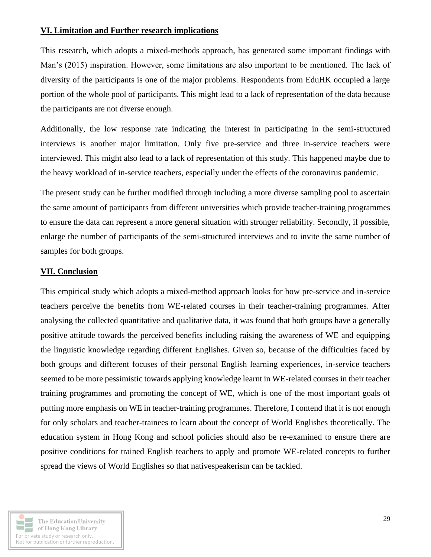### **VI. Limitation and Further research implications**

This research, which adopts a mixed-methods approach, has generated some important findings with Man's (2015) inspiration. However, some limitations are also important to be mentioned. The lack of diversity of the participants is one of the major problems. Respondents from EduHK occupied a large portion of the whole pool of participants. This might lead to a lack of representation of the data because the participants are not diverse enough.

Additionally, the low response rate indicating the interest in participating in the semi-structured interviews is another major limitation. Only five pre-service and three in-service teachers were interviewed. This might also lead to a lack of representation of this study. This happened maybe due to the heavy workload of in-service teachers, especially under the effects of the coronavirus pandemic.

The present study can be further modified through including a more diverse sampling pool to ascertain the same amount of participants from different universities which provide teacher-training programmes to ensure the data can represent a more general situation with stronger reliability. Secondly, if possible, enlarge the number of participants of the semi-structured interviews and to invite the same number of samples for both groups.

### **VII. Conclusion**

This empirical study which adopts a mixed-method approach looks for how pre-service and in-service teachers perceive the benefits from WE-related courses in their teacher-training programmes. After analysing the collected quantitative and qualitative data, it was found that both groups have a generally positive attitude towards the perceived benefits including raising the awareness of WE and equipping the linguistic knowledge regarding different Englishes. Given so, because of the difficulties faced by both groups and different focuses of their personal English learning experiences, in-service teachers seemed to be more pessimistic towards applying knowledge learnt in WE-related courses in their teacher training programmes and promoting the concept of WE, which is one of the most important goals of putting more emphasis on WE in teacher-training programmes. Therefore, I contend that it is not enough for only scholars and teacher-trainees to learn about the concept of World Englishes theoretically. The education system in Hong Kong and school policies should also be re-examined to ensure there are positive conditions for trained English teachers to apply and promote WE-related concepts to further spread the views of World Englishes so that nativespeakerism can be tackled.

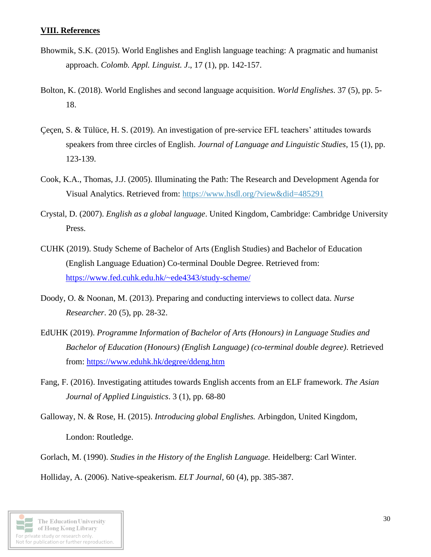#### **VIII. References**

- Bhowmik, S.K. (2015). World Englishes and English language teaching: A pragmatic and humanist approach. *Colomb. Appl. Linguist. J*., 17 (1), pp. 142-157.
- Bolton, K. (2018). World Englishes and second language acquisition. *World Englishes*. 37 (5), pp. 5- 18.
- Çeçen, S. & Tülüce, H. S. (2019). An investigation of pre-service EFL teachers' attitudes towards speakers from three circles of English. *Journal of Language and Linguistic Studies*, 15 (1), pp. 123-139.
- Cook, K.A., Thomas, J.J. (2005). Illuminating the Path: The Research and Development Agenda for Visual Analytics. Retrieved from:<https://www.hsdl.org/?view&did=485291>
- Crystal, D. (2007). *English as a global language*. United Kingdom, Cambridge: Cambridge University Press.
- CUHK (2019). Study Scheme of Bachelor of Arts (English Studies) and Bachelor of Education (English Language Eduation) Co-terminal Double Degree. Retrieved from: <https://www.fed.cuhk.edu.hk/~ede4343/study-scheme/>
- Doody, O. & Noonan, M. (2013). Preparing and conducting interviews to collect data. *Nurse Researcher*. 20 (5), pp. 28-32.
- EdUHK (2019). *Programme Information of Bachelor of Arts (Honours) in Language Studies and Bachelor of Education (Honours) (English Language) (co-terminal double degree)*. Retrieved from:<https://www.eduhk.hk/degree/ddeng.htm>
- Fang, F. (2016). Investigating attitudes towards English accents from an ELF framework. *The Asian Journal of Applied Linguistics*. 3 (1), pp. 68-80

Galloway, N. & Rose, H. (2015). *Introducing global Englishes.* Arbingdon, United Kingdom, London: Routledge.

Gorlach, M. (1990). *Studies in the History of the English Language.* Heidelberg: Carl Winter. Holliday, A. (2006). Native-speakerism. *ELT Journal*, 60 (4), pp. 385-387.

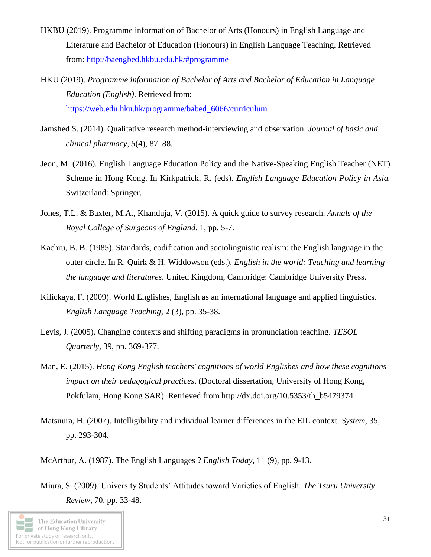- HKBU (2019). Programme information of Bachelor of Arts (Honours) in English Language and Literature and Bachelor of Education (Honours) in English Language Teaching. Retrieved from:<http://baengbed.hkbu.edu.hk/#programme>
- HKU (2019). *Programme information of Bachelor of Arts and Bachelor of Education in Language Education (English)*. Retrieved from: [https://web.edu.hku.hk/programme/babed\\_6066/curriculum](https://web.edu.hku.hk/programme/babed_6066/curriculum)
- Jamshed S. (2014). Qualitative research method-interviewing and observation. *Journal of basic and clinical pharmacy*, *5*(4), 87–88.
- Jeon, M. (2016). English Language Education Policy and the Native-Speaking English Teacher (NET) Scheme in Hong Kong. In Kirkpatrick, R. (eds). *English Language Education Policy in Asia.* Switzerland: Springer.
- Jones, T.L. & Baxter, M.A., Khanduja, V. (2015). A quick guide to survey research. *Annals of the Royal College of Surgeons of England*. 1, pp. 5-7.
- Kachru, B. B. (1985). Standards, codification and sociolinguistic realism: the English language in the outer circle. In R. Quirk & H. Widdowson (eds.). *English in the world: Teaching and learning the language and literatures*. United Kingdom, Cambridge: Cambridge University Press.
- Kilickaya, F. (2009). World Englishes, English as an international language and applied linguistics. *English Language Teaching*, 2 (3), pp. 35-38.
- Levis, J. (2005). Changing contexts and shifting paradigms in pronunciation teaching. *TESOL Quarterly*, 39, pp. 369-377.
- Man, E. (2015). *Hong Kong English teachers' cognitions of world Englishes and how these cognitions impact on their pedagogical practices*. (Doctoral dissertation, University of Hong Kong, Pokfulam, Hong Kong SAR). Retrieved from [http://dx.doi.org/10.5353/th\\_b5479374](http://dx.doi.org/10.5353/th_b5479374)
- Matsuura, H. (2007). Intelligibility and individual learner differences in the EIL context. *System*, 35, pp. 293-304.
- McArthur, A. (1987). The English Languages ? *English Today*, 11 (9), pp. 9-13.
- Miura, S. (2009). University Students' Attitudes toward Varieties of English. *The Tsuru University Review*, 70, pp. 33-48.

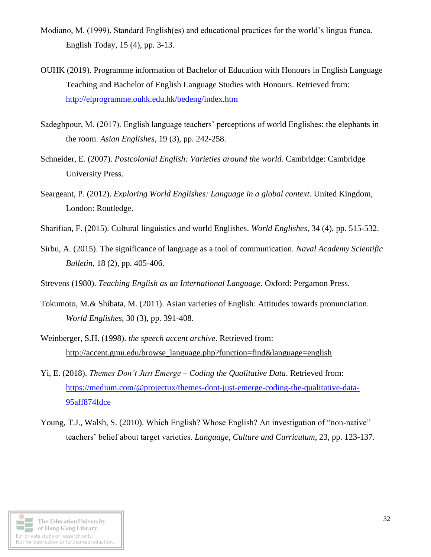- Modiano, M. (1999). Standard English(es) and educational practices for the world's lingua franca. English Today, 15 (4), pp. 3-13.
- OUHK (2019). Programme information of Bachelor of Education with Honours in English Language Teaching and Bachelor of English Language Studies with Honours. Retrieved from: <http://elprogramme.ouhk.edu.hk/bedeng/index.htm>
- Sadeghpour, M. (2017). English language teachers' perceptions of world Englishes: the elephants in the room. *Asian Englishes*, 19 (3), pp. 242-258.
- Schneider, E. (2007). *Postcolonial English: Varieties around the world.* Cambridge: Cambridge University Press.
- Seargeant, P. (2012). *Exploring World Englishes: Language in a global context*. United Kingdom, London: Routledge.
- Sharifian, F. (2015). Cultural linguistics and world Englishes. *World Englishes*, 34 (4), pp. 515-532.
- Sirbu, A. (2015). The significance of language as a tool of communication. *Naval Academy Scientific Bulletin*, 18 (2), pp. 405-406.
- Strevens (1980). *Teaching English as an International Language*. Oxford: Pergamon Press.
- Tokumoto, M.& Shibata, M. (2011). Asian varieties of English: Attitudes towards pronunciation. *World Englishes*, 30 (3), pp. 391-408.
- Weinberger, S.H. (1998). *the speech accent archive*. Retrieved from: [http://accent.gmu.edu/browse\\_language.php?function=find&language=english](http://accent.gmu.edu/browse_language.php?function=find&language=english)
- Yi, E. (2018). *Themes Don't Just Emerge – Coding the Qualitative Data*. Retrieved from: [https://medium.com/@projectux/themes-dont-just-emerge-coding-the-qualitative-data-](https://medium.com/@projectux/themes-dont-just-emerge-coding-the-qualitative-data-95aff874fdce)[95aff874fdce](https://medium.com/@projectux/themes-dont-just-emerge-coding-the-qualitative-data-95aff874fdce)
- Young, T.J., Walsh, S. (2010). Which English? Whose English? An investigation of "non-native" teachers' belief about target varieties. *Language, Culture and Curriculum*, 23, pp. 123-137.

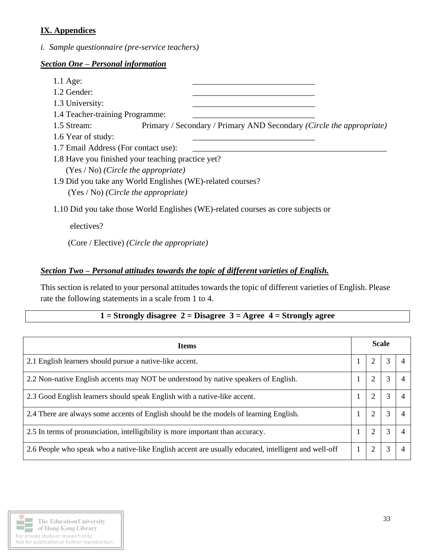# **IX. Appendices**

*i. Sample questionnaire (pre-service teachers)*

# *Section One – Personal information*

| $1.1$ Age:                           |                                                                                  |
|--------------------------------------|----------------------------------------------------------------------------------|
| $1.2$ Gender:                        |                                                                                  |
| 1.3 University:                      |                                                                                  |
| 1.4 Teacher-training Programme:      |                                                                                  |
| 1.5 Stream:                          | Primary / Secondary / Primary AND Secondary (Circle the appropriate)             |
| 1.6 Year of study:                   |                                                                                  |
| 1.7 Email Address (For contact use): |                                                                                  |
|                                      | 1.8 Have you finished your teaching practice yet?                                |
|                                      | $(Yes / No)$ (Circle the appropriate)                                            |
|                                      | 1.9 Did you take any World Englishes (WE)-related courses?                       |
|                                      | $(Yes / No)$ (Circle the appropriate)                                            |
|                                      | 1.10 Did you take those World Englishes (WE)-related courses as core subjects or |
| electives?                           |                                                                                  |

(Core / Elective) *(Circle the appropriate)* 

## *Section Two – Personal attitudes towards the topic of different varieties of English.*

This section is related to your personal attitudes towards the topic of different varieties of English. Please rate the following statements in a scale from 1 to 4.

# **1 = Strongly disagree 2 = Disagree 3 = Agree 4 = Strongly agree**

| <b>Items</b>                                                                                         |  | <b>Scale</b>   |   |  |
|------------------------------------------------------------------------------------------------------|--|----------------|---|--|
| 2.1 English learners should pursue a native-like accent.                                             |  |                | 3 |  |
| 2.2 Non-native English accents may NOT be understood by native speakers of English.                  |  |                | 3 |  |
| 2.3 Good English learners should speak English with a native-like accent.                            |  |                | 3 |  |
| 2.4 There are always some accents of English should be the models of learning English.               |  | 2              | 3 |  |
| 2.5 In terms of pronunciation, intelligibility is more important than accuracy.                      |  | $\overline{2}$ | 3 |  |
| 2.6 People who speak who a native-like English accent are usually educated, intelligent and well-off |  |                | 3 |  |

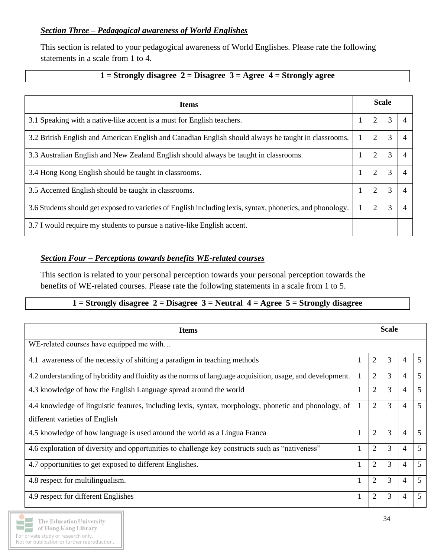## *Section Three – Pedagogical awareness of World Englishes*

This section is related to your pedagogical awareness of World Englishes. Please rate the following statements in a scale from 1 to 4.

# **1 = Strongly disagree 2 = Disagree 3 = Agree 4 = Strongly agree**

| <b>Items</b>                                                                                               |  | <b>Scale</b>   |   |  |
|------------------------------------------------------------------------------------------------------------|--|----------------|---|--|
| 3.1 Speaking with a native-like accent is a must for English teachers.                                     |  |                | 3 |  |
| 3.2 British English and American English and Canadian English should always be taught in classrooms.       |  |                | 3 |  |
| 3.3 Australian English and New Zealand English should always be taught in classrooms.                      |  |                | 3 |  |
| 3.4 Hong Kong English should be taught in classrooms.                                                      |  | $\overline{c}$ | 3 |  |
| 3.5 Accented English should be taught in classrooms.                                                       |  |                | 3 |  |
| 3.6 Students should get exposed to varieties of English including lexis, syntax, phonetics, and phonology. |  | $\overline{c}$ | 3 |  |
| 3.7 I would require my students to pursue a native-like English accent.                                    |  |                |   |  |

## *Section Four – Perceptions towards benefits WE-related courses*

This section is related to your personal perception towards your personal perception towards the benefits of WE-related courses. Please rate the following statements in a scale from 1 to 5.

# **1 = Strongly disagree 2 = Disagree 3 = Neutral 4 = Agree 5 = Strongly disagree**

| <b>Items</b>                                                                                                                            |              |                | <b>Scale</b> |                |   |  |
|-----------------------------------------------------------------------------------------------------------------------------------------|--------------|----------------|--------------|----------------|---|--|
| WE-related courses have equipped me with                                                                                                |              |                |              |                |   |  |
| 4.1 awareness of the necessity of shifting a paradigm in teaching methods                                                               | $\mathbf{1}$ | $\overline{2}$ | 3            | $\overline{4}$ | 5 |  |
| 4.2 understanding of hybridity and fluidity as the norms of language acquisition, usage, and development.                               | 1            | 2              | 3            | $\overline{4}$ | 5 |  |
| 4.3 knowledge of how the English Language spread around the world                                                                       | $\mathbf{1}$ | 2              | 3            | $\overline{4}$ | 5 |  |
| 4.4 knowledge of linguistic features, including lexis, syntax, morphology, phonetic and phonology, of<br>different varieties of English | $\mathbf{1}$ | $\overline{2}$ | 3            | $\overline{4}$ | 5 |  |
| 4.5 knowledge of how language is used around the world as a Lingua Franca                                                               | 1            | 2              | 3            | 4              | 5 |  |
| 4.6 exploration of diversity and opportunities to challenge key constructs such as "nativeness"                                         | $\mathbf{1}$ | $\overline{2}$ | 3            | $\overline{4}$ | 5 |  |
| 4.7 opportunities to get exposed to different Englishes.                                                                                | $\mathbf{1}$ | $\overline{2}$ | 3            | $\overline{4}$ | 5 |  |
| 4.8 respect for multilingualism.                                                                                                        | $\mathbf{1}$ | $\overline{2}$ | 3            | $\overline{4}$ | 5 |  |
| 4.9 respect for different Englishes                                                                                                     | $\mathbf{1}$ | $\overline{2}$ | 3            | $\overline{4}$ | 5 |  |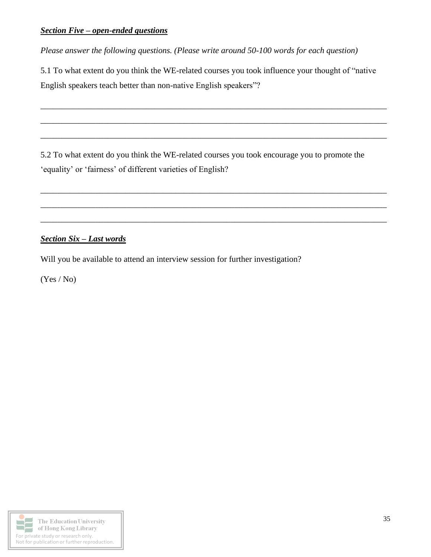### *Section Five – open-ended questions*

*Please answer the following questions. (Please write around 50-100 words for each question)*

5.1 To what extent do you think the WE-related courses you took influence your thought of "native English speakers teach better than non-native English speakers"?

\_\_\_\_\_\_\_\_\_\_\_\_\_\_\_\_\_\_\_\_\_\_\_\_\_\_\_\_\_\_\_\_\_\_\_\_\_\_\_\_\_\_\_\_\_\_\_\_\_\_\_\_\_\_\_\_\_\_\_\_\_\_\_\_\_\_\_\_\_\_\_\_\_\_\_\_\_\_\_\_\_\_

\_\_\_\_\_\_\_\_\_\_\_\_\_\_\_\_\_\_\_\_\_\_\_\_\_\_\_\_\_\_\_\_\_\_\_\_\_\_\_\_\_\_\_\_\_\_\_\_\_\_\_\_\_\_\_\_\_\_\_\_\_\_\_\_\_\_\_\_\_\_\_\_\_\_\_\_\_\_\_\_\_\_

\_\_\_\_\_\_\_\_\_\_\_\_\_\_\_\_\_\_\_\_\_\_\_\_\_\_\_\_\_\_\_\_\_\_\_\_\_\_\_\_\_\_\_\_\_\_\_\_\_\_\_\_\_\_\_\_\_\_\_\_\_\_\_\_\_\_\_\_\_\_\_\_\_\_\_\_\_\_\_\_\_\_

\_\_\_\_\_\_\_\_\_\_\_\_\_\_\_\_\_\_\_\_\_\_\_\_\_\_\_\_\_\_\_\_\_\_\_\_\_\_\_\_\_\_\_\_\_\_\_\_\_\_\_\_\_\_\_\_\_\_\_\_\_\_\_\_\_\_\_\_\_\_\_\_\_\_\_\_\_\_\_\_\_\_

\_\_\_\_\_\_\_\_\_\_\_\_\_\_\_\_\_\_\_\_\_\_\_\_\_\_\_\_\_\_\_\_\_\_\_\_\_\_\_\_\_\_\_\_\_\_\_\_\_\_\_\_\_\_\_\_\_\_\_\_\_\_\_\_\_\_\_\_\_\_\_\_\_\_\_\_\_\_\_\_\_\_

\_\_\_\_\_\_\_\_\_\_\_\_\_\_\_\_\_\_\_\_\_\_\_\_\_\_\_\_\_\_\_\_\_\_\_\_\_\_\_\_\_\_\_\_\_\_\_\_\_\_\_\_\_\_\_\_\_\_\_\_\_\_\_\_\_\_\_\_\_\_\_\_\_\_\_\_\_\_\_\_\_\_

5.2 To what extent do you think the WE-related courses you took encourage you to promote the 'equality' or 'fairness' of different varieties of English?

### *Section Six – Last words*

Will you be available to attend an interview session for further investigation?

(Yes / No)

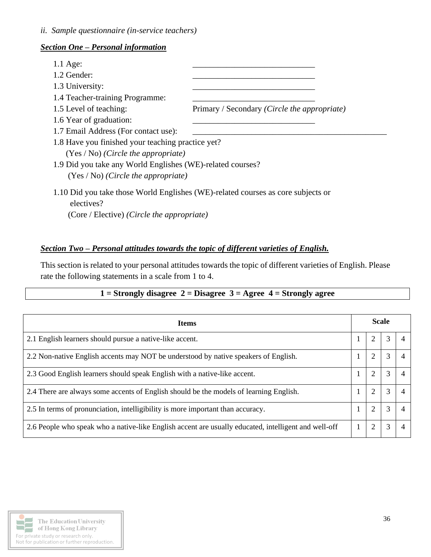#### *Section One – Personal information*

| $1.1$ Age:                                                 |                                                                                  |
|------------------------------------------------------------|----------------------------------------------------------------------------------|
| 1.2 Gender:                                                |                                                                                  |
| 1.3 University:                                            |                                                                                  |
| 1.4 Teacher-training Programme:                            |                                                                                  |
| 1.5 Level of teaching:                                     | Primary / Secondary (Circle the appropriate)                                     |
| 1.6 Year of graduation:                                    |                                                                                  |
| 1.7 Email Address (For contact use):                       |                                                                                  |
| 1.8 Have you finished your teaching practice yet?          |                                                                                  |
| $(Yes / No)$ (Circle the appropriate)                      |                                                                                  |
| 1.9 Did you take any World Englishes (WE)-related courses? |                                                                                  |
| $(Yes / No)$ (Circle the appropriate)                      |                                                                                  |
|                                                            | 1.10 Did you take those World Englishes (WE)-related courses as core subjects or |
| electives?                                                 |                                                                                  |
| (Core / Elective) (Circle the appropriate)                 |                                                                                  |

#### *Section Two – Personal attitudes towards the topic of different varieties of English.*

This section is related to your personal attitudes towards the topic of different varieties of English. Please rate the following statements in a scale from 1 to 4.

## **1 = Strongly disagree 2 = Disagree 3 = Agree 4 = Strongly agree**

| <b>Items</b>                                                                                         |  | <b>Scale</b>   |   |   |
|------------------------------------------------------------------------------------------------------|--|----------------|---|---|
| 2.1 English learners should pursue a native-like accent.                                             |  | 2              | 3 |   |
| 2.2 Non-native English accents may NOT be understood by native speakers of English.                  |  |                | 3 |   |
| 2.3 Good English learners should speak English with a native-like accent.                            |  | $\overline{2}$ | 3 |   |
| 2.4 There are always some accents of English should be the models of learning English.               |  |                | 3 |   |
| 2.5 In terms of pronunciation, intelligibility is more important than accuracy.                      |  |                | 3 | 4 |
| 2.6 People who speak who a native-like English accent are usually educated, intelligent and well-off |  |                | 3 |   |

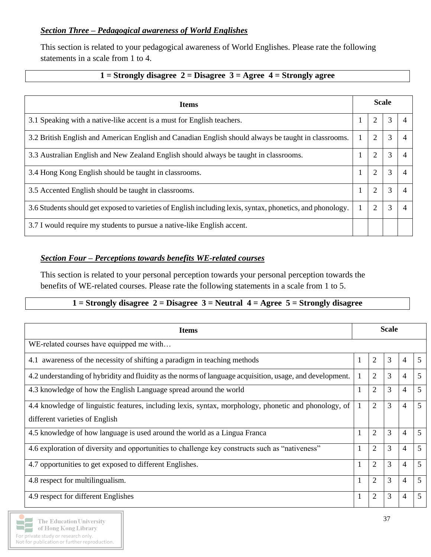## *Section Three – Pedagogical awareness of World Englishes*

This section is related to your pedagogical awareness of World Englishes. Please rate the following statements in a scale from 1 to 4.

# **1 = Strongly disagree 2 = Disagree 3 = Agree 4 = Strongly agree**

| <b>Items</b>                                                                                               |  | <b>Scale</b>   |   |  |
|------------------------------------------------------------------------------------------------------------|--|----------------|---|--|
| 3.1 Speaking with a native-like accent is a must for English teachers.                                     |  |                | 3 |  |
| 3.2 British English and American English and Canadian English should always be taught in classrooms.       |  |                | 3 |  |
| 3.3 Australian English and New Zealand English should always be taught in classrooms.                      |  |                | 3 |  |
| 3.4 Hong Kong English should be taught in classrooms.                                                      |  | $\overline{c}$ | 3 |  |
| 3.5 Accented English should be taught in classrooms.                                                       |  |                | 3 |  |
| 3.6 Students should get exposed to varieties of English including lexis, syntax, phonetics, and phonology. |  | $\overline{c}$ | 3 |  |
| 3.7 I would require my students to pursue a native-like English accent.                                    |  |                |   |  |

## *Section Four – Perceptions towards benefits WE-related courses*

This section is related to your personal perception towards your personal perception towards the benefits of WE-related courses. Please rate the following statements in a scale from 1 to 5.

# **1 = Strongly disagree 2 = Disagree 3 = Neutral 4 = Agree 5 = Strongly disagree**

| <b>Items</b>                                                                                                                            |              |                | <b>Scale</b> |                |                |  |
|-----------------------------------------------------------------------------------------------------------------------------------------|--------------|----------------|--------------|----------------|----------------|--|
| WE-related courses have equipped me with                                                                                                |              |                |              |                |                |  |
| 4.1 awareness of the necessity of shifting a paradigm in teaching methods                                                               | $\mathbf{1}$ | $\overline{2}$ | 3            | $\overline{4}$ | $\mathfrak{S}$ |  |
| 4.2 understanding of hybridity and fluidity as the norms of language acquisition, usage, and development.                               | $\mathbf{1}$ | $\overline{2}$ | 3            | $\overline{4}$ | 5              |  |
| 4.3 knowledge of how the English Language spread around the world                                                                       | $\mathbf{1}$ | $\overline{2}$ | 3            | $\overline{4}$ | 5              |  |
| 4.4 knowledge of linguistic features, including lexis, syntax, morphology, phonetic and phonology, of<br>different varieties of English | 1            | $\overline{2}$ | 3            | $\overline{4}$ | 5              |  |
| 4.5 knowledge of how language is used around the world as a Lingua Franca                                                               | 1            | $\overline{2}$ | 3            | $\overline{4}$ | 5              |  |
| 4.6 exploration of diversity and opportunities to challenge key constructs such as "nativeness"                                         | 1            | $\overline{2}$ | 3            | 4              | 5              |  |
| 4.7 opportunities to get exposed to different Englishes.                                                                                | $\mathbf{1}$ | $\overline{2}$ | 3            | $\overline{4}$ | 5              |  |
| 4.8 respect for multilingualism.                                                                                                        | $\mathbf{1}$ | $\overline{2}$ | 3            | $\overline{4}$ | 5              |  |
| 4.9 respect for different Englishes                                                                                                     | $\mathbf{1}$ | 2              | 3            | 4              | 5              |  |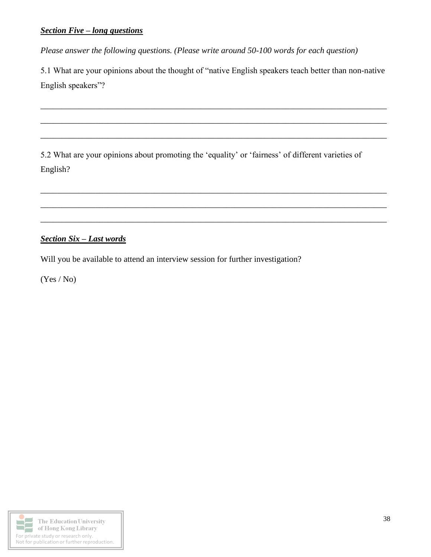### *Section Five – long questions*

*Please answer the following questions. (Please write around 50-100 words for each question)*

5.1 What are your opinions about the thought of "native English speakers teach better than non-native English speakers"?

\_\_\_\_\_\_\_\_\_\_\_\_\_\_\_\_\_\_\_\_\_\_\_\_\_\_\_\_\_\_\_\_\_\_\_\_\_\_\_\_\_\_\_\_\_\_\_\_\_\_\_\_\_\_\_\_\_\_\_\_\_\_\_\_\_\_\_\_\_\_\_\_\_\_\_\_\_\_\_\_\_\_

\_\_\_\_\_\_\_\_\_\_\_\_\_\_\_\_\_\_\_\_\_\_\_\_\_\_\_\_\_\_\_\_\_\_\_\_\_\_\_\_\_\_\_\_\_\_\_\_\_\_\_\_\_\_\_\_\_\_\_\_\_\_\_\_\_\_\_\_\_\_\_\_\_\_\_\_\_\_\_\_\_\_

\_\_\_\_\_\_\_\_\_\_\_\_\_\_\_\_\_\_\_\_\_\_\_\_\_\_\_\_\_\_\_\_\_\_\_\_\_\_\_\_\_\_\_\_\_\_\_\_\_\_\_\_\_\_\_\_\_\_\_\_\_\_\_\_\_\_\_\_\_\_\_\_\_\_\_\_\_\_\_\_\_\_

\_\_\_\_\_\_\_\_\_\_\_\_\_\_\_\_\_\_\_\_\_\_\_\_\_\_\_\_\_\_\_\_\_\_\_\_\_\_\_\_\_\_\_\_\_\_\_\_\_\_\_\_\_\_\_\_\_\_\_\_\_\_\_\_\_\_\_\_\_\_\_\_\_\_\_\_\_\_\_\_\_\_

\_\_\_\_\_\_\_\_\_\_\_\_\_\_\_\_\_\_\_\_\_\_\_\_\_\_\_\_\_\_\_\_\_\_\_\_\_\_\_\_\_\_\_\_\_\_\_\_\_\_\_\_\_\_\_\_\_\_\_\_\_\_\_\_\_\_\_\_\_\_\_\_\_\_\_\_\_\_\_\_\_\_

\_\_\_\_\_\_\_\_\_\_\_\_\_\_\_\_\_\_\_\_\_\_\_\_\_\_\_\_\_\_\_\_\_\_\_\_\_\_\_\_\_\_\_\_\_\_\_\_\_\_\_\_\_\_\_\_\_\_\_\_\_\_\_\_\_\_\_\_\_\_\_\_\_\_\_\_\_\_\_\_\_\_

5.2 What are your opinions about promoting the 'equality' or 'fairness' of different varieties of English?

### *Section Six – Last words*

Will you be available to attend an interview session for further investigation?

(Yes / No)

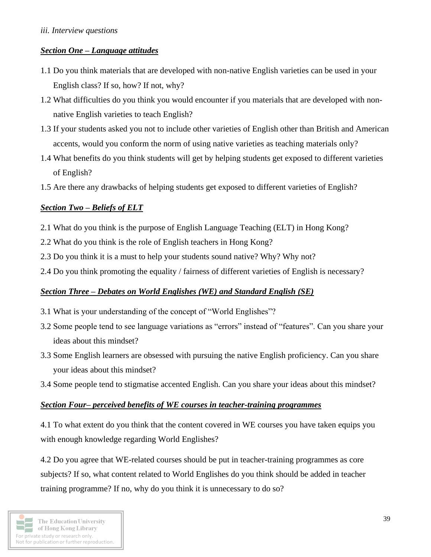## *Section One – Language attitudes*

- 1.1 Do you think materials that are developed with non-native English varieties can be used in your English class? If so, how? If not, why?
- 1.2 What difficulties do you think you would encounter if you materials that are developed with nonnative English varieties to teach English?
- 1.3 If your students asked you not to include other varieties of English other than British and American accents, would you conform the norm of using native varieties as teaching materials only?
- 1.4 What benefits do you think students will get by helping students get exposed to different varieties of English?
- 1.5 Are there any drawbacks of helping students get exposed to different varieties of English?

### *Section Two – Beliefs of ELT*

- 2.1 What do you think is the purpose of English Language Teaching (ELT) in Hong Kong?
- 2.2 What do you think is the role of English teachers in Hong Kong?
- 2.3 Do you think it is a must to help your students sound native? Why? Why not?
- 2.4 Do you think promoting the equality / fairness of different varieties of English is necessary?

#### *Section Three – Debates on World Englishes (WE) and Standard English (SE)*

- 3.1 What is your understanding of the concept of "World Englishes"?
- 3.2 Some people tend to see language variations as "errors" instead of "features". Can you share your ideas about this mindset?
- 3.3 Some English learners are obsessed with pursuing the native English proficiency. Can you share your ideas about this mindset?
- 3.4 Some people tend to stigmatise accented English. Can you share your ideas about this mindset?

#### *Section Four– perceived benefits of WE courses in teacher-training programmes*

4.1 To what extent do you think that the content covered in WE courses you have taken equips you with enough knowledge regarding World Englishes?

4.2 Do you agree that WE-related courses should be put in teacher-training programmes as core subjects? If so, what content related to World Englishes do you think should be added in teacher training programme? If no, why do you think it is unnecessary to do so?

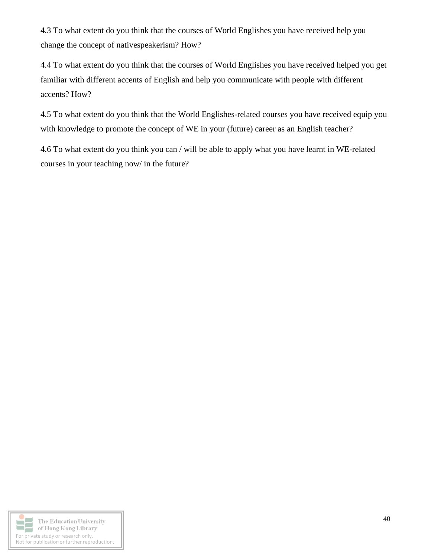4.3 To what extent do you think that the courses of World Englishes you have received help you change the concept of nativespeakerism? How?

4.4 To what extent do you think that the courses of World Englishes you have received helped you get familiar with different accents of English and help you communicate with people with different accents? How?

4.5 To what extent do you think that the World Englishes-related courses you have received equip you with knowledge to promote the concept of WE in your (future) career as an English teacher?

4.6 To what extent do you think you can / will be able to apply what you have learnt in WE-related courses in your teaching now/ in the future?

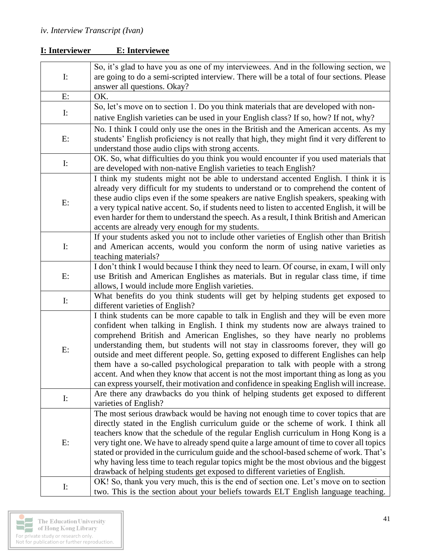| $\mathbf{I}$ :                | So, it's glad to have you as one of my interviewees. And in the following section, we<br>are going to do a semi-scripted interview. There will be a total of four sections. Please<br>answer all questions. Okay?                                                                                                                                                                                                                                                                                                                                                                                                                                                                                              |
|-------------------------------|----------------------------------------------------------------------------------------------------------------------------------------------------------------------------------------------------------------------------------------------------------------------------------------------------------------------------------------------------------------------------------------------------------------------------------------------------------------------------------------------------------------------------------------------------------------------------------------------------------------------------------------------------------------------------------------------------------------|
| E:                            | OK.                                                                                                                                                                                                                                                                                                                                                                                                                                                                                                                                                                                                                                                                                                            |
| $\mathbf{I}$ :                | So, let's move on to section 1. Do you think materials that are developed with non-<br>native English varieties can be used in your English class? If so, how? If not, why?                                                                                                                                                                                                                                                                                                                                                                                                                                                                                                                                    |
| E:                            | No. I think I could only use the ones in the British and the American accents. As my<br>students' English proficiency is not really that high, they might find it very different to<br>understand those audio clips with strong accents.                                                                                                                                                                                                                                                                                                                                                                                                                                                                       |
| $\mathbf{I}$ :                | OK. So, what difficulties do you think you would encounter if you used materials that<br>are developed with non-native English varieties to teach English?                                                                                                                                                                                                                                                                                                                                                                                                                                                                                                                                                     |
| E:                            | I think my students might not be able to understand accented English. I think it is<br>already very difficult for my students to understand or to comprehend the content of<br>these audio clips even if the some speakers are native English speakers, speaking with<br>a very typical native accent. So, if students need to listen to accented English, it will be<br>even harder for them to understand the speech. As a result, I think British and American<br>accents are already very enough for my students.                                                                                                                                                                                          |
| $\mathbf{I}$ :                | If your students asked you not to include other varieties of English other than British<br>and American accents, would you conform the norm of using native varieties as<br>teaching materials?                                                                                                                                                                                                                                                                                                                                                                                                                                                                                                                |
| E:                            | I don't think I would because I think they need to learn. Of course, in exam, I will only<br>use British and American Englishes as materials. But in regular class time, if time<br>allows, I would include more English varieties.                                                                                                                                                                                                                                                                                                                                                                                                                                                                            |
| $\mathbf{I:}% \mathcal{M}(G)$ | What benefits do you think students will get by helping students get exposed to<br>different varieties of English?                                                                                                                                                                                                                                                                                                                                                                                                                                                                                                                                                                                             |
| E:                            | I think students can be more capable to talk in English and they will be even more<br>confident when talking in English. I think my students now are always trained to<br>comprehend British and American Englishes, so they have nearly no problems<br>understanding them, but students will not stay in classrooms forever, they will go<br>outside and meet different people. So, getting exposed to different Englishes can help<br>them have a so-called psychological preparation to talk with people with a strong<br>accent. And when they know that accent is not the most important thing as long as you<br>can express yourself, their motivation and confidence in speaking English will increase. |
| $\mathbf{I}$ :                | Are there any drawbacks do you think of helping students get exposed to different<br>varieties of English?                                                                                                                                                                                                                                                                                                                                                                                                                                                                                                                                                                                                     |
| E:                            | The most serious drawback would be having not enough time to cover topics that are<br>directly stated in the English curriculum guide or the scheme of work. I think all<br>teachers know that the schedule of the regular English curriculum in Hong Kong is a<br>very tight one. We have to already spend quite a large amount of time to cover all topics<br>stated or provided in the curriculum guide and the school-based scheme of work. That's<br>why having less time to teach regular topics might be the most obvious and the biggest<br>drawback of helping students get exposed to different varieties of English.                                                                                |
| $\mathbf{I}$ :                | OK! So, thank you very much, this is the end of section one. Let's move on to section<br>two. This is the section about your beliefs towards ELT English language teaching.                                                                                                                                                                                                                                                                                                                                                                                                                                                                                                                                    |

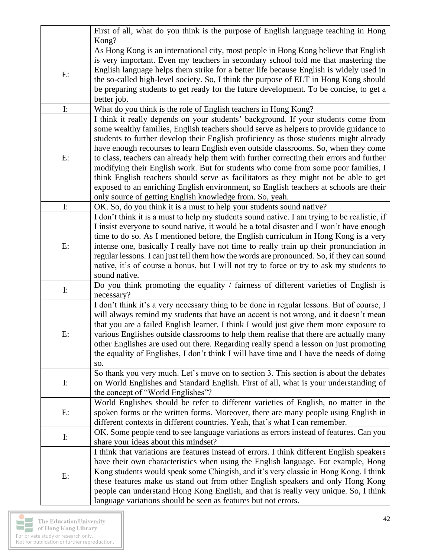|                | First of all, what do you think is the purpose of English language teaching in Hong                                                                                                                                                                                                                                                                                                                                                                                                                                                                                                                                                                                                                                                                                                         |
|----------------|---------------------------------------------------------------------------------------------------------------------------------------------------------------------------------------------------------------------------------------------------------------------------------------------------------------------------------------------------------------------------------------------------------------------------------------------------------------------------------------------------------------------------------------------------------------------------------------------------------------------------------------------------------------------------------------------------------------------------------------------------------------------------------------------|
|                | Kong?                                                                                                                                                                                                                                                                                                                                                                                                                                                                                                                                                                                                                                                                                                                                                                                       |
| E:             | As Hong Kong is an international city, most people in Hong Kong believe that English<br>is very important. Even my teachers in secondary school told me that mastering the<br>English language helps them strike for a better life because English is widely used in<br>the so-called high-level society. So, I think the purpose of ELT in Hong Kong should<br>be preparing students to get ready for the future development. To be concise, to get a<br>better job.                                                                                                                                                                                                                                                                                                                       |
| $\mathbf{I}:$  | What do you think is the role of English teachers in Hong Kong?                                                                                                                                                                                                                                                                                                                                                                                                                                                                                                                                                                                                                                                                                                                             |
| E:             | I think it really depends on your students' background. If your students come from<br>some wealthy families, English teachers should serve as helpers to provide guidance to<br>students to further develop their English proficiency as those students might already<br>have enough recourses to learn English even outside classrooms. So, when they come<br>to class, teachers can already help them with further correcting their errors and further<br>modifying their English work. But for students who come from some poor families, I<br>think English teachers should serve as facilitators as they might not be able to get<br>exposed to an enriching English environment, so English teachers at schools are their<br>only source of getting English knowledge from. So, yeah. |
| $\mathbf{I}:$  | OK. So, do you think it is a must to help your students sound native?                                                                                                                                                                                                                                                                                                                                                                                                                                                                                                                                                                                                                                                                                                                       |
| E:             | I don't think it is a must to help my students sound native. I am trying to be realistic, if<br>I insist everyone to sound native, it would be a total disaster and I won't have enough<br>time to do so. As I mentioned before, the English curriculum in Hong Kong is a very<br>intense one, basically I really have not time to really train up their pronunciation in<br>regular lessons. I can just tell them how the words are pronounced. So, if they can sound<br>native, it's of course a bonus, but I will not try to force or try to ask my students to<br>sound native.                                                                                                                                                                                                         |
| $\mathbf{I}:$  | Do you think promoting the equality / fairness of different varieties of English is<br>necessary?                                                                                                                                                                                                                                                                                                                                                                                                                                                                                                                                                                                                                                                                                           |
| E:             | I don't think it's a very necessary thing to be done in regular lessons. But of course, I<br>will always remind my students that have an accent is not wrong, and it doesn't mean<br>that you are a failed English learner. I think I would just give them more exposure to<br>various Englishes outside classrooms to help them realise that there are actually many<br>other Englishes are used out there. Regarding really spend a lesson on just promoting<br>the equality of Englishes, I don't think I will have time and I have the needs of doing<br>SO.                                                                                                                                                                                                                            |
| $\mathbf{I}$ : | So thank you very much. Let's move on to section 3. This section is about the debates<br>on World Englishes and Standard English. First of all, what is your understanding of<br>the concept of "World Englishes"?                                                                                                                                                                                                                                                                                                                                                                                                                                                                                                                                                                          |
| E:             | World Englishes should be refer to different varieties of English, no matter in the<br>spoken forms or the written forms. Moreover, there are many people using English in<br>different contexts in different countries. Yeah, that's what I can remember.                                                                                                                                                                                                                                                                                                                                                                                                                                                                                                                                  |
| $\mathbf{I}$ : | OK. Some people tend to see language variations as errors instead of features. Can you<br>share your ideas about this mindset?                                                                                                                                                                                                                                                                                                                                                                                                                                                                                                                                                                                                                                                              |
| E:             | I think that variations are features instead of errors. I think different English speakers<br>have their own characteristics when using the English language. For example, Hong<br>Kong students would speak some Chingish, and it's very classic in Hong Kong. I think<br>these features make us stand out from other English speakers and only Hong Kong<br>people can understand Hong Kong English, and that is really very unique. So, I think<br>language variations should be seen as features but not errors.                                                                                                                                                                                                                                                                        |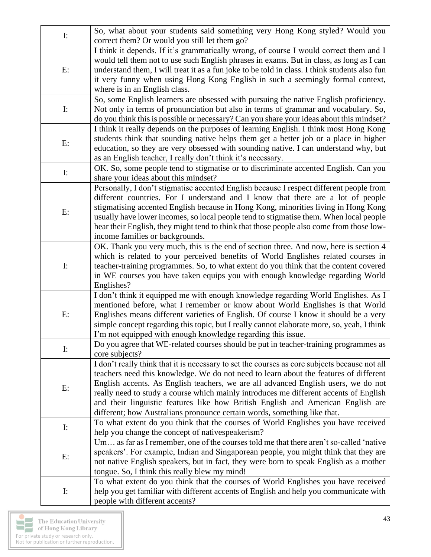| $\mathbf{I}$ :                | So, what about your students said something very Hong Kong styled? Would you                                                                                               |
|-------------------------------|----------------------------------------------------------------------------------------------------------------------------------------------------------------------------|
|                               | correct them? Or would you still let them go?                                                                                                                              |
| E:                            | I think it depends. If it's grammatically wrong, of course I would correct them and I                                                                                      |
|                               | would tell them not to use such English phrases in exams. But in class, as long as I can                                                                                   |
|                               | understand them, I will treat it as a fun joke to be told in class. I think students also fun                                                                              |
|                               | it very funny when using Hong Kong English in such a seemingly formal context,                                                                                             |
|                               | where is in an English class.                                                                                                                                              |
| $\mathbf{I}$ :                | So, some English learners are obsessed with pursuing the native English proficiency.                                                                                       |
|                               | Not only in terms of pronunciation but also in terms of grammar and vocabulary. So,                                                                                        |
|                               | do you think this is possible or necessary? Can you share your ideas about this mindset?                                                                                   |
|                               | I think it really depends on the purposes of learning English. I think most Hong Kong                                                                                      |
| E:                            | students think that sounding native helps them get a better job or a place in higher                                                                                       |
|                               | education, so they are very obsessed with sounding native. I can understand why, but                                                                                       |
|                               | as an English teacher, I really don't think it's necessary.                                                                                                                |
| $\mathbf{I:}% \mathcal{M}(G)$ | OK. So, some people tend to stigmatise or to discriminate accented English. Can you<br>share your ideas about this mindset?                                                |
|                               | Personally, I don't stigmatise accented English because I respect different people from                                                                                    |
|                               | different countries. For I understand and I know that there are a lot of people                                                                                            |
|                               | stigmatising accented English because in Hong Kong, minorities living in Hong Kong                                                                                         |
| E:                            | usually have lower incomes, so local people tend to stigmatise them. When local people                                                                                     |
|                               | hear their English, they might tend to think that those people also come from those low-                                                                                   |
|                               | income families or backgrounds.                                                                                                                                            |
|                               | OK. Thank you very much, this is the end of section three. And now, here is section 4                                                                                      |
|                               | which is related to your perceived benefits of World Englishes related courses in                                                                                          |
| $\mathbf{I:}% \mathcal{M}(G)$ | teacher-training programmes. So, to what extent do you think that the content covered                                                                                      |
|                               | in WE courses you have taken equips you with enough knowledge regarding World                                                                                              |
|                               | Englishes?                                                                                                                                                                 |
|                               | I don't think it equipped me with enough knowledge regarding World Englishes. As I                                                                                         |
|                               | mentioned before, what I remember or know about World Englishes is that World                                                                                              |
| E:                            | Englishes means different varieties of English. Of course I know it should be a very                                                                                       |
|                               | simple concept regarding this topic, but I really cannot elaborate more, so, yeah, I think                                                                                 |
|                               | I'm not equipped with enough knowledge regarding this issue.                                                                                                               |
| $\mathbf{I}$ :                | Do you agree that WE-related courses should be put in teacher-training programmes as                                                                                       |
|                               | core subjects?                                                                                                                                                             |
|                               | I don't really think that it is necessary to set the courses as core subjects because not all                                                                              |
|                               | teachers need this knowledge. We do not need to learn about the features of different                                                                                      |
| E:                            | English accents. As English teachers, we are all advanced English users, we do not                                                                                         |
|                               | really need to study a course which mainly introduces me different accents of English                                                                                      |
|                               | and their linguistic features like how British English and American English are                                                                                            |
|                               | different; how Australians pronounce certain words, something like that.                                                                                                   |
| $\mathbf{I}$ :                | To what extent do you think that the courses of World Englishes you have received                                                                                          |
|                               | help you change the concept of nativespeakerism?                                                                                                                           |
| E:                            | Um as far as I remember, one of the courses told me that there aren't so-called 'native                                                                                    |
|                               | speakers'. For example, Indian and Singaporean people, you might think that they are                                                                                       |
|                               | not native English speakers, but in fact, they were born to speak English as a mother                                                                                      |
|                               | tongue. So, I think this really blew my mind!                                                                                                                              |
| $\mathbf{I:}% \mathcal{M}(G)$ | To what extent do you think that the courses of World Englishes you have received<br>help you get familiar with different accents of English and help you communicate with |
|                               | people with different accents?                                                                                                                                             |
|                               |                                                                                                                                                                            |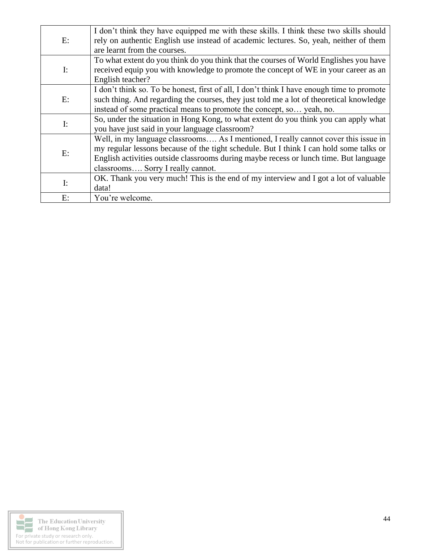| $E$ :                | I don't think they have equipped me with these skills. I think these two skills should<br>rely on authentic English use instead of academic lectures. So, yeah, neither of them |
|----------------------|---------------------------------------------------------------------------------------------------------------------------------------------------------------------------------|
|                      | are learnt from the courses.                                                                                                                                                    |
|                      | To what extent do you think do you think that the courses of World Englishes you have                                                                                           |
| $\mathbf{I}$ :       | received equip you with knowledge to promote the concept of WE in your career as an                                                                                             |
|                      | English teacher?                                                                                                                                                                |
|                      | I don't think so. To be honest, first of all, I don't think I have enough time to promote                                                                                       |
| $E$ :                | such thing. And regarding the courses, they just told me a lot of theoretical knowledge                                                                                         |
|                      | instead of some practical means to promote the concept, so yeah, no.                                                                                                            |
|                      | So, under the situation in Hong Kong, to what extent do you think you can apply what                                                                                            |
| $\mathbf{I}$ :<br>E: | you have just said in your language classroom?                                                                                                                                  |
|                      | Well, in my language classrooms As I mentioned, I really cannot cover this issue in                                                                                             |
|                      | my regular lessons because of the tight schedule. But I think I can hold some talks or                                                                                          |
|                      | English activities outside classrooms during maybe recess or lunch time. But language                                                                                           |
|                      | classrooms Sorry I really cannot.                                                                                                                                               |
| $\mathbf{I}$ :       | OK. Thank you very much! This is the end of my interview and I got a lot of valuable                                                                                            |
|                      | data!                                                                                                                                                                           |
| E:                   | You're welcome.                                                                                                                                                                 |

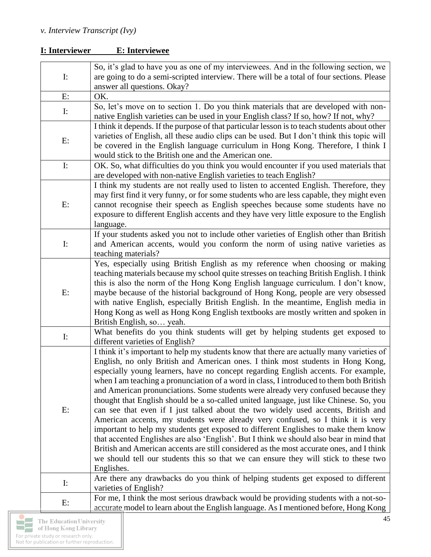| $\mathbf{I}$ :                | So, it's glad to have you as one of my interviewees. And in the following section, we<br>are going to do a semi-scripted interview. There will be a total of four sections. Please<br>answer all questions. Okay?                                                                                                                                                                                                                                                                                                                                                                                                                                                                                                                                                                                                                                                                                                                                                                                                                                                                                         |
|-------------------------------|-----------------------------------------------------------------------------------------------------------------------------------------------------------------------------------------------------------------------------------------------------------------------------------------------------------------------------------------------------------------------------------------------------------------------------------------------------------------------------------------------------------------------------------------------------------------------------------------------------------------------------------------------------------------------------------------------------------------------------------------------------------------------------------------------------------------------------------------------------------------------------------------------------------------------------------------------------------------------------------------------------------------------------------------------------------------------------------------------------------|
| E:                            | OK.                                                                                                                                                                                                                                                                                                                                                                                                                                                                                                                                                                                                                                                                                                                                                                                                                                                                                                                                                                                                                                                                                                       |
| $\mathbf{I}$ :                | So, let's move on to section 1. Do you think materials that are developed with non-<br>native English varieties can be used in your English class? If so, how? If not, why?                                                                                                                                                                                                                                                                                                                                                                                                                                                                                                                                                                                                                                                                                                                                                                                                                                                                                                                               |
| E:                            | I think it depends. If the purpose of that particular lesson is to teach students about other<br>varieties of English, all these audio clips can be used. But I don't think this topic will<br>be covered in the English language curriculum in Hong Kong. Therefore, I think I<br>would stick to the British one and the American one.                                                                                                                                                                                                                                                                                                                                                                                                                                                                                                                                                                                                                                                                                                                                                                   |
| $\mathbf{I}$ :                | OK. So, what difficulties do you think you would encounter if you used materials that<br>are developed with non-native English varieties to teach English?                                                                                                                                                                                                                                                                                                                                                                                                                                                                                                                                                                                                                                                                                                                                                                                                                                                                                                                                                |
| E:                            | I think my students are not really used to listen to accented English. Therefore, they<br>may first find it very funny, or for some students who are less capable, they might even<br>cannot recognise their speech as English speeches because some students have no<br>exposure to different English accents and they have very little exposure to the English<br>language.                                                                                                                                                                                                                                                                                                                                                                                                                                                                                                                                                                                                                                                                                                                             |
| $\mathbf{I:}% \mathcal{M}(G)$ | If your students asked you not to include other varieties of English other than British<br>and American accents, would you conform the norm of using native varieties as<br>teaching materials?                                                                                                                                                                                                                                                                                                                                                                                                                                                                                                                                                                                                                                                                                                                                                                                                                                                                                                           |
| E:                            | Yes, especially using British English as my reference when choosing or making<br>teaching materials because my school quite stresses on teaching British English. I think<br>this is also the norm of the Hong Kong English language curriculum. I don't know,<br>maybe because of the historial background of Hong Kong, people are very obsessed<br>with native English, especially British English. In the meantime, English media in<br>Hong Kong as well as Hong Kong English textbooks are mostly written and spoken in<br>British English, so yeah.                                                                                                                                                                                                                                                                                                                                                                                                                                                                                                                                                |
| $\mathbf{I}$ :                | What benefits do you think students will get by helping students get exposed to<br>different varieties of English?                                                                                                                                                                                                                                                                                                                                                                                                                                                                                                                                                                                                                                                                                                                                                                                                                                                                                                                                                                                        |
| E:                            | I think it's important to help my students know that there are actually many varieties of<br>English, no only British and American ones. I think most students in Hong Kong,<br>especially young learners, have no concept regarding English accents. For example,<br>when I am teaching a pronunciation of a word in class, I introduced to them both British<br>and American pronunciations. Some students were already very confused because they<br>thought that English should be a so-called united language, just like Chinese. So, you<br>can see that even if I just talked about the two widely used accents, British and<br>American accents, my students were already very confused, so I think it is very<br>important to help my students get exposed to different Englishes to make them know<br>that accented Englishes are also 'English'. But I think we should also bear in mind that<br>British and American accents are still considered as the most accurate ones, and I think<br>we should tell our students this so that we can ensure they will stick to these two<br>Englishes. |
| $\mathbf{I}:$                 | Are there any drawbacks do you think of helping students get exposed to different                                                                                                                                                                                                                                                                                                                                                                                                                                                                                                                                                                                                                                                                                                                                                                                                                                                                                                                                                                                                                         |
| E:                            | varieties of English?<br>For me, I think the most serious drawback would be providing students with a not-so-<br>accurate model to learn about the English language. As I mentioned before, Hong Kong                                                                                                                                                                                                                                                                                                                                                                                                                                                                                                                                                                                                                                                                                                                                                                                                                                                                                                     |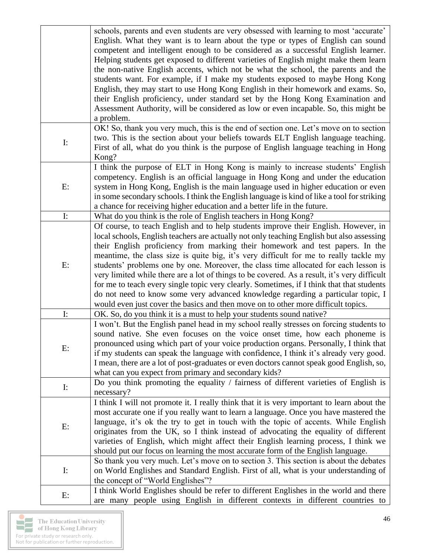|                | schools, parents and even students are very obsessed with learning to most 'accurate'<br>English. What they want is to learn about the type or types of English can sound |
|----------------|---------------------------------------------------------------------------------------------------------------------------------------------------------------------------|
|                | competent and intelligent enough to be considered as a successful English learner.                                                                                        |
|                | Helping students get exposed to different varieties of English might make them learn                                                                                      |
|                | the non-native English accents, which not be what the school, the parents and the                                                                                         |
|                | students want. For example, if I make my students exposed to maybe Hong Kong                                                                                              |
|                | English, they may start to use Hong Kong English in their homework and exams. So,                                                                                         |
|                | their English proficiency, under standard set by the Hong Kong Examination and                                                                                            |
|                | Assessment Authority, will be considered as low or even incapable. So, this might be                                                                                      |
|                | a problem.                                                                                                                                                                |
|                | OK! So, thank you very much, this is the end of section one. Let's move on to section                                                                                     |
| $\mathbf{I}$ : | two. This is the section about your beliefs towards ELT English language teaching.                                                                                        |
|                | First of all, what do you think is the purpose of English language teaching in Hong                                                                                       |
|                | Kong?                                                                                                                                                                     |
|                | I think the purpose of ELT in Hong Kong is mainly to increase students' English                                                                                           |
|                | competency. English is an official language in Hong Kong and under the education                                                                                          |
| E:             | system in Hong Kong, English is the main language used in higher education or even                                                                                        |
|                | in some secondary schools. I think the English language is kind of like a tool for striking                                                                               |
|                | a chance for receiving higher education and a better life in the future.                                                                                                  |
| $\mathbf{I}:$  | What do you think is the role of English teachers in Hong Kong?                                                                                                           |
|                | Of course, to teach English and to help students improve their English. However, in                                                                                       |
|                | local schools, English teachers are actually not only teaching English but also assessing                                                                                 |
|                | their English proficiency from marking their homework and test papers. In the                                                                                             |
|                | meantime, the class size is quite big, it's very difficult for me to really tackle my                                                                                     |
| E:             | students' problems one by one. Moreover, the class time allocated for each lesson is                                                                                      |
|                | very limited while there are a lot of things to be covered. As a result, it's very difficult                                                                              |
|                | for me to teach every single topic very clearly. Sometimes, if I think that that students                                                                                 |
|                | do not need to know some very advanced knowledge regarding a particular topic, I<br>would even just cover the basics and then move on to other more difficult topics.     |
| $\mathbf{I}:$  | OK. So, do you think it is a must to help your students sound native?                                                                                                     |
|                | I won't. But the English panel head in my school really stresses on forcing students to                                                                                   |
|                | sound native. She even focuses on the voice onset time, how each phoneme is                                                                                               |
|                | pronounced using which part of your voice production organs. Personally, I think that                                                                                     |
| E:             | if my students can speak the language with confidence, I think it's already very good.                                                                                    |
|                | I mean, there are a lot of post-graduates or even doctors cannot speak good English, so,                                                                                  |
|                | what can you expect from primary and secondary kids?                                                                                                                      |
|                | Do you think promoting the equality / fairness of different varieties of English is                                                                                       |
| $\mathbf{I}$ : | necessary?                                                                                                                                                                |
|                | I think I will not promote it. I really think that it is very important to learn about the                                                                                |
|                | most accurate one if you really want to learn a language. Once you have mastered the                                                                                      |
| E:             | language, it's ok the try to get in touch with the topic of accents. While English                                                                                        |
|                | originates from the UK, so I think instead of advocating the equality of different                                                                                        |
|                | varieties of English, which might affect their English learning process, I think we                                                                                       |
|                | should put our focus on learning the most accurate form of the English language.                                                                                          |
|                | So thank you very much. Let's move on to section 3. This section is about the debates                                                                                     |
| $\mathbf{I}$ : | on World Englishes and Standard English. First of all, what is your understanding of                                                                                      |
|                | the concept of "World Englishes"?                                                                                                                                         |
| E:             | I think World Englishes should be refer to different Englishes in the world and there                                                                                     |
|                | are many people using English in different contexts in different countries to                                                                                             |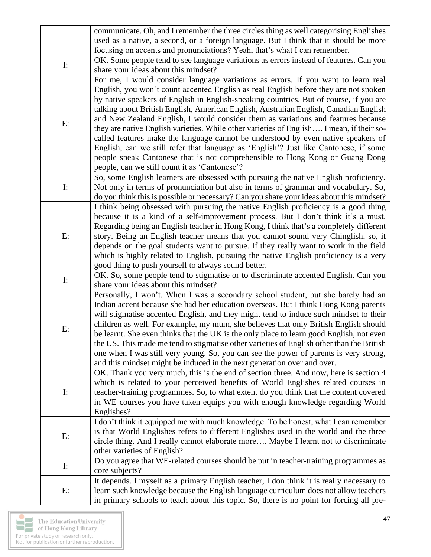| $\mathbf{I}$ :<br>E:<br>$\mathbf{I}:$<br>E:<br>$\mathbf{I}:$<br>E:<br>$\mathbf{I}$ :<br>E:<br>$\mathbf{I}$ : | communicate. Oh, and I remember the three circles thing as well categorising Englishes                                                                                                                                                                                                                                                                                                                           |
|--------------------------------------------------------------------------------------------------------------|------------------------------------------------------------------------------------------------------------------------------------------------------------------------------------------------------------------------------------------------------------------------------------------------------------------------------------------------------------------------------------------------------------------|
|                                                                                                              | used as a native, a second, or a foreign language. But I think that it should be more                                                                                                                                                                                                                                                                                                                            |
|                                                                                                              | focusing on accents and pronunciations? Yeah, that's what I can remember.                                                                                                                                                                                                                                                                                                                                        |
|                                                                                                              | OK. Some people tend to see language variations as errors instead of features. Can you                                                                                                                                                                                                                                                                                                                           |
|                                                                                                              | share your ideas about this mindset?                                                                                                                                                                                                                                                                                                                                                                             |
|                                                                                                              | For me, I would consider language variations as errors. If you want to learn real                                                                                                                                                                                                                                                                                                                                |
|                                                                                                              | English, you won't count accented English as real English before they are not spoken                                                                                                                                                                                                                                                                                                                             |
|                                                                                                              | by native speakers of English in English-speaking countries. But of course, if you are                                                                                                                                                                                                                                                                                                                           |
|                                                                                                              | talking about British English, American English, Australian English, Canadian English                                                                                                                                                                                                                                                                                                                            |
|                                                                                                              | and New Zealand English, I would consider them as variations and features because                                                                                                                                                                                                                                                                                                                                |
|                                                                                                              | they are native English varieties. While other varieties of English I mean, if their so-                                                                                                                                                                                                                                                                                                                         |
|                                                                                                              | called features make the language cannot be understood by even native speakers of                                                                                                                                                                                                                                                                                                                                |
|                                                                                                              | English, can we still refer that language as 'English'? Just like Cantonese, if some                                                                                                                                                                                                                                                                                                                             |
|                                                                                                              | people speak Cantonese that is not comprehensible to Hong Kong or Guang Dong                                                                                                                                                                                                                                                                                                                                     |
|                                                                                                              | people, can we still count it as 'Cantonese'?                                                                                                                                                                                                                                                                                                                                                                    |
|                                                                                                              | So, some English learners are obsessed with pursuing the native English proficiency.                                                                                                                                                                                                                                                                                                                             |
|                                                                                                              | Not only in terms of pronunciation but also in terms of grammar and vocabulary. So,                                                                                                                                                                                                                                                                                                                              |
|                                                                                                              | do you think this is possible or necessary? Can you share your ideas about this mindset?<br>I think being obsessed with pursuing the native English proficiency is a good thing                                                                                                                                                                                                                                  |
|                                                                                                              | because it is a kind of a self-improvement process. But I don't think it's a must.                                                                                                                                                                                                                                                                                                                               |
|                                                                                                              | Regarding being an English teacher in Hong Kong, I think that's a completely different                                                                                                                                                                                                                                                                                                                           |
|                                                                                                              | story. Being an English teacher means that you cannot sound very Chinglish, so, it                                                                                                                                                                                                                                                                                                                               |
|                                                                                                              | depends on the goal students want to pursue. If they really want to work in the field                                                                                                                                                                                                                                                                                                                            |
|                                                                                                              | which is highly related to English, pursuing the native English proficiency is a very                                                                                                                                                                                                                                                                                                                            |
|                                                                                                              | good thing to push yourself to always sound better.                                                                                                                                                                                                                                                                                                                                                              |
|                                                                                                              | OK. So, some people tend to stigmatise or to discriminate accented English. Can you                                                                                                                                                                                                                                                                                                                              |
|                                                                                                              | share your ideas about this mindset?                                                                                                                                                                                                                                                                                                                                                                             |
|                                                                                                              | Personally, I won't. When I was a secondary school student, but she barely had an                                                                                                                                                                                                                                                                                                                                |
|                                                                                                              | Indian accent because she had her education overseas. But I think Hong Kong parents                                                                                                                                                                                                                                                                                                                              |
|                                                                                                              | will stigmatise accented English, and they might tend to induce such mindset to their                                                                                                                                                                                                                                                                                                                            |
|                                                                                                              | children as well. For example, my mum, she believes that only British English should                                                                                                                                                                                                                                                                                                                             |
|                                                                                                              | be learnt. She even thinks that the UK is the only place to learn good English, not even<br>the US. This made me tend to stigmatise other varieties of English other than the British                                                                                                                                                                                                                            |
|                                                                                                              | one when I was still very young. So, you can see the power of parents is very strong,                                                                                                                                                                                                                                                                                                                            |
|                                                                                                              | and this mindset might be induced in the next generation over and over.                                                                                                                                                                                                                                                                                                                                          |
|                                                                                                              | OK. Thank you very much, this is the end of section three. And now, here is section 4                                                                                                                                                                                                                                                                                                                            |
|                                                                                                              | which is related to your perceived benefits of World Englishes related courses in                                                                                                                                                                                                                                                                                                                                |
|                                                                                                              | teacher-training programmes. So, to what extent do you think that the content covered                                                                                                                                                                                                                                                                                                                            |
|                                                                                                              | in WE courses you have taken equips you with enough knowledge regarding World                                                                                                                                                                                                                                                                                                                                    |
|                                                                                                              | Englishes?                                                                                                                                                                                                                                                                                                                                                                                                       |
|                                                                                                              | I don't think it equipped me with much knowledge. To be honest, what I can remember                                                                                                                                                                                                                                                                                                                              |
|                                                                                                              | is that World Englishes refers to different Englishes used in the world and the three                                                                                                                                                                                                                                                                                                                            |
|                                                                                                              |                                                                                                                                                                                                                                                                                                                                                                                                                  |
|                                                                                                              |                                                                                                                                                                                                                                                                                                                                                                                                                  |
|                                                                                                              |                                                                                                                                                                                                                                                                                                                                                                                                                  |
|                                                                                                              |                                                                                                                                                                                                                                                                                                                                                                                                                  |
|                                                                                                              |                                                                                                                                                                                                                                                                                                                                                                                                                  |
|                                                                                                              | in primary schools to teach about this topic. So, there is no point for forcing all pre-                                                                                                                                                                                                                                                                                                                         |
| E:                                                                                                           | circle thing. And I really cannot elaborate more Maybe I learnt not to discriminate<br>other varieties of English?<br>Do you agree that WE-related courses should be put in teacher-training programmes as<br>core subjects?<br>It depends. I myself as a primary English teacher, I don think it is really necessary to<br>learn such knowledge because the English language curriculum does not allow teachers |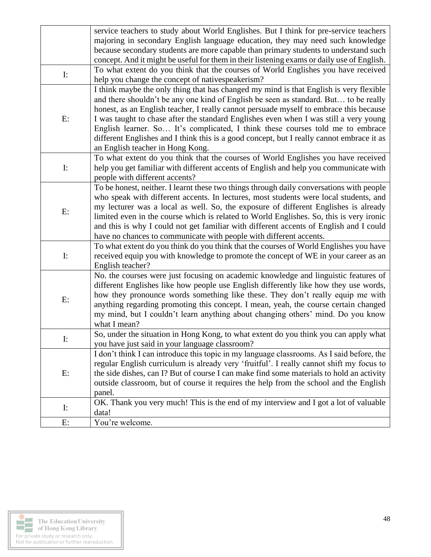|                               | service teachers to study about World Englishes. But I think for pre-service teachers      |
|-------------------------------|--------------------------------------------------------------------------------------------|
|                               | majoring in secondary English language education, they may need such knowledge             |
|                               | because secondary students are more capable than primary students to understand such       |
|                               | concept. And it might be useful for them in their listening exams or daily use of English. |
|                               | To what extent do you think that the courses of World Englishes you have received          |
| $\mathbf{I}$ :                | help you change the concept of nativespeakerism?                                           |
|                               | I think maybe the only thing that has changed my mind is that English is very flexible     |
|                               | and there shouldn't be any one kind of English be seen as standard. But to be really       |
|                               | honest, as an English teacher, I really cannot persuade myself to embrace this because     |
| E:                            | I was taught to chase after the standard Englishes even when I was still a very young      |
|                               | English learner. So It's complicated, I think these courses told me to embrace             |
|                               | different Englishes and I think this is a good concept, but I really cannot embrace it as  |
|                               | an English teacher in Hong Kong.                                                           |
|                               | To what extent do you think that the courses of World Englishes you have received          |
| $\mathbf{I}$ :                | help you get familiar with different accents of English and help you communicate with      |
|                               | people with different accents?                                                             |
|                               | To be honest, neither. I learnt these two things through daily conversations with people   |
|                               | who speak with different accents. In lectures, most students were local students, and      |
|                               | my lecturer was a local as well. So, the exposure of different Englishes is already        |
| E:                            | limited even in the course which is related to World Englishes. So, this is very ironic    |
|                               | and this is why I could not get familiar with different accents of English and I could     |
|                               | have no chances to communicate with people with different accents.                         |
|                               | To what extent do you think do you think that the courses of World Englishes you have      |
| $\mathbf{I:}% \mathcal{M}(G)$ | received equip you with knowledge to promote the concept of WE in your career as an        |
|                               | English teacher?                                                                           |
|                               | No. the courses were just focusing on academic knowledge and linguistic features of        |
|                               | different Englishes like how people use English differently like how they use words,       |
|                               | how they pronounce words something like these. They don't really equip me with             |
| E:                            | anything regarding promoting this concept. I mean, yeah, the course certain changed        |
|                               | my mind, but I couldn't learn anything about changing others' mind. Do you know            |
|                               | what I mean?                                                                               |
|                               | So, under the situation in Hong Kong, to what extent do you think you can apply what       |
| $\mathbf{I}$ :                | you have just said in your language classroom?                                             |
|                               | I don't think I can introduce this topic in my language classrooms. As I said before, the  |
| E:                            | regular English curriculum is already very 'fruitful'. I really cannot shift my focus to   |
|                               | the side dishes, can I? But of course I can make find some materials to hold an activity   |
|                               | outside classroom, but of course it requires the help from the school and the English      |
|                               | panel.                                                                                     |
|                               | OK. Thank you very much! This is the end of my interview and I got a lot of valuable       |
| I:                            | data!                                                                                      |
| E:                            | You're welcome.                                                                            |

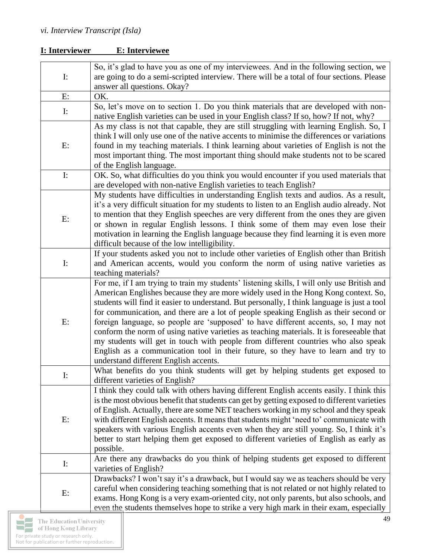| $\mathbf{I}$ :                                                                                                                                                                                                                                                                                                                                                                                                                                             | So, it's glad to have you as one of my interviewees. And in the following section, we<br>are going to do a semi-scripted interview. There will be a total of four sections. Please                                                                                                                                                                                                                                                                                                                                                                                                                                                                                                                                                                                            |
|------------------------------------------------------------------------------------------------------------------------------------------------------------------------------------------------------------------------------------------------------------------------------------------------------------------------------------------------------------------------------------------------------------------------------------------------------------|-------------------------------------------------------------------------------------------------------------------------------------------------------------------------------------------------------------------------------------------------------------------------------------------------------------------------------------------------------------------------------------------------------------------------------------------------------------------------------------------------------------------------------------------------------------------------------------------------------------------------------------------------------------------------------------------------------------------------------------------------------------------------------|
|                                                                                                                                                                                                                                                                                                                                                                                                                                                            | answer all questions. Okay?                                                                                                                                                                                                                                                                                                                                                                                                                                                                                                                                                                                                                                                                                                                                                   |
| E:                                                                                                                                                                                                                                                                                                                                                                                                                                                         | OK.                                                                                                                                                                                                                                                                                                                                                                                                                                                                                                                                                                                                                                                                                                                                                                           |
| $\mathbf{I}$ :                                                                                                                                                                                                                                                                                                                                                                                                                                             | So, let's move on to section 1. Do you think materials that are developed with non-<br>native English varieties can be used in your English class? If so, how? If not, why?                                                                                                                                                                                                                                                                                                                                                                                                                                                                                                                                                                                                   |
| E:                                                                                                                                                                                                                                                                                                                                                                                                                                                         | As my class is not that capable, they are still struggling with learning English. So, I<br>think I will only use one of the native accents to minimise the differences or variations<br>found in my teaching materials. I think learning about varieties of English is not the<br>most important thing. The most important thing should make students not to be scared<br>of the English language.                                                                                                                                                                                                                                                                                                                                                                            |
| $\mathbf{I}$ :                                                                                                                                                                                                                                                                                                                                                                                                                                             | OK. So, what difficulties do you think you would encounter if you used materials that<br>are developed with non-native English varieties to teach English?                                                                                                                                                                                                                                                                                                                                                                                                                                                                                                                                                                                                                    |
| E:                                                                                                                                                                                                                                                                                                                                                                                                                                                         | My students have difficulties in understanding English texts and audios. As a result,<br>it's a very difficult situation for my students to listen to an English audio already. Not<br>to mention that they English speeches are very different from the ones they are given<br>or shown in regular English lessons. I think some of them may even lose their<br>motivation in learning the English language because they find learning it is even more<br>difficult because of the low intelligibility.                                                                                                                                                                                                                                                                      |
| ${\rm I:}$                                                                                                                                                                                                                                                                                                                                                                                                                                                 | If your students asked you not to include other varieties of English other than British<br>and American accents, would you conform the norm of using native varieties as<br>teaching materials?                                                                                                                                                                                                                                                                                                                                                                                                                                                                                                                                                                               |
| E:                                                                                                                                                                                                                                                                                                                                                                                                                                                         | For me, if I am trying to train my students' listening skills, I will only use British and<br>American Englishes because they are more widely used in the Hong Kong context. So,<br>students will find it easier to understand. But personally, I think language is just a tool<br>for communication, and there are a lot of people speaking English as their second or<br>foreign language, so people are 'supposed' to have different accents, so, I may not<br>conform the norm of using native varieties as teaching materials. It is foreseeable that<br>my students will get in touch with people from different countries who also speak<br>English as a communication tool in their future, so they have to learn and try to<br>understand different English accents. |
| $\mathbf{I:}% \mathbb{R}^{d}\times\mathbb{R}^{d}\times\mathbb{R}^{d}\times\mathbb{R}^{d}\times\mathbb{R}^{d}\times\mathbb{R}^{d}\times\mathbb{R}^{d}\times\mathbb{R}^{d}\times\mathbb{R}^{d}\times\mathbb{R}^{d}\times\mathbb{R}^{d}\times\mathbb{R}^{d}\times\mathbb{R}^{d}\times\mathbb{R}^{d}\times\mathbb{R}^{d}\times\mathbb{R}^{d}\times\mathbb{R}^{d}\times\mathbb{R}^{d}\times\mathbb{R}^{d}\times\mathbb{R}^{d}\times\mathbb{R}^{d}\times\mathbb$ | What benefits do you think students will get by helping students get exposed to<br>different varieties of English?                                                                                                                                                                                                                                                                                                                                                                                                                                                                                                                                                                                                                                                            |
| E:                                                                                                                                                                                                                                                                                                                                                                                                                                                         | I think they could talk with others having different English accents easily. I think this<br>is the most obvious benefit that students can get by getting exposed to different varieties<br>of English. Actually, there are some NET teachers working in my school and they speak<br>with different English accents. It means that students might 'need to' communicate with<br>speakers with various English accents even when they are still young. So, I think it's<br>better to start helping them get exposed to different varieties of English as early as<br>possible.                                                                                                                                                                                                 |
| $\mathbf{I}$ :                                                                                                                                                                                                                                                                                                                                                                                                                                             | Are there any drawbacks do you think of helping students get exposed to different<br>varieties of English?                                                                                                                                                                                                                                                                                                                                                                                                                                                                                                                                                                                                                                                                    |
| E:                                                                                                                                                                                                                                                                                                                                                                                                                                                         | Drawbacks? I won't say it's a drawback, but I would say we as teachers should be very<br>careful when considering teaching something that is not related or not highly related to<br>exams. Hong Kong is a very exam-oriented city, not only parents, but also schools, and<br>even the students themselves hope to strike a very high mark in their exam, especially                                                                                                                                                                                                                                                                                                                                                                                                         |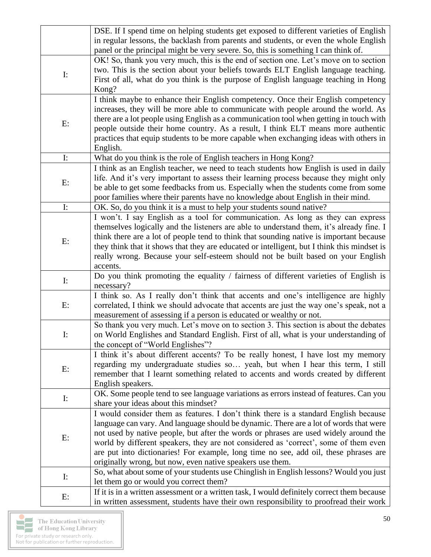| DSE. If I spend time on helping students get exposed to different varieties of English                                                                                        |  |
|-------------------------------------------------------------------------------------------------------------------------------------------------------------------------------|--|
| in regular lessons, the backlash from parents and students, or even the whole English                                                                                         |  |
| panel or the principal might be very severe. So, this is something I can think of.                                                                                            |  |
| OK! So, thank you very much, this is the end of section one. Let's move on to section                                                                                         |  |
| two. This is the section about your beliefs towards ELT English language teaching.                                                                                            |  |
| $\mathbf{I}$ :<br>First of all, what do you think is the purpose of English language teaching in Hong                                                                         |  |
| Kong?                                                                                                                                                                         |  |
| I think maybe to enhance their English competency. Once their English competency                                                                                              |  |
| increases, they will be more able to communicate with people around the world. As                                                                                             |  |
| there are a lot people using English as a communication tool when getting in touch with                                                                                       |  |
| $E$ :<br>people outside their home country. As a result, I think ELT means more authentic                                                                                     |  |
| practices that equip students to be more capable when exchanging ideas with others in                                                                                         |  |
| English.                                                                                                                                                                      |  |
| $\mathbf{I}$ :<br>What do you think is the role of English teachers in Hong Kong?                                                                                             |  |
| I think as an English teacher, we need to teach students how English is used in daily                                                                                         |  |
| life. And it's very important to assess their learning process because they might only                                                                                        |  |
| $E$ :<br>be able to get some feedbacks from us. Especially when the students come from some                                                                                   |  |
| poor families where their parents have no knowledge about English in their mind.                                                                                              |  |
| $\mathbf{I}:$<br>OK. So, do you think it is a must to help your students sound native?                                                                                        |  |
| I won't. I say English as a tool for communication. As long as they can express                                                                                               |  |
| themselves logically and the listeners are able to understand them, it's already fine. I                                                                                      |  |
| think there are a lot of people tend to think that sounding native is important because<br>$E$ :                                                                              |  |
| they think that it shows that they are educated or intelligent, but I think this mindset is                                                                                   |  |
| really wrong. Because your self-esteem should not be built based on your English                                                                                              |  |
| accents.                                                                                                                                                                      |  |
| Do you think promoting the equality / fairness of different varieties of English is<br>I:                                                                                     |  |
| necessary?                                                                                                                                                                    |  |
| I think so. As I really don't think that accents and one's intelligence are highly                                                                                            |  |
| E:<br>correlated, I think we should advocate that accents are just the way one's speak, not a                                                                                 |  |
| measurement of assessing if a person is educated or wealthy or not.                                                                                                           |  |
| So thank you very much. Let's move on to section 3. This section is about the debates                                                                                         |  |
| $\mathbf{I}$ :<br>on World Englishes and Standard English. First of all, what is your understanding of                                                                        |  |
| the concept of "World Englishes"?                                                                                                                                             |  |
| I think it's about different accents? To be really honest, I have lost my memory                                                                                              |  |
| regarding my undergraduate studies so yeah, but when I hear this term, I still<br>E:                                                                                          |  |
| remember that I learnt something related to accents and words created by different                                                                                            |  |
| English speakers.                                                                                                                                                             |  |
| OK. Some people tend to see language variations as errors instead of features. Can you<br>$\mathbf{I}$ :                                                                      |  |
| share your ideas about this mindset?                                                                                                                                          |  |
| I would consider them as features. I don't think there is a standard English because                                                                                          |  |
| language can vary. And language should be dynamic. There are a lot of words that were<br>not used by native people, but after the words or phrases are used widely around the |  |
| $E$ :<br>world by different speakers, they are not considered as 'correct', some of them even                                                                                 |  |
|                                                                                                                                                                               |  |
| are put into dictionaries! For example, long time no see, add oil, these phrases are<br>originally wrong, but now, even native speakers use them.                             |  |
| So, what about some of your students use Chinglish in English lessons? Would you just                                                                                         |  |
| $\mathbf{I}$ :<br>let them go or would you correct them?                                                                                                                      |  |
| If it is in a written assessment or a written task, I would definitely correct them because                                                                                   |  |
| E:<br>in written assessment, students have their own responsibility to proofread their work                                                                                   |  |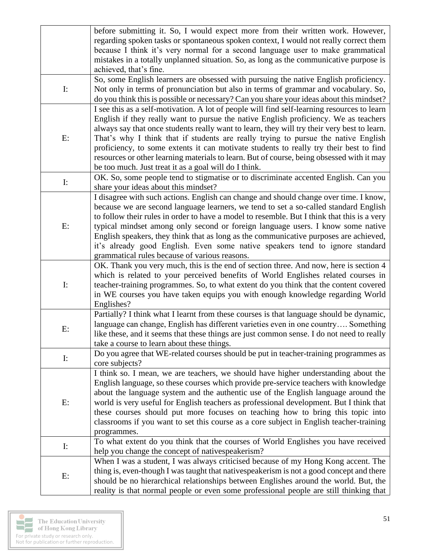|                | before submitting it. So, I would expect more from their written work. However,             |
|----------------|---------------------------------------------------------------------------------------------|
|                | regarding spoken tasks or spontaneous spoken context, I would not really correct them       |
|                | because I think it's very normal for a second language user to make grammatical             |
|                | mistakes in a totally unplanned situation. So, as long as the communicative purpose is      |
|                | achieved, that's fine.                                                                      |
|                | So, some English learners are obsessed with pursuing the native English proficiency.        |
| $\mathbf{I}$ : | Not only in terms of pronunciation but also in terms of grammar and vocabulary. So,         |
|                | do you think this is possible or necessary? Can you share your ideas about this mindset?    |
|                | I see this as a self-motivation. A lot of people will find self-learning resources to learn |
|                |                                                                                             |
|                | English if they really want to pursue the native English proficiency. We as teachers        |
|                | always say that once students really want to learn, they will try their very best to learn. |
| $E$ :          | That's why I think that if students are really trying to pursue the native English          |
|                | proficiency, to some extents it can motivate students to really try their best to find      |
|                | resources or other learning materials to learn. But of course, being obsessed with it may   |
|                | be too much. Just treat it as a goal will do I think.                                       |
| $\mathbf{I}:$  | OK. So, some people tend to stigmatise or to discriminate accented English. Can you         |
|                | share your ideas about this mindset?                                                        |
|                | I disagree with such actions. English can change and should change over time. I know,       |
|                | because we are second language learners, we tend to set a so-called standard English        |
|                | to follow their rules in order to have a model to resemble. But I think that this is a very |
| E:             | typical mindset among only second or foreign language users. I know some native             |
|                | English speakers, they think that as long as the communicative purposes are achieved,       |
|                | it's already good English. Even some native speakers tend to ignore standard                |
|                | grammatical rules because of various reasons.                                               |
|                | OK. Thank you very much, this is the end of section three. And now, here is section 4       |
|                | which is related to your perceived benefits of World Englishes related courses in           |
| $\mathbf{I}$ : | teacher-training programmes. So, to what extent do you think that the content covered       |
|                | in WE courses you have taken equips you with enough knowledge regarding World               |
|                | Englishes?                                                                                  |
|                | Partially? I think what I learnt from these courses is that language should be dynamic,     |
|                | language can change, English has different varieties even in one country Something          |
| E:             | like these, and it seems that these things are just common sense. I do not need to really   |
|                | take a course to learn about these things.                                                  |
|                | Do you agree that WE-related courses should be put in teacher-training programmes as        |
| $\mathbf{I}$ : | core subjects?                                                                              |
| E:             | I think so. I mean, we are teachers, we should have higher understanding about the          |
|                | English language, so these courses which provide pre-service teachers with knowledge        |
|                | about the language system and the authentic use of the English language around the          |
|                | world is very useful for English teachers as professional development. But I think that     |
|                | these courses should put more focuses on teaching how to bring this topic into              |
|                | classrooms if you want to set this course as a core subject in English teacher-training     |
|                | programmes.                                                                                 |
|                | To what extent do you think that the courses of World Englishes you have received           |
| $\mathbf{I}$ : |                                                                                             |
|                | help you change the concept of nativespeakerism?                                            |
|                | When I was a student, I was always criticised because of my Hong Kong accent. The           |
| E:             | thing is, even-though I was taught that nativespeakerism is not a good concept and there    |
|                | should be no hierarchical relationships between Englishes around the world. But, the        |
|                | reality is that normal people or even some professional people are still thinking that      |

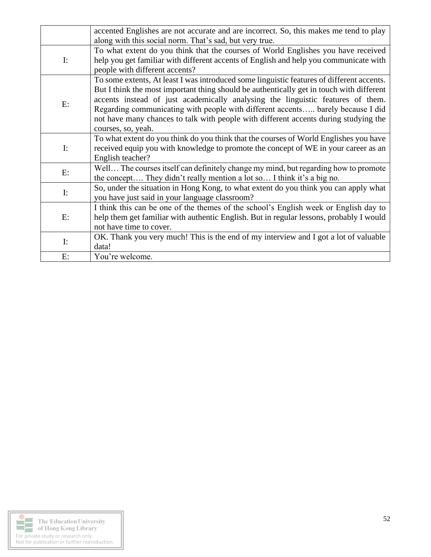|                | accented Englishes are not accurate and are incorrect. So, this makes me tend to play     |
|----------------|-------------------------------------------------------------------------------------------|
|                | along with this social norm. That's sad, but very true.                                   |
|                | To what extent do you think that the courses of World Englishes you have received         |
| $\mathbf{I}$ : | help you get familiar with different accents of English and help you communicate with     |
|                | people with different accents?                                                            |
|                | To some extents, At least I was introduced some linguistic features of different accents. |
|                | But I think the most important thing should be authentically get in touch with different  |
| $E$ :          | accents instead of just academically analysing the linguistic features of them.           |
|                | Regarding communicating with people with different accents barely because I did           |
|                | not have many chances to talk with people with different accents during studying the      |
|                | courses, so, yeah.                                                                        |
|                | To what extent do you think do you think that the courses of World Englishes you have     |
| $\mathbf{I}$ : | received equip you with knowledge to promote the concept of WE in your career as an       |
|                | English teacher?                                                                          |
|                | Well The courses itself can definitely change my mind, but regarding how to promote       |
| E:             | the concept They didn't really mention a lot so I think it's a big no.                    |
| $\mathbf{I}$ : | So, under the situation in Hong Kong, to what extent do you think you can apply what      |
|                | you have just said in your language classroom?                                            |
| E:             | I think this can be one of the themes of the school's English week or English day to      |
|                | help them get familiar with authentic English. But in regular lessons, probably I would   |
|                | not have time to cover.                                                                   |
| $\mathbf{I}$ : | OK. Thank you very much! This is the end of my interview and I got a lot of valuable      |
|                | data!                                                                                     |
| E:             | You're welcome.                                                                           |

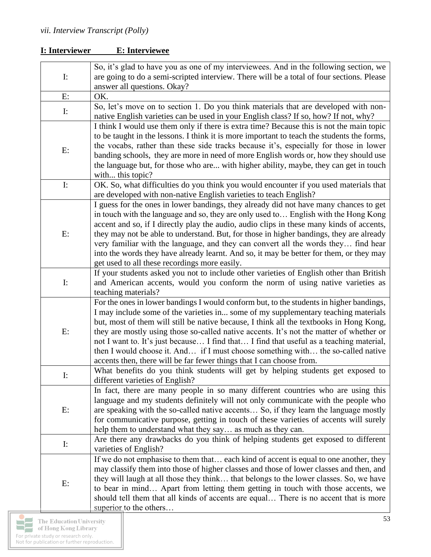| $\mathbf{I}$ :                                                                                                                                                                                                                                                                                                                                                                                                                                             | So, it's glad to have you as one of my interviewees. And in the following section, we                                                                                       |
|------------------------------------------------------------------------------------------------------------------------------------------------------------------------------------------------------------------------------------------------------------------------------------------------------------------------------------------------------------------------------------------------------------------------------------------------------------|-----------------------------------------------------------------------------------------------------------------------------------------------------------------------------|
|                                                                                                                                                                                                                                                                                                                                                                                                                                                            | are going to do a semi-scripted interview. There will be a total of four sections. Please                                                                                   |
|                                                                                                                                                                                                                                                                                                                                                                                                                                                            | answer all questions. Okay?                                                                                                                                                 |
| E:                                                                                                                                                                                                                                                                                                                                                                                                                                                         | OK.                                                                                                                                                                         |
| $\mathbf{I}$ :                                                                                                                                                                                                                                                                                                                                                                                                                                             | So, let's move on to section 1. Do you think materials that are developed with non-                                                                                         |
|                                                                                                                                                                                                                                                                                                                                                                                                                                                            | native English varieties can be used in your English class? If so, how? If not, why?                                                                                        |
|                                                                                                                                                                                                                                                                                                                                                                                                                                                            | I think I would use them only if there is extra time? Because this is not the main topic                                                                                    |
|                                                                                                                                                                                                                                                                                                                                                                                                                                                            | to be taught in the lessons. I think it is more important to teach the students the forms,                                                                                  |
| E:                                                                                                                                                                                                                                                                                                                                                                                                                                                         | the vocabs, rather than these side tracks because it's, especially for those in lower                                                                                       |
|                                                                                                                                                                                                                                                                                                                                                                                                                                                            | banding schools, they are more in need of more English words or, how they should use                                                                                        |
|                                                                                                                                                                                                                                                                                                                                                                                                                                                            | the language but, for those who are with higher ability, maybe, they can get in touch<br>with this topic?                                                                   |
| $\mathbf{I}$ :                                                                                                                                                                                                                                                                                                                                                                                                                                             | OK. So, what difficulties do you think you would encounter if you used materials that                                                                                       |
|                                                                                                                                                                                                                                                                                                                                                                                                                                                            | are developed with non-native English varieties to teach English?                                                                                                           |
|                                                                                                                                                                                                                                                                                                                                                                                                                                                            | I guess for the ones in lower bandings, they already did not have many chances to get                                                                                       |
|                                                                                                                                                                                                                                                                                                                                                                                                                                                            | in touch with the language and so, they are only used to English with the Hong Kong                                                                                         |
|                                                                                                                                                                                                                                                                                                                                                                                                                                                            | accent and so, if I directly play the audio, audio clips in these many kinds of accents,                                                                                    |
| E:                                                                                                                                                                                                                                                                                                                                                                                                                                                         | they may not be able to understand. But, for those in higher bandings, they are already                                                                                     |
|                                                                                                                                                                                                                                                                                                                                                                                                                                                            | very familiar with the language, and they can convert all the words they find hear                                                                                          |
|                                                                                                                                                                                                                                                                                                                                                                                                                                                            | into the words they have already learnt. And so, it may be better for them, or they may                                                                                     |
|                                                                                                                                                                                                                                                                                                                                                                                                                                                            | get used to all these recordings more easily.                                                                                                                               |
|                                                                                                                                                                                                                                                                                                                                                                                                                                                            | If your students asked you not to include other varieties of English other than British                                                                                     |
| $\mathbf{I:}% \mathcal{M}(G)$                                                                                                                                                                                                                                                                                                                                                                                                                              | and American accents, would you conform the norm of using native varieties as                                                                                               |
|                                                                                                                                                                                                                                                                                                                                                                                                                                                            | teaching materials?                                                                                                                                                         |
|                                                                                                                                                                                                                                                                                                                                                                                                                                                            | For the ones in lower bandings I would conform but, to the students in higher bandings,                                                                                     |
|                                                                                                                                                                                                                                                                                                                                                                                                                                                            | I may include some of the varieties in some of my supplementary teaching materials                                                                                          |
|                                                                                                                                                                                                                                                                                                                                                                                                                                                            | but, most of them will still be native because, I think all the textbooks in Hong Kong,                                                                                     |
| E:                                                                                                                                                                                                                                                                                                                                                                                                                                                         | they are mostly using those so-called native accents. It's not the matter of whether or                                                                                     |
|                                                                                                                                                                                                                                                                                                                                                                                                                                                            | not I want to. It's just because I find that I find that useful as a teaching material,<br>then I would choose it. And if I must choose something with the so-called native |
|                                                                                                                                                                                                                                                                                                                                                                                                                                                            | accents then, there will be far fewer things that I can choose from.                                                                                                        |
|                                                                                                                                                                                                                                                                                                                                                                                                                                                            | What benefits do you think students will get by helping students get exposed to                                                                                             |
| $\mathbf{I:}% \mathbb{R}^{d}\times\mathbb{R}^{d}\times\mathbb{R}^{d}\times\mathbb{R}^{d}\times\mathbb{R}^{d}\times\mathbb{R}^{d}\times\mathbb{R}^{d}\times\mathbb{R}^{d}\times\mathbb{R}^{d}\times\mathbb{R}^{d}\times\mathbb{R}^{d}\times\mathbb{R}^{d}\times\mathbb{R}^{d}\times\mathbb{R}^{d}\times\mathbb{R}^{d}\times\mathbb{R}^{d}\times\mathbb{R}^{d}\times\mathbb{R}^{d}\times\mathbb{R}^{d}\times\mathbb{R}^{d}\times\mathbb{R}^{d}\times\mathbb$ | different varieties of English?                                                                                                                                             |
|                                                                                                                                                                                                                                                                                                                                                                                                                                                            | In fact, there are many people in so many different countries who are using this                                                                                            |
|                                                                                                                                                                                                                                                                                                                                                                                                                                                            | language and my students definitely will not only communicate with the people who                                                                                           |
| E:                                                                                                                                                                                                                                                                                                                                                                                                                                                         | are speaking with the so-called native accents So, if they learn the language mostly                                                                                        |
|                                                                                                                                                                                                                                                                                                                                                                                                                                                            | for communicative purpose, getting in touch of these varieties of accents will surely                                                                                       |
|                                                                                                                                                                                                                                                                                                                                                                                                                                                            | help them to understand what they say as much as they can.                                                                                                                  |
| $\mathbf{I}$ :                                                                                                                                                                                                                                                                                                                                                                                                                                             | Are there any drawbacks do you think of helping students get exposed to different                                                                                           |
|                                                                                                                                                                                                                                                                                                                                                                                                                                                            | varieties of English?                                                                                                                                                       |
| E:                                                                                                                                                                                                                                                                                                                                                                                                                                                         | If we do not emphasise to them that each kind of accent is equal to one another, they                                                                                       |
|                                                                                                                                                                                                                                                                                                                                                                                                                                                            | may classify them into those of higher classes and those of lower classes and then, and                                                                                     |
|                                                                                                                                                                                                                                                                                                                                                                                                                                                            | they will laugh at all those they think that belongs to the lower classes. So, we have                                                                                      |
|                                                                                                                                                                                                                                                                                                                                                                                                                                                            | to bear in mind Apart from letting them getting in touch with those accents, we                                                                                             |
|                                                                                                                                                                                                                                                                                                                                                                                                                                                            | should tell them that all kinds of accents are equal There is no accent that is more                                                                                        |
|                                                                                                                                                                                                                                                                                                                                                                                                                                                            | superior to the others                                                                                                                                                      |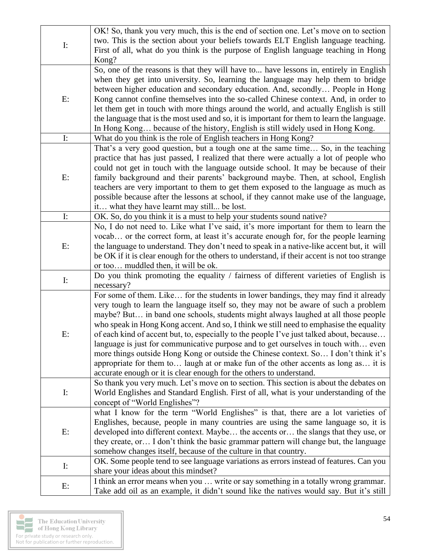| $\mathbf{I}$ : | OK! So, thank you very much, this is the end of section one. Let's move on to section             |
|----------------|---------------------------------------------------------------------------------------------------|
|                | two. This is the section about your beliefs towards ELT English language teaching.                |
|                | First of all, what do you think is the purpose of English language teaching in Hong               |
|                | Kong?                                                                                             |
| $E$ :          | So, one of the reasons is that they will have to have lessons in, entirely in English             |
|                | when they get into university. So, learning the language may help them to bridge                  |
|                | between higher education and secondary education. And, secondly People in Hong                    |
|                | Kong cannot confine themselves into the so-called Chinese context. And, in order to               |
|                | let them get in touch with more things around the world, and actually English is still            |
|                | the language that is the most used and so, it is important for them to learn the language.        |
|                | In Hong Kong because of the history, English is still widely used in Hong Kong.                   |
| $\mathbf{I}$ : | What do you think is the role of English teachers in Hong Kong?                                   |
|                | That's a very good question, but a tough one at the same time So, in the teaching                 |
|                | practice that has just passed, I realized that there were actually a lot of people who            |
|                | could not get in touch with the language outside school. It may be because of their               |
| E:             | family background and their parents' background maybe. Then, at school, English                   |
|                | teachers are very important to them to get them exposed to the language as much as                |
|                | possible because after the lessons at school, if they cannot make use of the language,            |
|                | it what they have learnt may still be lost.                                                       |
| $\mathbf{I}$ : | OK. So, do you think it is a must to help your students sound native?                             |
|                | No, I do not need to. Like what I've said, it's more important for them to learn the              |
|                | vocab or the correct form, at least it's accurate enough for, for the people learning             |
| E:             | the language to understand. They don't need to speak in a native-like accent but, it will         |
|                | be OK if it is clear enough for the others to understand, if their accent is not too strange      |
|                | or too muddled then, it will be ok.                                                               |
| $\mathbf{I}$ : | Do you think promoting the equality / fairness of different varieties of English is<br>necessary? |
|                | For some of them. Like for the students in lower bandings, they may find it already               |
|                | very tough to learn the language itself so, they may not be aware of such a problem               |
|                | maybe? But in band one schools, students might always laughed at all those people                 |
|                | who speak in Hong Kong accent. And so, I think we still need to emphasise the equality            |
| E:             | of each kind of accent but, to, especially to the people I've just talked about, because          |
|                | language is just for communicative purpose and to get ourselves in touch with even                |
|                | more things outside Hong Kong or outside the Chinese context. So I don't think it's               |
|                | appropriate for them to laugh at or make fun of the other accents as long as it is                |
|                | accurate enough or it is clear enough for the others to understand.                               |
|                | So thank you very much. Let's move on to section. This section is about the debates on            |
| $\mathbf{I}$ : | World Englishes and Standard English. First of all, what is your understanding of the             |
|                | concept of "World Englishes"?                                                                     |
| E:             | what I know for the term "World Englishes" is that, there are a lot varieties of                  |
|                | Englishes, because, people in many countries are using the same language so, it is                |
|                | developed into different context. Maybe the accents or the slangs that they use, or               |
|                | they create, or I don't think the basic grammar pattern will change but, the language             |
|                | somehow changes itself, because of the culture in that country.                                   |
| $\mathbf{I}$ : | OK. Some people tend to see language variations as errors instead of features. Can you            |
|                | share your ideas about this mindset?                                                              |
| E:             | I think an error means when you  write or say something in a totally wrong grammar.               |
|                | Take add oil as an example, it didn't sound like the natives would say. But it's still            |

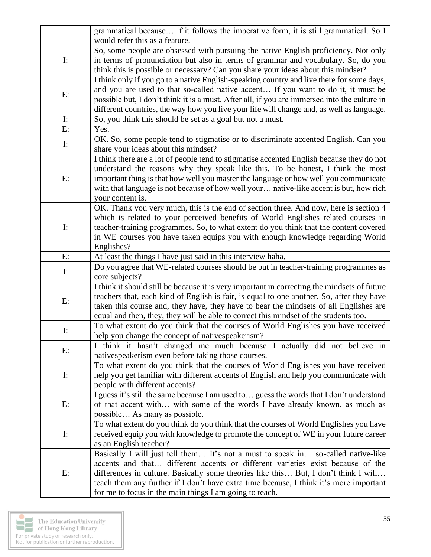|                | grammatical because if it follows the imperative form, it is still grammatical. So I                                                                                                                                                                                                                                       |
|----------------|----------------------------------------------------------------------------------------------------------------------------------------------------------------------------------------------------------------------------------------------------------------------------------------------------------------------------|
|                | would refer this as a feature.                                                                                                                                                                                                                                                                                             |
| $\mathbf{I}$ : | So, some people are obsessed with pursuing the native English proficiency. Not only                                                                                                                                                                                                                                        |
|                | in terms of pronunciation but also in terms of grammar and vocabulary. So, do you                                                                                                                                                                                                                                          |
|                | think this is possible or necessary? Can you share your ideas about this mindset?                                                                                                                                                                                                                                          |
|                | I think only if you go to a native English-speaking country and live there for some days,                                                                                                                                                                                                                                  |
| E:             | and you are used to that so-called native accent If you want to do it, it must be                                                                                                                                                                                                                                          |
|                | possible but, I don't think it is a must. After all, if you are immersed into the culture in                                                                                                                                                                                                                               |
|                | different countries, the way how you live your life will change and, as well as language.                                                                                                                                                                                                                                  |
| $\mathbf{I}$ : | So, you think this should be set as a goal but not a must.                                                                                                                                                                                                                                                                 |
| E:             | Yes.                                                                                                                                                                                                                                                                                                                       |
| $\mathbf{I}$ : | OK. So, some people tend to stigmatise or to discriminate accented English. Can you                                                                                                                                                                                                                                        |
|                | share your ideas about this mindset?                                                                                                                                                                                                                                                                                       |
|                | I think there are a lot of people tend to stigmatise accented English because they do not                                                                                                                                                                                                                                  |
|                | understand the reasons why they speak like this. To be honest, I think the most                                                                                                                                                                                                                                            |
| E:             | important thing is that how well you master the language or how well you communicate                                                                                                                                                                                                                                       |
|                | with that language is not because of how well your native-like accent is but, how rich                                                                                                                                                                                                                                     |
|                | your content is.                                                                                                                                                                                                                                                                                                           |
|                | OK. Thank you very much, this is the end of section three. And now, here is section 4                                                                                                                                                                                                                                      |
|                | which is related to your perceived benefits of World Englishes related courses in                                                                                                                                                                                                                                          |
| $\mathbf{I}$ : | teacher-training programmes. So, to what extent do you think that the content covered                                                                                                                                                                                                                                      |
|                | in WE courses you have taken equips you with enough knowledge regarding World                                                                                                                                                                                                                                              |
|                | Englishes?                                                                                                                                                                                                                                                                                                                 |
| E:             | At least the things I have just said in this interview haha.                                                                                                                                                                                                                                                               |
| $\mathbf{I}$ : | Do you agree that WE-related courses should be put in teacher-training programmes as                                                                                                                                                                                                                                       |
|                | core subjects?                                                                                                                                                                                                                                                                                                             |
|                | I think it should still be because it is very important in correcting the mindsets of future                                                                                                                                                                                                                               |
| $E$ :          | teachers that, each kind of English is fair, is equal to one another. So, after they have                                                                                                                                                                                                                                  |
|                | taken this course and, they have, they have to bear the mindsets of all Englishes are                                                                                                                                                                                                                                      |
|                | equal and then, they, they will be able to correct this mindset of the students too.                                                                                                                                                                                                                                       |
| $\mathbf{I}$ : | To what extent do you think that the courses of World Englishes you have received                                                                                                                                                                                                                                          |
|                | help you change the concept of nativespeakerism?                                                                                                                                                                                                                                                                           |
| E:             | I think it hasn't changed me much because I actually did not believe in                                                                                                                                                                                                                                                    |
|                | nativespeakerism even before taking those courses.<br>To what extent do you think that the courses of World Englishes you have received                                                                                                                                                                                    |
| $\mathbf{I}$ : | help you get familiar with different accents of English and help you communicate with                                                                                                                                                                                                                                      |
|                | people with different accents?                                                                                                                                                                                                                                                                                             |
|                | I guess it's still the same because I am used to guess the words that I don't understand                                                                                                                                                                                                                                   |
| E:             | of that accent with with some of the words I have already known, as much as                                                                                                                                                                                                                                                |
|                | possible As many as possible.                                                                                                                                                                                                                                                                                              |
| $\mathbf{I}$ : | To what extent do you think do you think that the courses of World Englishes you have                                                                                                                                                                                                                                      |
|                | received equip you with knowledge to promote the concept of WE in your future career                                                                                                                                                                                                                                       |
|                | as an English teacher?                                                                                                                                                                                                                                                                                                     |
|                | Basically I will just tell them It's not a must to speak in so-called native-like                                                                                                                                                                                                                                          |
|                |                                                                                                                                                                                                                                                                                                                            |
| E:             |                                                                                                                                                                                                                                                                                                                            |
|                |                                                                                                                                                                                                                                                                                                                            |
|                |                                                                                                                                                                                                                                                                                                                            |
|                | accents and that different accents or different varieties exist because of the<br>differences in culture. Basically some theories like this But, I don't think I will<br>teach them any further if I don't have extra time because, I think it's more important<br>for me to focus in the main things I am going to teach. |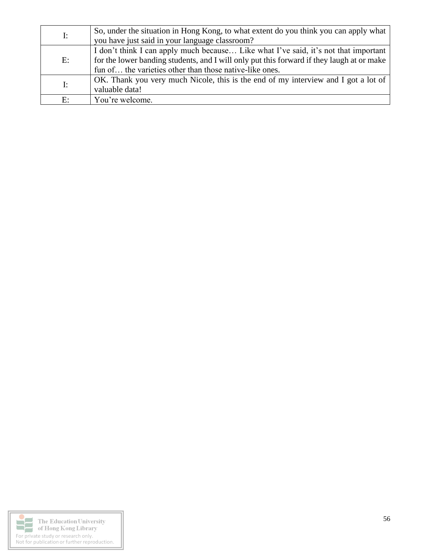| $\mathbf{I}$ : | So, under the situation in Hong Kong, to what extent do you think you can apply what      |
|----------------|-------------------------------------------------------------------------------------------|
|                | you have just said in your language classroom?                                            |
| E:             | I don't think I can apply much because Like what I've said, it's not that important       |
|                | for the lower banding students, and I will only put this forward if they laugh at or make |
|                | fun of the varieties other than those native-like ones.                                   |
| I:             | OK. Thank you very much Nicole, this is the end of my interview and I got a lot of        |
|                | valuable data!                                                                            |
| E:             | You're welcome.                                                                           |

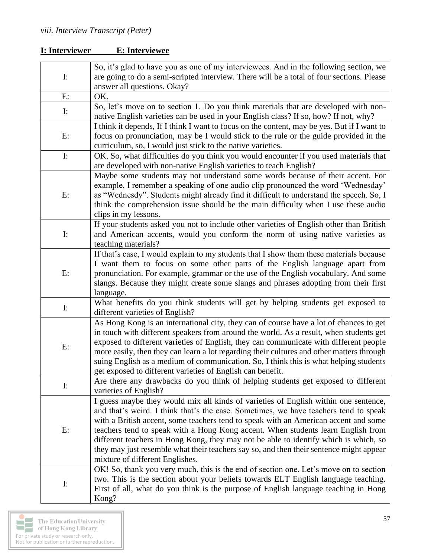| $\mathbf{I}$ : | So, it's glad to have you as one of my interviewees. And in the following section, we<br>are going to do a semi-scripted interview. There will be a total of four sections. Please<br>answer all questions. Okay?                                                                                                                                                                                                                                                                                                                                                            |
|----------------|------------------------------------------------------------------------------------------------------------------------------------------------------------------------------------------------------------------------------------------------------------------------------------------------------------------------------------------------------------------------------------------------------------------------------------------------------------------------------------------------------------------------------------------------------------------------------|
| E:             | OK.                                                                                                                                                                                                                                                                                                                                                                                                                                                                                                                                                                          |
| $\mathbf{I}$ : | So, let's move on to section 1. Do you think materials that are developed with non-<br>native English varieties can be used in your English class? If so, how? If not, why?                                                                                                                                                                                                                                                                                                                                                                                                  |
| E:             | I think it depends, If I think I want to focus on the content, may be yes. But if I want to<br>focus on pronunciation, may be I would stick to the rule or the guide provided in the<br>curriculum, so, I would just stick to the native varieties.                                                                                                                                                                                                                                                                                                                          |
| $\mathbf{I}:$  | OK. So, what difficulties do you think you would encounter if you used materials that<br>are developed with non-native English varieties to teach English?                                                                                                                                                                                                                                                                                                                                                                                                                   |
| E:             | Maybe some students may not understand some words because of their accent. For<br>example, I remember a speaking of one audio clip pronounced the word 'Wednesday'<br>as "Wednesdy". Students might already find it difficult to understand the speech. So, I<br>think the comprehension issue should be the main difficulty when I use these audio<br>clips in my lessons.                                                                                                                                                                                                  |
| $\mathbf{I}$ : | If your students asked you not to include other varieties of English other than British<br>and American accents, would you conform the norm of using native varieties as<br>teaching materials?                                                                                                                                                                                                                                                                                                                                                                              |
| E:             | If that's case, I would explain to my students that I show them these materials because<br>I want them to focus on some other parts of the English language apart from<br>pronunciation. For example, grammar or the use of the English vocabulary. And some<br>slangs. Because they might create some slangs and phrases adopting from their first<br>language.                                                                                                                                                                                                             |
| $\mathbf{I}$ : | What benefits do you think students will get by helping students get exposed to<br>different varieties of English?                                                                                                                                                                                                                                                                                                                                                                                                                                                           |
| E:             | As Hong Kong is an international city, they can of course have a lot of chances to get<br>in touch with different speakers from around the world. As a result, when students get<br>exposed to different varieties of English, they can communicate with different people<br>more easily, then they can learn a lot regarding their cultures and other matters through<br>suing English as a medium of communication. So, I think this is what helping students<br>get exposed to different varieties of English can benefit.                                                |
| $\mathbf{I}$ : | Are there any drawbacks do you think of helping students get exposed to different<br>varieties of English?                                                                                                                                                                                                                                                                                                                                                                                                                                                                   |
| E:             | I guess maybe they would mix all kinds of varieties of English within one sentence,<br>and that's weird. I think that's the case. Sometimes, we have teachers tend to speak<br>with a British accent, some teachers tend to speak with an American accent and some<br>teachers tend to speak with a Hong Kong accent. When students learn English from<br>different teachers in Hong Kong, they may not be able to identify which is which, so<br>they may just resemble what their teachers say so, and then their sentence might appear<br>mixture of different Englishes. |
| $\mathbf{I}$ : | OK! So, thank you very much, this is the end of section one. Let's move on to section<br>two. This is the section about your beliefs towards ELT English language teaching.<br>First of all, what do you think is the purpose of English language teaching in Hong<br>Kong?                                                                                                                                                                                                                                                                                                  |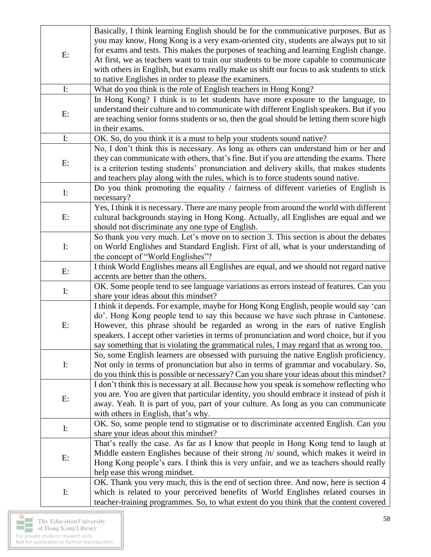| $E$ :                         | Basically, I think learning English should be for the communicative purposes. But as<br>you may know, Hong Kong is a very exam-oriented city, students are always put to sit<br>for exams and tests. This makes the purposes of teaching and learning English change.<br>At first, we as teachers want to train our students to be more capable to communicate<br>with others in English, but exams really make us shift our focus to ask students to stick |
|-------------------------------|-------------------------------------------------------------------------------------------------------------------------------------------------------------------------------------------------------------------------------------------------------------------------------------------------------------------------------------------------------------------------------------------------------------------------------------------------------------|
| $\mathbf{I}$ :                | to native Englishes in order to please the examiners.                                                                                                                                                                                                                                                                                                                                                                                                       |
| $E$ :                         | What do you think is the role of English teachers in Hong Kong?<br>In Hong Kong? I think is to let students have more exposure to the language, to<br>understand their culture and to communicate with different English speakers. But if you<br>are teaching senior forms students or so, then the goal should be letting them score high<br>in their exams.                                                                                               |
| $\mathbf{I:}% \mathcal{M}(G)$ | OK. So, do you think it is a must to help your students sound native?                                                                                                                                                                                                                                                                                                                                                                                       |
| $E$ :                         | No, I don't think this is necessary. As long as others can understand him or her and<br>they can communicate with others, that's fine. But if you are attending the exams. There<br>is a criterion testing students' pronunciation and delivery skills, that makes students<br>and teachers play along with the rules, which is to force students sound native.                                                                                             |
| $\mathbf{I}$ :                | Do you think promoting the equality / fairness of different varieties of English is<br>necessary?                                                                                                                                                                                                                                                                                                                                                           |
| $E$ :                         | Yes, I think it is necessary. There are many people from around the world with different<br>cultural backgrounds staying in Hong Kong. Actually, all Englishes are equal and we<br>should not discriminate any one type of English.                                                                                                                                                                                                                         |
| $\mathbf{I}:$                 | So thank you very much. Let's move on to section 3. This section is about the debates<br>on World Englishes and Standard English. First of all, what is your understanding of<br>the concept of "World Englishes"?                                                                                                                                                                                                                                          |
| E:                            | I think World Englishes means all Englishes are equal, and we should not regard native<br>accents are better than the others.                                                                                                                                                                                                                                                                                                                               |
| $\mathbf{I}:$                 | OK. Some people tend to see language variations as errors instead of features. Can you<br>share your ideas about this mindset?                                                                                                                                                                                                                                                                                                                              |
| E:                            | I think it depends. For example, maybe for Hong Kong English, people would say 'can<br>do'. Hong Kong people tend to say this because we have such phrase in Cantonese.<br>However, this phrase should be regarded as wrong in the ears of native English<br>speakers. I accept other varieties in terms of pronunciation and word choice, but if you<br>say something that is violating the grammatical rules, I may regard that as wrong too.             |
| $\mathbf{I}$ :                | So, some English learners are obsessed with pursuing the native English proficiency.<br>Not only in terms of pronunciation but also in terms of grammar and vocabulary. So,<br>do you think this is possible or necessary? Can you share your ideas about this mindset?                                                                                                                                                                                     |
| E:                            | I don't think this is necessary at all. Because how you speak is somehow reflecting who<br>you are. You are given that particular identity, you should embrace it instead of pish it<br>away. Yeah. It is part of you, part of your culture. As long as you can communicate<br>with others in English, that's why.                                                                                                                                          |
| $\mathbf{I}:$                 | OK. So, some people tend to stigmatise or to discriminate accented English. Can you<br>share your ideas about this mindset?                                                                                                                                                                                                                                                                                                                                 |
| E:                            | That's really the case. As far as I know that people in Hong Kong tend to laugh at<br>Middle eastern Englishes because of their strong $/n/$ sound, which makes it weird in<br>Hong Kong people's ears. I think this is very unfair, and we as teachers should really<br>help ease this wrong mindset.                                                                                                                                                      |
| $\mathbf{I}$ :                | OK. Thank you very much, this is the end of section three. And now, here is section 4<br>which is related to your perceived benefits of World Englishes related courses in<br>teacher-training programmes. So, to what extent do you think that the content covered                                                                                                                                                                                         |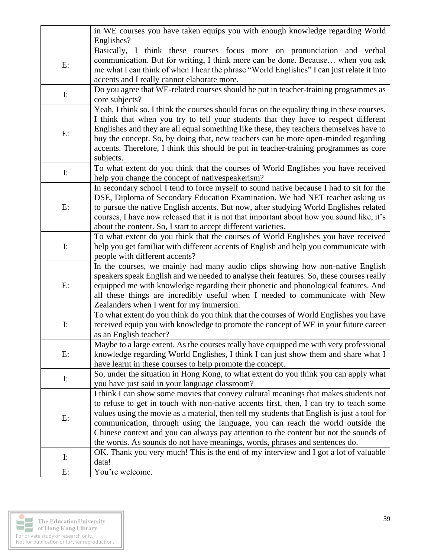|                                                                                                                                                                                                                                                                                                                                                                                                                                                            | in WE courses you have taken equips you with enough knowledge regarding World<br>Englishes?                                                                                                                                                                                                                                                                                                                                                                                                                                             |
|------------------------------------------------------------------------------------------------------------------------------------------------------------------------------------------------------------------------------------------------------------------------------------------------------------------------------------------------------------------------------------------------------------------------------------------------------------|-----------------------------------------------------------------------------------------------------------------------------------------------------------------------------------------------------------------------------------------------------------------------------------------------------------------------------------------------------------------------------------------------------------------------------------------------------------------------------------------------------------------------------------------|
| E:                                                                                                                                                                                                                                                                                                                                                                                                                                                         | Basically, I think these courses focus more on pronunciation and verbal<br>communication. But for writing, I think more can be done. Because when you ask<br>me what I can think of when I hear the phrase "World Englishes" I can just relate it into<br>accents and I really cannot elaborate more.                                                                                                                                                                                                                                   |
| $\mathbf{I}:$                                                                                                                                                                                                                                                                                                                                                                                                                                              | Do you agree that WE-related courses should be put in teacher-training programmes as<br>core subjects?                                                                                                                                                                                                                                                                                                                                                                                                                                  |
| E:                                                                                                                                                                                                                                                                                                                                                                                                                                                         | Yeah, I think so. I think the courses should focus on the equality thing in these courses.<br>I think that when you try to tell your students that they have to respect different<br>Englishes and they are all equal something like these, they teachers themselves have to<br>buy the concept. So, by doing that, new teachers can be more open-minded regarding<br>accents. Therefore, I think this should be put in teacher-training programmes as core<br>subjects.                                                                |
| $\mathbf{I}:$                                                                                                                                                                                                                                                                                                                                                                                                                                              | To what extent do you think that the courses of World Englishes you have received<br>help you change the concept of nativespeakerism?                                                                                                                                                                                                                                                                                                                                                                                                   |
| E:                                                                                                                                                                                                                                                                                                                                                                                                                                                         | In secondary school I tend to force myself to sound native because I had to sit for the<br>DSE, Diploma of Secondary Education Examination. We had NET teacher asking us<br>to pursue the native English accents. But now, after studying World Englishes related<br>courses, I have now released that it is not that important about how you sound like, it's<br>about the content. So, I start to accept different varieties.                                                                                                         |
| $\mathbf{I:}% \mathbb{R}^{d}\times\mathbb{R}^{d}\times\mathbb{R}^{d}\times\mathbb{R}^{d}\times\mathbb{R}^{d}\times\mathbb{R}^{d}\times\mathbb{R}^{d}\times\mathbb{R}^{d}\times\mathbb{R}^{d}\times\mathbb{R}^{d}\times\mathbb{R}^{d}\times\mathbb{R}^{d}\times\mathbb{R}^{d}\times\mathbb{R}^{d}\times\mathbb{R}^{d}\times\mathbb{R}^{d}\times\mathbb{R}^{d}\times\mathbb{R}^{d}\times\mathbb{R}^{d}\times\mathbb{R}^{d}\times\mathbb{R}^{d}\times\mathbb$ | To what extent do you think that the courses of World Englishes you have received<br>help you get familiar with different accents of English and help you communicate with<br>people with different accents?                                                                                                                                                                                                                                                                                                                            |
| E:                                                                                                                                                                                                                                                                                                                                                                                                                                                         | In the courses, we mainly had many audio clips showing how non-native English<br>speakers speak English and we needed to analyse their features. So, these courses really<br>equipped me with knowledge regarding their phonetic and phonological features. And<br>all these things are incredibly useful when I needed to communicate with New<br>Zealanders when I went for my immersion.                                                                                                                                             |
| $\mathbf{I}$ :                                                                                                                                                                                                                                                                                                                                                                                                                                             | To what extent do you think do you think that the courses of World Englishes you have<br>received equip you with knowledge to promote the concept of WE in your future career<br>as an English teacher?                                                                                                                                                                                                                                                                                                                                 |
| E:                                                                                                                                                                                                                                                                                                                                                                                                                                                         | Maybe to a large extent. As the courses really have equipped me with very professional<br>knowledge regarding World Englishes, I think I can just show them and share what I<br>have learnt in these courses to help promote the concept.                                                                                                                                                                                                                                                                                               |
| $\mathbf{I}$ :                                                                                                                                                                                                                                                                                                                                                                                                                                             | So, under the situation in Hong Kong, to what extent do you think you can apply what<br>you have just said in your language classroom?                                                                                                                                                                                                                                                                                                                                                                                                  |
| E:                                                                                                                                                                                                                                                                                                                                                                                                                                                         | I think I can show some movies that convey cultural meanings that makes students not<br>to refuse to get in touch with non-native accents first, then, I can try to teach some<br>values using the movie as a material, then tell my students that English is just a tool for<br>communication, through using the language, you can reach the world outside the<br>Chinese context and you can always pay attention to the content but not the sounds of<br>the words. As sounds do not have meanings, words, phrases and sentences do. |
| $\mathbf{I}$ :                                                                                                                                                                                                                                                                                                                                                                                                                                             | OK. Thank you very much! This is the end of my interview and I got a lot of valuable<br>data!                                                                                                                                                                                                                                                                                                                                                                                                                                           |
| Е:                                                                                                                                                                                                                                                                                                                                                                                                                                                         | You're welcome.                                                                                                                                                                                                                                                                                                                                                                                                                                                                                                                         |

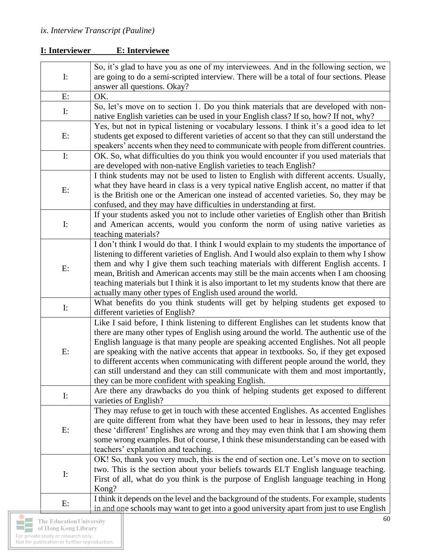| $\mathbf{I}$ :                | So, it's glad to have you as one of my interviewees. And in the following section, we<br>are going to do a semi-scripted interview. There will be a total of four sections. Please<br>answer all questions. Okay?                                                                                                                                                                                                                                                                                                                                                                                       |
|-------------------------------|---------------------------------------------------------------------------------------------------------------------------------------------------------------------------------------------------------------------------------------------------------------------------------------------------------------------------------------------------------------------------------------------------------------------------------------------------------------------------------------------------------------------------------------------------------------------------------------------------------|
| E:                            | OK.                                                                                                                                                                                                                                                                                                                                                                                                                                                                                                                                                                                                     |
| $\mathbf{I}$ :                | So, let's move on to section 1. Do you think materials that are developed with non-<br>native English varieties can be used in your English class? If so, how? If not, why?                                                                                                                                                                                                                                                                                                                                                                                                                             |
| E:                            | Yes, but not in typical listening or vocabulary lessons. I think it's a good idea to let<br>students get exposed to different varieties of accent so that they can still understand the<br>speakers' accents when they need to communicate with people from different countries.                                                                                                                                                                                                                                                                                                                        |
| $\mathbf{I}$ :                | OK. So, what difficulties do you think you would encounter if you used materials that<br>are developed with non-native English varieties to teach English?                                                                                                                                                                                                                                                                                                                                                                                                                                              |
| $E$ :                         | I think students may not be used to listen to English with different accents. Usually,<br>what they have heard in class is a very typical native English accent, no matter if that<br>is the British one or the American one instead of accented varieties. So, they may be<br>confused, and they may have difficulties in understanding at first.                                                                                                                                                                                                                                                      |
| $\mathbf{I:}% \mathcal{M}(G)$ | If your students asked you not to include other varieties of English other than British<br>and American accents, would you conform the norm of using native varieties as<br>teaching materials?                                                                                                                                                                                                                                                                                                                                                                                                         |
| $E$ :                         | I don't think I would do that. I think I would explain to my students the importance of<br>listening to different varieties of English. And I would also explain to them why I show<br>them and why I give them such teaching materials with different English accents. I<br>mean, British and American accents may still be the main accents when I am choosing<br>teaching materials but I think it is also important to let my students know that there are<br>actually many other types of English used around the world.                                                                           |
| $\mathbf{I:}% \mathcal{M}(G)$ | What benefits do you think students will get by helping students get exposed to<br>different varieties of English?                                                                                                                                                                                                                                                                                                                                                                                                                                                                                      |
| E:                            | Like I said before, I think listening to different Englishes can let students know that<br>there are many other types of English using around the world. The authentic use of the<br>English language is that many people are speaking accented Englishes. Not all people<br>are speaking with the native accents that appear in textbooks. So, if they get exposed<br>to different accents when communicating with different people around the world, they<br>can still understand and they can still communicate with them and most importantly,<br>they can be more confident with speaking English. |
| $\mathbf{I}$ :                | Are there any drawbacks do you think of helping students get exposed to different<br>varieties of English?                                                                                                                                                                                                                                                                                                                                                                                                                                                                                              |
| E:                            | They may refuse to get in touch with these accented Englishes. As accented Englishes<br>are quite different from what they have been used to hear in lessons, they may refer<br>these 'different' Englishes are wrong and they may even think that I am showing them<br>some wrong examples. But of course, I think these misunderstanding can be eased with<br>teachers' explanation and teaching.                                                                                                                                                                                                     |
| $\mathbf{I}$ :                | OK! So, thank you very much, this is the end of section one. Let's move on to section<br>two. This is the section about your beliefs towards ELT English language teaching.<br>First of all, what do you think is the purpose of English language teaching in Hong<br>Kong?                                                                                                                                                                                                                                                                                                                             |
| E:                            | I think it depends on the level and the background of the students. For example, students<br>in and one schools may want to get into a good university apart from just to use English                                                                                                                                                                                                                                                                                                                                                                                                                   |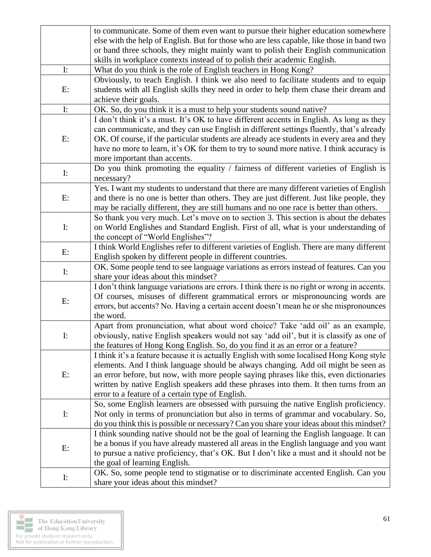|                                                                                                                                                                                                                                                                                                                                                                                                                                                            | to communicate. Some of them even want to pursue their higher education somewhere            |
|------------------------------------------------------------------------------------------------------------------------------------------------------------------------------------------------------------------------------------------------------------------------------------------------------------------------------------------------------------------------------------------------------------------------------------------------------------|----------------------------------------------------------------------------------------------|
|                                                                                                                                                                                                                                                                                                                                                                                                                                                            | else with the help of English. But for those who are less capable, like those in band two    |
|                                                                                                                                                                                                                                                                                                                                                                                                                                                            | or band three schools, they might mainly want to polish their English communication          |
|                                                                                                                                                                                                                                                                                                                                                                                                                                                            | skills in workplace contexts instead of to polish their academic English.                    |
| $\mathbf{I}$ :                                                                                                                                                                                                                                                                                                                                                                                                                                             | What do you think is the role of English teachers in Hong Kong?                              |
|                                                                                                                                                                                                                                                                                                                                                                                                                                                            | Obviously, to teach English. I think we also need to facilitate students and to equip        |
| E:                                                                                                                                                                                                                                                                                                                                                                                                                                                         | students with all English skills they need in order to help them chase their dream and       |
|                                                                                                                                                                                                                                                                                                                                                                                                                                                            | achieve their goals.                                                                         |
| $\mathbf{I:}% \mathcal{M}(G)$                                                                                                                                                                                                                                                                                                                                                                                                                              | OK. So, do you think it is a must to help your students sound native?                        |
|                                                                                                                                                                                                                                                                                                                                                                                                                                                            | I don't think it's a must. It's OK to have different accents in English. As long as they     |
|                                                                                                                                                                                                                                                                                                                                                                                                                                                            | can communicate, and they can use English in different settings fluently, that's already     |
| E:                                                                                                                                                                                                                                                                                                                                                                                                                                                         | OK. Of course, if the particular students are already ace students in every area and they    |
|                                                                                                                                                                                                                                                                                                                                                                                                                                                            | have no more to learn, it's OK for them to try to sound more native. I think accuracy is     |
|                                                                                                                                                                                                                                                                                                                                                                                                                                                            | more important than accents.                                                                 |
|                                                                                                                                                                                                                                                                                                                                                                                                                                                            | Do you think promoting the equality / fairness of different varieties of English is          |
| $\mathbf{I}$ :                                                                                                                                                                                                                                                                                                                                                                                                                                             | necessary?                                                                                   |
|                                                                                                                                                                                                                                                                                                                                                                                                                                                            | Yes. I want my students to understand that there are many different varieties of English     |
| E:                                                                                                                                                                                                                                                                                                                                                                                                                                                         | and there is no one is better than others. They are just different. Just like people, they   |
|                                                                                                                                                                                                                                                                                                                                                                                                                                                            | may be racially different, they are still humans and no one race is better than others.      |
|                                                                                                                                                                                                                                                                                                                                                                                                                                                            | So thank you very much. Let's move on to section 3. This section is about the debates        |
| $\mathbf{I}$ :                                                                                                                                                                                                                                                                                                                                                                                                                                             | on World Englishes and Standard English. First of all, what is your understanding of         |
|                                                                                                                                                                                                                                                                                                                                                                                                                                                            | the concept of "World Englishes"?                                                            |
|                                                                                                                                                                                                                                                                                                                                                                                                                                                            | I think World Englishes refer to different varieties of English. There are many different    |
| E:                                                                                                                                                                                                                                                                                                                                                                                                                                                         | English spoken by different people in different countries.                                   |
|                                                                                                                                                                                                                                                                                                                                                                                                                                                            | OK. Some people tend to see language variations as errors instead of features. Can you       |
| $\mathbf{I}$ :                                                                                                                                                                                                                                                                                                                                                                                                                                             | share your ideas about this mindset?                                                         |
|                                                                                                                                                                                                                                                                                                                                                                                                                                                            | I don't think language variations are errors. I think there is no right or wrong in accents. |
|                                                                                                                                                                                                                                                                                                                                                                                                                                                            | Of courses, misuses of different grammatical errors or mispronouncing words are              |
| E:                                                                                                                                                                                                                                                                                                                                                                                                                                                         | errors, but accents? No. Having a certain accent doesn't mean he or she mispronounces        |
|                                                                                                                                                                                                                                                                                                                                                                                                                                                            | the word.                                                                                    |
|                                                                                                                                                                                                                                                                                                                                                                                                                                                            | Apart from pronunciation, what about word choice? Take 'add oil' as an example,              |
| $\mathbf{I:}% \mathbb{R}^{d}\times\mathbb{R}^{d}\times\mathbb{R}^{d}\times\mathbb{R}^{d}\times\mathbb{R}^{d}\times\mathbb{R}^{d}\times\mathbb{R}^{d}\times\mathbb{R}^{d}\times\mathbb{R}^{d}\times\mathbb{R}^{d}\times\mathbb{R}^{d}\times\mathbb{R}^{d}\times\mathbb{R}^{d}\times\mathbb{R}^{d}\times\mathbb{R}^{d}\times\mathbb{R}^{d}\times\mathbb{R}^{d}\times\mathbb{R}^{d}\times\mathbb{R}^{d}\times\mathbb{R}^{d}\times\mathbb{R}^{d}\times\mathbb$ | obviously, native English speakers would not say 'add oil', but it is classify as one of     |
|                                                                                                                                                                                                                                                                                                                                                                                                                                                            | the features of Hong Kong English. So, do you find it as an error or a feature?              |
|                                                                                                                                                                                                                                                                                                                                                                                                                                                            | I think it's a feature because it is actually English with some localised Hong Kong style    |
|                                                                                                                                                                                                                                                                                                                                                                                                                                                            | elements. And I think language should be always changing. Add oil might be seen as           |
| E:                                                                                                                                                                                                                                                                                                                                                                                                                                                         | an error before, but now, with more people saying phrases like this, even dictionaries       |
|                                                                                                                                                                                                                                                                                                                                                                                                                                                            | written by native English speakers add these phrases into them. It then turns from an        |
|                                                                                                                                                                                                                                                                                                                                                                                                                                                            | error to a feature of a certain type of English.                                             |
|                                                                                                                                                                                                                                                                                                                                                                                                                                                            | So, some English learners are obsessed with pursuing the native English proficiency.         |
| $\mathbf{I}$ :                                                                                                                                                                                                                                                                                                                                                                                                                                             | Not only in terms of pronunciation but also in terms of grammar and vocabulary. So,          |
|                                                                                                                                                                                                                                                                                                                                                                                                                                                            | do you think this is possible or necessary? Can you share your ideas about this mindset?     |
| E:                                                                                                                                                                                                                                                                                                                                                                                                                                                         | I think sounding native should not be the goal of learning the English language. It can      |
|                                                                                                                                                                                                                                                                                                                                                                                                                                                            | be a bonus if you have already mastered all areas in the English language and you want       |
|                                                                                                                                                                                                                                                                                                                                                                                                                                                            | to pursue a native proficiency, that's OK. But I don't like a must and it should not be      |
|                                                                                                                                                                                                                                                                                                                                                                                                                                                            | the goal of learning English.                                                                |
| $\mathbf{I:}% \mathcal{M}(G)$                                                                                                                                                                                                                                                                                                                                                                                                                              | OK. So, some people tend to stigmatise or to discriminate accented English. Can you          |
|                                                                                                                                                                                                                                                                                                                                                                                                                                                            | share your ideas about this mindset?                                                         |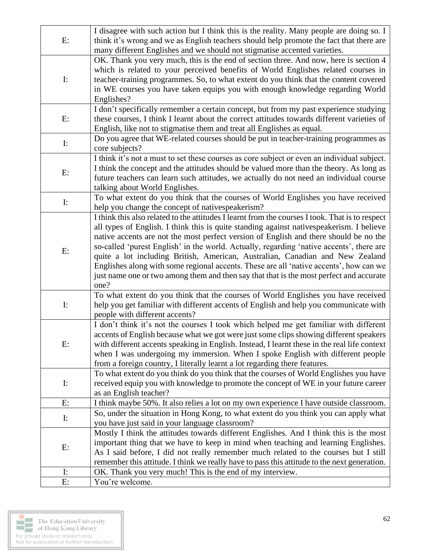|                | I disagree with such action but I think this is the reality. Many people are doing so. I        |
|----------------|-------------------------------------------------------------------------------------------------|
| E:             | think it's wrong and we as English teachers should help promote the fact that there are         |
|                | many different Englishes and we should not stigmatise accented varieties.                       |
| $\mathbf{I}:$  | OK. Thank you very much, this is the end of section three. And now, here is section 4           |
|                | which is related to your perceived benefits of World Englishes related courses in               |
|                | teacher-training programmes. So, to what extent do you think that the content covered           |
|                |                                                                                                 |
|                | in WE courses you have taken equips you with enough knowledge regarding World                   |
|                | Englishes?                                                                                      |
| E:             | I don't specifically remember a certain concept, but from my past experience studying           |
|                | these courses, I think I learnt about the correct attitudes towards different varieties of      |
|                | English, like not to stigmatise them and treat all Englishes as equal.                          |
| $\mathbf{I}$ : | Do you agree that WE-related courses should be put in teacher-training programmes as            |
|                | core subjects?                                                                                  |
|                | I think it's not a must to set these courses as core subject or even an individual subject.     |
| E:             | I think the concept and the attitudes should be valued more than the theory. As long as         |
|                | future teachers can learn such attitudes, we actually do not need an individual course          |
|                | talking about World Englishes.                                                                  |
| $\mathbf{I}$ : | To what extent do you think that the courses of World Englishes you have received               |
|                | help you change the concept of nativespeakerism?                                                |
|                | I think this also related to the attitudes I learnt from the courses I took. That is to respect |
|                | all types of English. I think this is quite standing against nativespeakerism. I believe        |
|                | native accents are not the most perfect version of English and there should be no the           |
|                | so-called 'purest English' in the world. Actually, regarding 'native accents', there are        |
| E:             | quite a lot including British, American, Australian, Canadian and New Zealand                   |
|                | Englishes along with some regional accents. These are all 'native accents', how can we          |
|                | just name one or two among them and then say that that is the most perfect and accurate         |
|                | one?                                                                                            |
|                | To what extent do you think that the courses of World Englishes you have received               |
| $\mathbf{I}:$  | help you get familiar with different accents of English and help you communicate with           |
|                | people with different accents?                                                                  |
|                | I don't think it's not the courses I took which helped me get familiar with different           |
|                | accents of English because what we got were just some clips showing different speakers          |
| E:             | with different accents speaking in English. Instead, I learnt these in the real life context    |
|                | when I was undergoing my immersion. When I spoke English with different people                  |
|                | from a foreign country, I literally learnt a lot regarding there features.                      |
|                | To what extent do you think do you think that the courses of World Englishes you have           |
| $\mathbf{I}$ : | received equip you with knowledge to promote the concept of WE in your future career            |
|                | as an English teacher?                                                                          |
| E:             |                                                                                                 |
|                | I think maybe 50%. It also relies a lot on my own experience I have outside classroom.          |
| $\mathbf{I}$ : | So, under the situation in Hong Kong, to what extent do you think you can apply what            |
|                | you have just said in your language classroom?                                                  |
| E:             | Mostly I think the attitudes towards different Englishes. And I think this is the most          |
|                | important thing that we have to keep in mind when teaching and learning Englishes.              |
|                | As I said before, I did not really remember much related to the courses but I still             |
|                | remember this attitude. I think we really have to pass this attitude to the next generation.    |
| $\mathbf{I}$ : | OK. Thank you very much! This is the end of my interview.                                       |
| E:             | You're welcome.                                                                                 |

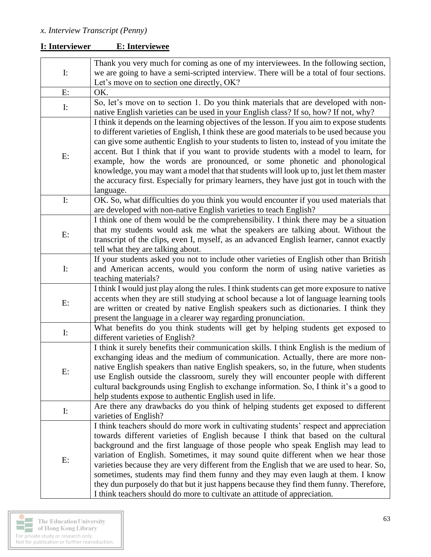| $\mathbf{I}$ :                | Thank you very much for coming as one of my interviewees. In the following section,<br>we are going to have a semi-scripted interview. There will be a total of four sections.   |
|-------------------------------|----------------------------------------------------------------------------------------------------------------------------------------------------------------------------------|
|                               | Let's move on to section one directly, OK?                                                                                                                                       |
| $E$ :                         | OK.                                                                                                                                                                              |
|                               | So, let's move on to section 1. Do you think materials that are developed with non-                                                                                              |
| $\mathbf{I}$ :                | native English varieties can be used in your English class? If so, how? If not, why?                                                                                             |
|                               | I think it depends on the learning objectives of the lesson. If you aim to expose students                                                                                       |
|                               | to different varieties of English, I think these are good materials to be used because you                                                                                       |
|                               | can give some authentic English to your students to listen to, instead of you imitate the<br>accent. But I think that if you want to provide students with a model to learn, for |
| E:                            | example, how the words are pronounced, or some phonetic and phonological                                                                                                         |
|                               | knowledge, you may want a model that that students will look up to, just let them master                                                                                         |
|                               | the accuracy first. Especially for primary learners, they have just got in touch with the                                                                                        |
|                               | language.                                                                                                                                                                        |
| $\mathbf{I}$ :                | OK. So, what difficulties do you think you would encounter if you used materials that                                                                                            |
|                               | are developed with non-native English varieties to teach English?                                                                                                                |
|                               | I think one of them would be the comprehensibility. I think there may be a situation                                                                                             |
|                               | that my students would ask me what the speakers are talking about. Without the                                                                                                   |
| E:                            | transcript of the clips, even I, myself, as an advanced English learner, cannot exactly                                                                                          |
|                               | tell what they are talking about.                                                                                                                                                |
|                               | If your students asked you not to include other varieties of English other than British                                                                                          |
| $\mathbf{I:}% \mathcal{M}(G)$ | and American accents, would you conform the norm of using native varieties as                                                                                                    |
|                               | teaching materials?                                                                                                                                                              |
|                               | I think I would just play along the rules. I think students can get more exposure to native                                                                                      |
| E:                            | accents when they are still studying at school because a lot of language learning tools                                                                                          |
|                               | are written or created by native English speakers such as dictionaries. I think they                                                                                             |
|                               | present the language in a clearer way regarding pronunciation.                                                                                                                   |
| $\mathbf{I}$ :                | What benefits do you think students will get by helping students get exposed to<br>different varieties of English?                                                               |
|                               | I think it surely benefits their communication skills. I think English is the medium of                                                                                          |
|                               | exchanging ideas and the medium of communication. Actually, there are more non-                                                                                                  |
|                               | native English speakers than native English speakers, so, in the future, when students                                                                                           |
| E:                            | use English outside the classroom, surely they will encounter people with different                                                                                              |
|                               | cultural backgrounds using English to exchange information. So, I think it's a good to                                                                                           |
|                               | help students expose to authentic English used in life.                                                                                                                          |
| $\mathbf{I}$ :                | Are there any drawbacks do you think of helping students get exposed to different                                                                                                |
|                               | varieties of English?                                                                                                                                                            |
| E:                            | I think teachers should do more work in cultivating students' respect and appreciation                                                                                           |
|                               | towards different varieties of English because I think that based on the cultural                                                                                                |
|                               | background and the first language of those people who speak English may lead to                                                                                                  |
|                               | variation of English. Sometimes, it may sound quite different when we hear those                                                                                                 |
|                               | varieties because they are very different from the English that we are used to hear. So,                                                                                         |
|                               | sometimes, students may find them funny and they may even laugh at them. I know                                                                                                  |
|                               | they dun purposely do that but it just happens because they find them funny. Therefore,                                                                                          |
|                               | I think teachers should do more to cultivate an attitude of appreciation.                                                                                                        |

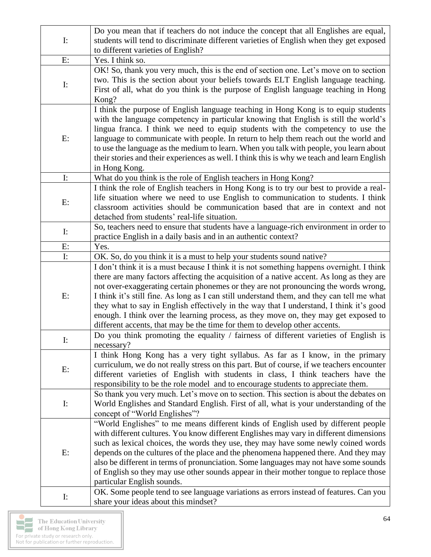| $\mathbf{I}$ :                                                                                                                                                                                                                                                                                                                                                                                                                                             | Do you mean that if teachers do not induce the concept that all Englishes are equal,                                                                                         |
|------------------------------------------------------------------------------------------------------------------------------------------------------------------------------------------------------------------------------------------------------------------------------------------------------------------------------------------------------------------------------------------------------------------------------------------------------------|------------------------------------------------------------------------------------------------------------------------------------------------------------------------------|
|                                                                                                                                                                                                                                                                                                                                                                                                                                                            | students will tend to discriminate different varieties of English when they get exposed                                                                                      |
|                                                                                                                                                                                                                                                                                                                                                                                                                                                            | to different varieties of English?                                                                                                                                           |
| E:                                                                                                                                                                                                                                                                                                                                                                                                                                                         | Yes. I think so.                                                                                                                                                             |
| $\mathbf{I}$ :                                                                                                                                                                                                                                                                                                                                                                                                                                             | OK! So, thank you very much, this is the end of section one. Let's move on to section                                                                                        |
|                                                                                                                                                                                                                                                                                                                                                                                                                                                            | two. This is the section about your beliefs towards ELT English language teaching.                                                                                           |
|                                                                                                                                                                                                                                                                                                                                                                                                                                                            | First of all, what do you think is the purpose of English language teaching in Hong                                                                                          |
|                                                                                                                                                                                                                                                                                                                                                                                                                                                            | Kong?                                                                                                                                                                        |
|                                                                                                                                                                                                                                                                                                                                                                                                                                                            | I think the purpose of English language teaching in Hong Kong is to equip students                                                                                           |
|                                                                                                                                                                                                                                                                                                                                                                                                                                                            | with the language competency in particular knowing that English is still the world's                                                                                         |
|                                                                                                                                                                                                                                                                                                                                                                                                                                                            | lingua franca. I think we need to equip students with the competency to use the                                                                                              |
| E:                                                                                                                                                                                                                                                                                                                                                                                                                                                         | language to communicate with people. In return to help them reach out the world and                                                                                          |
|                                                                                                                                                                                                                                                                                                                                                                                                                                                            | to use the language as the medium to learn. When you talk with people, you learn about                                                                                       |
|                                                                                                                                                                                                                                                                                                                                                                                                                                                            | their stories and their experiences as well. I think this is why we teach and learn English                                                                                  |
|                                                                                                                                                                                                                                                                                                                                                                                                                                                            | in Hong Kong.                                                                                                                                                                |
| $\mathbf{I:}% \mathcal{M}(G)$                                                                                                                                                                                                                                                                                                                                                                                                                              | What do you think is the role of English teachers in Hong Kong?                                                                                                              |
|                                                                                                                                                                                                                                                                                                                                                                                                                                                            | I think the role of English teachers in Hong Kong is to try our best to provide a real-<br>life situation where we need to use English to communication to students. I think |
| E:                                                                                                                                                                                                                                                                                                                                                                                                                                                         | classroom activities should be communication based that are in context and not                                                                                               |
|                                                                                                                                                                                                                                                                                                                                                                                                                                                            | detached from students' real-life situation.                                                                                                                                 |
|                                                                                                                                                                                                                                                                                                                                                                                                                                                            | So, teachers need to ensure that students have a language-rich environment in order to                                                                                       |
| $\mathbf{I}$ :                                                                                                                                                                                                                                                                                                                                                                                                                                             | practice English in a daily basis and in an authentic context?                                                                                                               |
| E:                                                                                                                                                                                                                                                                                                                                                                                                                                                         | Yes.                                                                                                                                                                         |
| $\mathbf{I:}% \mathbb{R}^{d}\times\mathbb{R}^{d}\times\mathbb{R}^{d}\times\mathbb{R}^{d}\times\mathbb{R}^{d}\times\mathbb{R}^{d}\times\mathbb{R}^{d}\times\mathbb{R}^{d}\times\mathbb{R}^{d}\times\mathbb{R}^{d}\times\mathbb{R}^{d}\times\mathbb{R}^{d}\times\mathbb{R}^{d}\times\mathbb{R}^{d}\times\mathbb{R}^{d}\times\mathbb{R}^{d}\times\mathbb{R}^{d}\times\mathbb{R}^{d}\times\mathbb{R}^{d}\times\mathbb{R}^{d}\times\mathbb{R}^{d}\times\mathbb$ | OK. So, do you think it is a must to help your students sound native?                                                                                                        |
|                                                                                                                                                                                                                                                                                                                                                                                                                                                            | I don't think it is a must because I think it is not something happens overnight. I think                                                                                    |
|                                                                                                                                                                                                                                                                                                                                                                                                                                                            | there are many factors affecting the acquisition of a native accent. As long as they are                                                                                     |
|                                                                                                                                                                                                                                                                                                                                                                                                                                                            | not over-exaggerating certain phonemes or they are not pronouncing the words wrong,                                                                                          |
| E:                                                                                                                                                                                                                                                                                                                                                                                                                                                         | I think it's still fine. As long as I can still understand them, and they can tell me what                                                                                   |
|                                                                                                                                                                                                                                                                                                                                                                                                                                                            | they what to say in English effectively in the way that I understand, I think it's good                                                                                      |
|                                                                                                                                                                                                                                                                                                                                                                                                                                                            | enough. I think over the learning process, as they move on, they may get exposed to                                                                                          |
|                                                                                                                                                                                                                                                                                                                                                                                                                                                            | different accents, that may be the time for them to develop other accents.                                                                                                   |
| $\mathbf{I:}% \mathbb{R}^{d}\times\mathbb{R}^{d}\times\mathbb{R}^{d}\times\mathbb{R}^{d}\times\mathbb{R}^{d}\times\mathbb{R}^{d}\times\mathbb{R}^{d}\times\mathbb{R}^{d}\times\mathbb{R}^{d}\times\mathbb{R}^{d}\times\mathbb{R}^{d}\times\mathbb{R}^{d}\times\mathbb{R}^{d}\times\mathbb{R}^{d}\times\mathbb{R}^{d}\times\mathbb{R}^{d}\times\mathbb{R}^{d}\times\mathbb{R}^{d}\times\mathbb{R}^{d}\times\mathbb{R}^{d}\times\mathbb{R}^{d}\times\mathbb$ | Do you think promoting the equality / fairness of different varieties of English is                                                                                          |
|                                                                                                                                                                                                                                                                                                                                                                                                                                                            | necessary?                                                                                                                                                                   |
|                                                                                                                                                                                                                                                                                                                                                                                                                                                            | I think Hong Kong has a very tight syllabus. As far as I know, in the primary                                                                                                |
| E:                                                                                                                                                                                                                                                                                                                                                                                                                                                         | curriculum, we do not really stress on this part. But of course, if we teachers encounter                                                                                    |
|                                                                                                                                                                                                                                                                                                                                                                                                                                                            | different varieties of English with students in class, I think teachers have the                                                                                             |
|                                                                                                                                                                                                                                                                                                                                                                                                                                                            | responsibility to be the role model and to encourage students to appreciate them.<br>So thank you very much. Let's move on to section. This section is about the debates on  |
| $\mathbf{I}$ :                                                                                                                                                                                                                                                                                                                                                                                                                                             | World Englishes and Standard English. First of all, what is your understanding of the                                                                                        |
|                                                                                                                                                                                                                                                                                                                                                                                                                                                            | concept of "World Englishes"?                                                                                                                                                |
|                                                                                                                                                                                                                                                                                                                                                                                                                                                            | "World Englishes" to me means different kinds of English used by different people                                                                                            |
|                                                                                                                                                                                                                                                                                                                                                                                                                                                            | with different cultures. You know different Englishes may vary in different dimensions                                                                                       |
| E:                                                                                                                                                                                                                                                                                                                                                                                                                                                         | such as lexical choices, the words they use, they may have some newly coined words                                                                                           |
|                                                                                                                                                                                                                                                                                                                                                                                                                                                            | depends on the cultures of the place and the phenomena happened there. And they may                                                                                          |
|                                                                                                                                                                                                                                                                                                                                                                                                                                                            | also be different in terms of pronunciation. Some languages may not have some sounds                                                                                         |
|                                                                                                                                                                                                                                                                                                                                                                                                                                                            | of English so they may use other sounds appear in their mother tongue to replace those                                                                                       |
|                                                                                                                                                                                                                                                                                                                                                                                                                                                            | particular English sounds.                                                                                                                                                   |
| $\mathbf{I:}% \mathcal{M}(G)$                                                                                                                                                                                                                                                                                                                                                                                                                              | OK. Some people tend to see language variations as errors instead of features. Can you                                                                                       |
|                                                                                                                                                                                                                                                                                                                                                                                                                                                            | share your ideas about this mindset?                                                                                                                                         |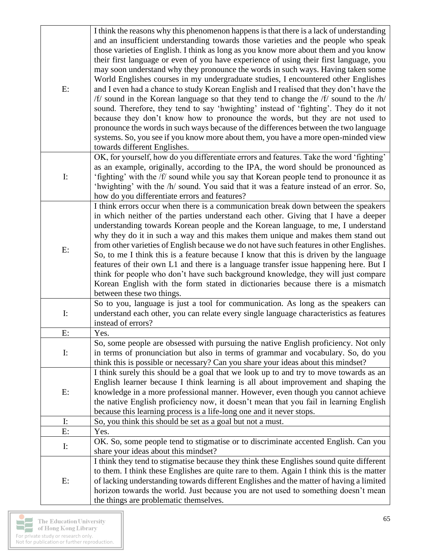|                | I think the reasons why this phenomenon happens is that there is a lack of understanding                                                                                   |
|----------------|----------------------------------------------------------------------------------------------------------------------------------------------------------------------------|
|                | and an insufficient understanding towards those varieties and the people who speak                                                                                         |
|                | those varieties of English. I think as long as you know more about them and you know                                                                                       |
|                | their first language or even of you have experience of using their first language, you                                                                                     |
|                | may soon understand why they pronounce the words in such ways. Having taken some                                                                                           |
|                | World Englishes courses in my undergraduate studies, I encountered other Englishes                                                                                         |
| E:             | and I even had a chance to study Korean English and I realised that they don't have the                                                                                    |
|                | $/f$ sound in the Korean language so that they tend to change the $/f$ sound to the $/h/$                                                                                  |
|                | sound. Therefore, they tend to say 'hwighting' instead of 'fighting'. They do it not                                                                                       |
|                | because they don't know how to pronounce the words, but they are not used to                                                                                               |
|                | pronounce the words in such ways because of the differences between the two language                                                                                       |
|                | systems. So, you see if you know more about them, you have a more open-minded view                                                                                         |
|                | towards different Englishes.                                                                                                                                               |
|                | OK, for yourself, how do you differentiate errors and features. Take the word 'fighting'                                                                                   |
|                | as an example, originally, according to the IPA, the word should be pronounced as                                                                                          |
| $\mathbf{I}:$  | 'fighting' with the /f/ sound while you say that Korean people tend to pronounce it as                                                                                     |
|                | 'hwighting' with the /h/ sound. You said that it was a feature instead of an error. So,                                                                                    |
|                | how do you differentiate errors and features?<br>I think errors occur when there is a communication break down between the speakers                                        |
|                | in which neither of the parties understand each other. Giving that I have a deeper                                                                                         |
|                | understanding towards Korean people and the Korean language, to me, I understand                                                                                           |
|                | why they do it in such a way and this makes them unique and makes them stand out                                                                                           |
|                | from other varieties of English because we do not have such features in other Englishes.                                                                                   |
| E:             | So, to me I think this is a feature because I know that this is driven by the language                                                                                     |
|                | features of their own L1 and there is a language transfer issue happening here. But I                                                                                      |
|                | think for people who don't have such background knowledge, they will just compare                                                                                          |
|                | Korean English with the form stated in dictionaries because there is a mismatch                                                                                            |
|                | between these two things.                                                                                                                                                  |
|                | So to you, language is just a tool for communication. As long as the speakers can                                                                                          |
| $\mathbf{I}$ : | understand each other, you can relate every single language characteristics as features                                                                                    |
|                | instead of errors?                                                                                                                                                         |
| E:             | Yes.                                                                                                                                                                       |
|                | So, some people are obsessed with pursuing the native English proficiency. Not only                                                                                        |
| $\mathbf{I}$ : | in terms of pronunciation but also in terms of grammar and vocabulary. So, do you                                                                                          |
|                | think this is possible or necessary? Can you share your ideas about this mindset?<br>I think surely this should be a goal that we look up to and try to move towards as an |
|                | English learner because I think learning is all about improvement and shaping the                                                                                          |
|                | knowledge in a more professional manner. However, even though you cannot achieve                                                                                           |
| E:             | the native English proficiency now, it doesn't mean that you fail in learning English                                                                                      |
|                | because this learning process is a life-long one and it never stops.                                                                                                       |
| $\mathbf{I}$ : | So, you think this should be set as a goal but not a must.                                                                                                                 |
| E:             | Yes.                                                                                                                                                                       |
|                | OK. So, some people tend to stigmatise or to discriminate accented English. Can you                                                                                        |
| $\mathbf{I}$ : | share your ideas about this mindset?                                                                                                                                       |
| E:             | I think they tend to stigmatise because they think these Englishes sound quite different                                                                                   |
|                | to them. I think these Englishes are quite rare to them. Again I think this is the matter                                                                                  |
|                | of lacking understanding towards different Englishes and the matter of having a limited                                                                                    |
|                | horizon towards the world. Just because you are not used to something doesn't mean                                                                                         |
|                | the things are problematic themselves.                                                                                                                                     |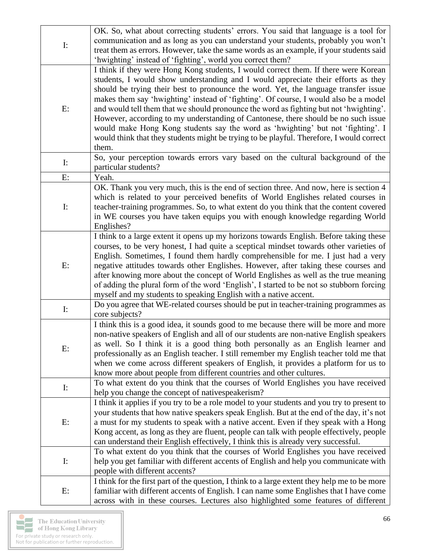| $\mathbf{I}:$                 | OK. So, what about correcting students' errors. You said that language is a tool for<br>communication and as long as you can understand your students, probably you won't<br>treat them as errors. However, take the same words as an example, if your students said<br>'hwighting' instead of 'fighting', world you correct them?                                                                                                                                                                                                                                                                                                                                                                                              |
|-------------------------------|---------------------------------------------------------------------------------------------------------------------------------------------------------------------------------------------------------------------------------------------------------------------------------------------------------------------------------------------------------------------------------------------------------------------------------------------------------------------------------------------------------------------------------------------------------------------------------------------------------------------------------------------------------------------------------------------------------------------------------|
| $E$ :                         | I think if they were Hong Kong students, I would correct them. If there were Korean<br>students, I would show understanding and I would appreciate their efforts as they<br>should be trying their best to pronounce the word. Yet, the language transfer issue<br>makes them say 'hwighting' instead of 'fighting'. Of course, I would also be a model<br>and would tell them that we should pronounce the word as fighting but not 'hwighting'.<br>However, according to my understanding of Cantonese, there should be no such issue<br>would make Hong Kong students say the word as 'hwighting' but not 'fighting'. I<br>would think that they students might be trying to be playful. Therefore, I would correct<br>them. |
| $\mathbf{I}$ :                | So, your perception towards errors vary based on the cultural background of the<br>particular students?                                                                                                                                                                                                                                                                                                                                                                                                                                                                                                                                                                                                                         |
| E:                            | Yeah.                                                                                                                                                                                                                                                                                                                                                                                                                                                                                                                                                                                                                                                                                                                           |
| $\mathbf{I}$ :                | OK. Thank you very much, this is the end of section three. And now, here is section 4<br>which is related to your perceived benefits of World Englishes related courses in<br>teacher-training programmes. So, to what extent do you think that the content covered<br>in WE courses you have taken equips you with enough knowledge regarding World<br>Englishes?                                                                                                                                                                                                                                                                                                                                                              |
| E:                            | I think to a large extent it opens up my horizons towards English. Before taking these<br>courses, to be very honest, I had quite a sceptical mindset towards other varieties of<br>English. Sometimes, I found them hardly comprehensible for me. I just had a very<br>negative attitudes towards other Englishes. However, after taking these courses and<br>after knowing more about the concept of World Englishes as well as the true meaning<br>of adding the plural form of the word 'English', I started to be not so stubborn forcing<br>myself and my students to speaking English with a native accent.                                                                                                              |
| $\mathbf{I}:$                 | Do you agree that WE-related courses should be put in teacher-training programmes as<br>core subjects?                                                                                                                                                                                                                                                                                                                                                                                                                                                                                                                                                                                                                          |
| $E$ :                         | I think this is a good idea, it sounds good to me because there will be more and more<br>non-native speakers of English and all of our students are non-native English speakers<br>as well. So I think it is a good thing both personally as an English learner and<br>professionally as an English teacher. I still remember my English teacher told me that<br>when we come across different speakers of English, it provides a platform for us to<br>know more about people from different countries and other cultures.                                                                                                                                                                                                     |
| $\mathbf{I:}% \mathcal{M}(G)$ | To what extent do you think that the courses of World Englishes you have received<br>help you change the concept of nativespeakerism?                                                                                                                                                                                                                                                                                                                                                                                                                                                                                                                                                                                           |
| E:                            | I think it applies if you try to be a role model to your students and you try to present to<br>your students that how native speakers speak English. But at the end of the day, it's not<br>a must for my students to speak with a native accent. Even if they speak with a Hong<br>Kong accent, as long as they are fluent, people can talk with people effectively, people<br>can understand their English effectively, I think this is already very successful.                                                                                                                                                                                                                                                              |
| $\mathbf{I}$ :                | To what extent do you think that the courses of World Englishes you have received<br>help you get familiar with different accents of English and help you communicate with<br>people with different accents?                                                                                                                                                                                                                                                                                                                                                                                                                                                                                                                    |
| E:                            | I think for the first part of the question, I think to a large extent they help me to be more<br>familiar with different accents of English. I can name some Englishes that I have come<br>across with in these courses. Lectures also highlighted some features of different                                                                                                                                                                                                                                                                                                                                                                                                                                                   |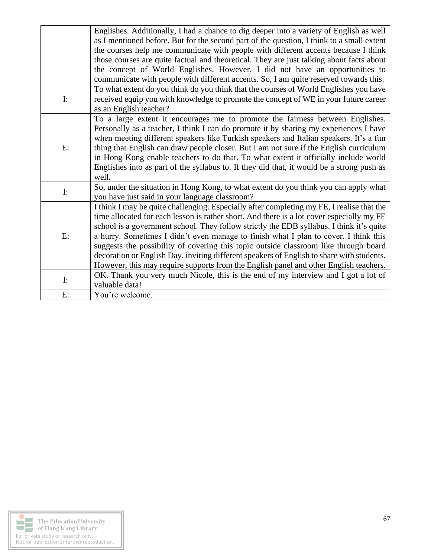|                | Englishes. Additionally, I had a chance to dig deeper into a variety of English as well<br>as I mentioned before. But for the second part of the question, I think to a small extent |
|----------------|--------------------------------------------------------------------------------------------------------------------------------------------------------------------------------------|
|                | the courses help me communicate with people with different accents because I think                                                                                                   |
|                | those courses are quite factual and theoretical. They are just talking about facts about                                                                                             |
|                | the concept of World Englishes. However, I did not have an opportunities to                                                                                                          |
|                | communicate with people with different accents. So, I am quite reserved towards this.                                                                                                |
|                | To what extent do you think do you think that the courses of World Englishes you have                                                                                                |
| $\mathbf{I}$ : | received equip you with knowledge to promote the concept of WE in your future career<br>as an English teacher?                                                                       |
|                | To a large extent it encourages me to promote the fairness between Englishes.                                                                                                        |
|                | Personally as a teacher, I think I can do promote it by sharing my experiences I have                                                                                                |
|                | when meeting different speakers like Turkish speakers and Italian speakers. It's a fun                                                                                               |
| $E$ :          | thing that English can draw people closer. But I am not sure if the English curriculum                                                                                               |
|                | in Hong Kong enable teachers to do that. To what extent it officially include world                                                                                                  |
|                | Englishes into as part of the syllabus to. If they did that, it would be a strong push as                                                                                            |
|                | well.                                                                                                                                                                                |
| $\mathbf{I}$ : | So, under the situation in Hong Kong, to what extent do you think you can apply what                                                                                                 |
|                | you have just said in your language classroom?                                                                                                                                       |
| $E$ :          | I think I may be quite challenging. Especially after completing my FE, I realise that the                                                                                            |
|                | time allocated for each lesson is rather short. And there is a lot cover especially my FE                                                                                            |
|                | school is a government school. They follow strictly the EDB syllabus. I think it's quite                                                                                             |
|                | a hurry. Sometimes I didn't even manage to finish what I plan to cover. I think this                                                                                                 |
|                | suggests the possibility of covering this topic outside classroom like through board                                                                                                 |
|                | decoration or English Day, inviting different speakers of English to share with students.                                                                                            |
|                | However, this may require supports from the English panel and other English teachers.                                                                                                |
| $\mathbf{I}$ : | OK. Thank you very much Nicole, this is the end of my interview and I got a lot of                                                                                                   |
|                | valuable data!                                                                                                                                                                       |
| E:             | You're welcome.                                                                                                                                                                      |

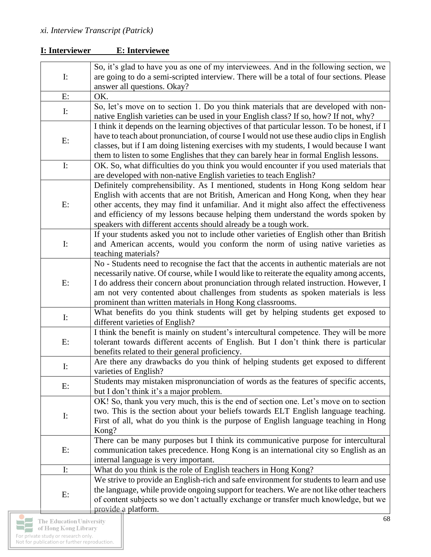| $\mathbf{I}$ : | So, it's glad to have you as one of my interviewees. And in the following section, we<br>are going to do a semi-scripted interview. There will be a total of four sections. Please                                                                                                                                                                                                                                                |
|----------------|-----------------------------------------------------------------------------------------------------------------------------------------------------------------------------------------------------------------------------------------------------------------------------------------------------------------------------------------------------------------------------------------------------------------------------------|
| E:             | answer all questions. Okay?<br>OK.                                                                                                                                                                                                                                                                                                                                                                                                |
|                | So, let's move on to section 1. Do you think materials that are developed with non-                                                                                                                                                                                                                                                                                                                                               |
| $\mathbf{I}$ : | native English varieties can be used in your English class? If so, how? If not, why?                                                                                                                                                                                                                                                                                                                                              |
| E:             | I think it depends on the learning objectives of that particular lesson. To be honest, if I<br>have to teach about pronunciation, of course I would not use these audio clips in English<br>classes, but if I am doing listening exercises with my students, I would because I want<br>them to listen to some Englishes that they can barely hear in formal English lessons.                                                      |
| $\mathbf{I}$ : | OK. So, what difficulties do you think you would encounter if you used materials that<br>are developed with non-native English varieties to teach English?                                                                                                                                                                                                                                                                        |
| E:             | Definitely comprehensibility. As I mentioned, students in Hong Kong seldom hear<br>English with accents that are not British, American and Hong Kong, when they hear<br>other accents, they may find it unfamiliar. And it might also affect the effectiveness<br>and efficiency of my lessons because helping them understand the words spoken by<br>speakers with different accents should already be a tough work.             |
| $\mathbf{I}$ : | If your students asked you not to include other varieties of English other than British<br>and American accents, would you conform the norm of using native varieties as<br>teaching materials?                                                                                                                                                                                                                                   |
| E:             | No - Students need to recognise the fact that the accents in authentic materials are not<br>necessarily native. Of course, while I would like to reiterate the equality among accents,<br>I do address their concern about pronunciation through related instruction. However, I<br>am not very contented about challenges from students as spoken materials is less<br>prominent than written materials in Hong Kong classrooms. |
| $\mathbf{I}:$  | What benefits do you think students will get by helping students get exposed to<br>different varieties of English?                                                                                                                                                                                                                                                                                                                |
| E:             | I think the benefit is mainly on student's intercultural competence. They will be more<br>tolerant towards different accents of English. But I don't think there is particular<br>benefits related to their general proficiency.                                                                                                                                                                                                  |
| $\mathbf{I}$ : | Are there any drawbacks do you think of helping students get exposed to different<br>varieties of English?                                                                                                                                                                                                                                                                                                                        |
| $E$ :          | Students may mistaken mispronunciation of words as the features of specific accents,<br>but I don't think it's a major problem.                                                                                                                                                                                                                                                                                                   |
| $\mathbf{I}$ : | OK! So, thank you very much, this is the end of section one. Let's move on to section<br>two. This is the section about your beliefs towards ELT English language teaching.<br>First of all, what do you think is the purpose of English language teaching in Hong<br>Kong?                                                                                                                                                       |
| E:             | There can be many purposes but I think its communicative purpose for intercultural<br>communication takes precedence. Hong Kong is an international city so English as an<br>internal language is very important.                                                                                                                                                                                                                 |
| $\mathbf{I}$ : | What do you think is the role of English teachers in Hong Kong?                                                                                                                                                                                                                                                                                                                                                                   |
| E:             | We strive to provide an English-rich and safe environment for students to learn and use<br>the language, while provide ongoing support for teachers. We are not like other teachers<br>of content subjects so we don't actually exchange or transfer much knowledge, but we<br>provide a platform.                                                                                                                                |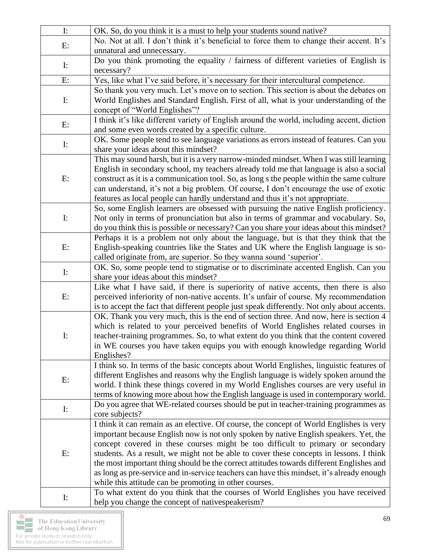| $\mathbf{I}$ : | OK. So, do you think it is a must to help your students sound native?                       |
|----------------|---------------------------------------------------------------------------------------------|
| E:             | No. Not at all. I don't think it's beneficial to force them to change their accent. It's    |
|                | unnatural and unnecessary.                                                                  |
|                | Do you think promoting the equality / fairness of different varieties of English is         |
| $\mathbf{I}$ : | necessary?                                                                                  |
| E:             | Yes, like what I've said before, it's necessary for their intercultural competence.         |
|                | So thank you very much. Let's move on to section. This section is about the debates on      |
| $\mathbf{I}$ : | World Englishes and Standard English. First of all, what is your understanding of the       |
|                | concept of "World Englishes"?                                                               |
| E:             | I think it's like different variety of English around the world, including accent, diction  |
|                | and some even words created by a specific culture.                                          |
|                | OK. Some people tend to see language variations as errors instead of features. Can you      |
| $\mathbf{I}$ : | share your ideas about this mindset?                                                        |
|                | This may sound harsh, but it is a very narrow-minded mindset. When I was still learning     |
|                | English in secondary school, my teachers already told me that language is also a social     |
| E:             | construct as it is a communication tool. So, as long s the people within the same culture   |
|                | can understand, it's not a big problem. Of course, I don't encourage the use of exotic      |
|                | features as local people can hardly understand and thus it's not appropriate.               |
|                | So, some English learners are obsessed with pursuing the native English proficiency.        |
| $\mathbf{I}$ : | Not only in terms of pronunciation but also in terms of grammar and vocabulary. So,         |
|                | do you think this is possible or necessary? Can you share your ideas about this mindset?    |
|                | Perhaps it is a problem not only about the language, but is that they think that the        |
| E:             | English-speaking countries like the States and UK where the English language is so-         |
|                | called originate from, are superior. So they wanna sound 'superior'.                        |
|                | OK. So, some people tend to stigmatise or to discriminate accented English. Can you         |
| $\mathbf{I}$ : | share your ideas about this mindset?                                                        |
|                | Like what I have said, if there is superiority of native accents, then there is also        |
| E:             | perceived inferiority of non-native accents. It's unfair of course. My recommendation       |
|                | is to accept the fact that different people just speak differently. Not only about accents. |
|                | OK. Thank you very much, this is the end of section three. And now, here is section 4       |
|                | which is related to your perceived benefits of World Englishes related courses in           |
| $\mathbf{I}$ : | teacher-training programmes. So, to what extent do you think that the content covered       |
|                | in WE courses you have taken equips you with enough knowledge regarding World               |
|                | Englishes?                                                                                  |
|                | I think so. In terms of the basic concepts about World Englishes, linguistic features of    |
| E:             | different Englishes and reasons why the English language is widely spoken around the        |
|                | world. I think these things covered in my World Englishes courses are very useful in        |
|                | terms of knowing more about how the English language is used in contemporary world.         |
| $\mathbf{I}$ : | Do you agree that WE-related courses should be put in teacher-training programmes as        |
|                | core subjects?                                                                              |
|                | I think it can remain as an elective. Of course, the concept of World Englishes is very     |
|                | important because English now is not only spoken by native English speakers. Yet, the       |
| E:             | concept covered in these courses might be too difficult to primary or secondary             |
|                | students. As a result, we might not be able to cover these concepts in lessons. I think     |
|                | the most important thing should be the correct attitudes towards different Englishes and    |
|                | as long as pre-service and in-service teachers can have this mindset, it's already enough   |
|                | while this attitude can be promoting in other courses.                                      |
| $\mathbf{I}:$  | To what extent do you think that the courses of World Englishes you have received           |
|                | help you change the concept of nativespeakerism?                                            |